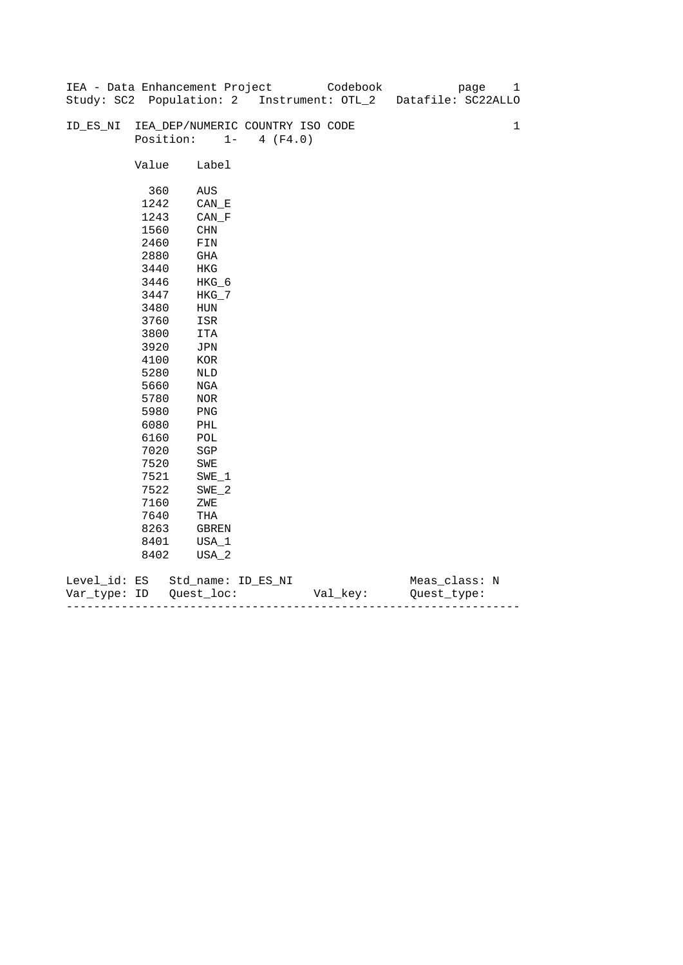|              |       | IEA - Data Enhancement Project   |                   | Codebook | page                                                          | 1           |
|--------------|-------|----------------------------------|-------------------|----------|---------------------------------------------------------------|-------------|
|              |       |                                  |                   |          | Study: SC2 Population: 2 Instrument: OTL_2 Datafile: SC22ALLO |             |
|              |       |                                  |                   |          |                                                               |             |
| ID_ES_NI     |       | IEA_DEP/NUMERIC COUNTRY ISO CODE |                   |          |                                                               | $\mathbf 1$ |
|              |       | Position:                        | $1 -$<br>4 (F4.0) |          |                                                               |             |
|              |       |                                  |                   |          |                                                               |             |
|              | Value | Label                            |                   |          |                                                               |             |
|              |       |                                  |                   |          |                                                               |             |
|              | 360   | AUS                              |                   |          |                                                               |             |
|              | 1242  | $CAN$ <sub><math>E</math></sub>  |                   |          |                                                               |             |
|              | 1243  | CAN F                            |                   |          |                                                               |             |
|              | 1560  | CHN                              |                   |          |                                                               |             |
|              | 2460  | FIN                              |                   |          |                                                               |             |
|              | 2880  | GHA                              |                   |          |                                                               |             |
|              | 3440  | HKG                              |                   |          |                                                               |             |
|              | 3446  | HKG_6                            |                   |          |                                                               |             |
|              | 3447  | $HKG_7$                          |                   |          |                                                               |             |
|              | 3480  | HUN                              |                   |          |                                                               |             |
|              | 3760  | ISR                              |                   |          |                                                               |             |
|              | 3800  | ITA                              |                   |          |                                                               |             |
|              | 3920  | JPN                              |                   |          |                                                               |             |
|              | 4100  | KOR                              |                   |          |                                                               |             |
|              | 5280  | NLD                              |                   |          |                                                               |             |
|              | 5660  | NGA                              |                   |          |                                                               |             |
|              | 5780  | NOR                              |                   |          |                                                               |             |
|              | 5980  | PNG                              |                   |          |                                                               |             |
|              | 6080  | PHL                              |                   |          |                                                               |             |
|              | 6160  | $\mathtt{POL}$                   |                   |          |                                                               |             |
|              | 7020  | SGP                              |                   |          |                                                               |             |
|              | 7520  | SWE                              |                   |          |                                                               |             |
|              | 7521  | $SWE_1$                          |                   |          |                                                               |             |
|              | 7522  | SWE 2                            |                   |          |                                                               |             |
|              | 7160  | ZWE                              |                   |          |                                                               |             |
|              | 7640  | THA                              |                   |          |                                                               |             |
|              | 8263  | GBREN                            |                   |          |                                                               |             |
|              | 8401  | USA_1                            |                   |          |                                                               |             |
|              | 8402  | USA_2                            |                   |          |                                                               |             |
|              |       |                                  |                   |          |                                                               |             |
| Level_id: ES |       | Std_name: ID_ES_NI               |                   |          | Meas_class: N                                                 |             |

| Var<br>тvpe.<br>. | TΡ | $ -$ | - |
|-------------------|----|------|---|
|                   |    |      |   |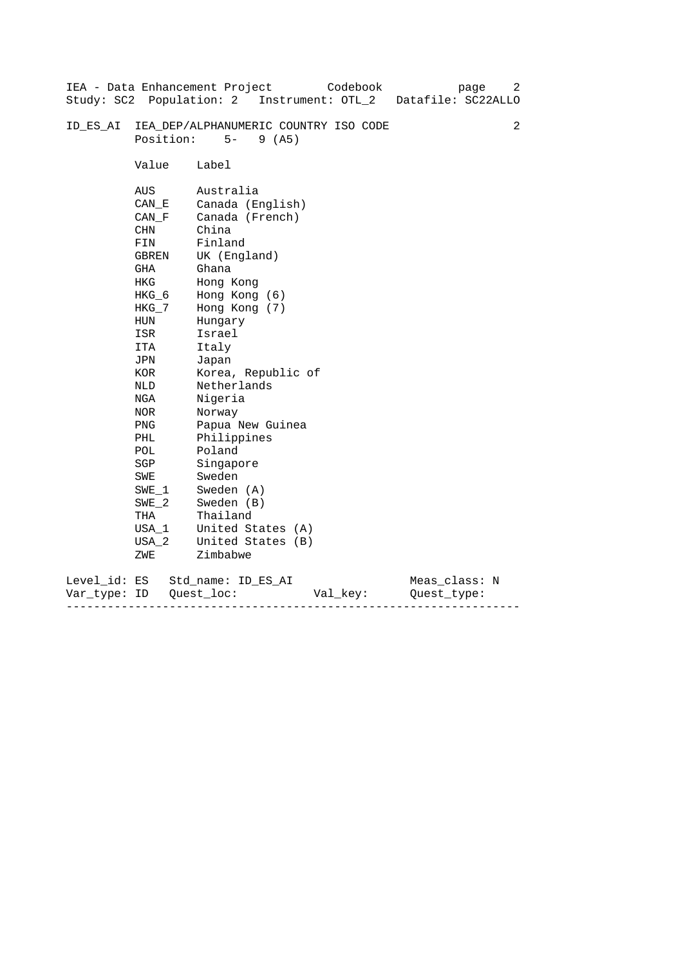|                           |                                                                                                                                                                                                                 | Codebook<br>IEA - Data Enhancement Project<br>Study: SC2 Population: 2 Instrument: OTL_2 Datafile: SC22ALLO                                                                                                                                                                                                                                                                    | 2<br>page                    |
|---------------------------|-----------------------------------------------------------------------------------------------------------------------------------------------------------------------------------------------------------------|--------------------------------------------------------------------------------------------------------------------------------------------------------------------------------------------------------------------------------------------------------------------------------------------------------------------------------------------------------------------------------|------------------------------|
| ID ES AI                  | Position:                                                                                                                                                                                                       | IEA_DEP/ALPHANUMERIC COUNTRY ISO CODE<br>$5 -$<br>9(AB)                                                                                                                                                                                                                                                                                                                        | 2                            |
|                           | Value                                                                                                                                                                                                           | Label                                                                                                                                                                                                                                                                                                                                                                          |                              |
|                           | AUS<br>CAN E<br>CAN F<br>CHN<br>FIN<br>GBREN<br>GHA<br>HKG<br>$HKG_6$<br>HKG_7<br>HUN<br>ISR<br>ITA<br>JPN<br>KOR<br>NLD<br>NGA<br>NOR<br>PNG<br>PHL<br>POL<br>SGP<br>SWE<br>$SWE_1$<br>$SWE_2$<br>THA<br>USA 1 | Australia<br>Canada (English)<br>Canada (French)<br>China<br>Finland<br>UK (England)<br>Ghana<br>Hong Kong<br>Hong Kong (6)<br>Hong Kong (7)<br>Hungary<br>Israel<br>Italy<br>Japan<br>Korea, Republic of<br>Netherlands<br>Nigeria<br>Norway<br>Papua New Guinea<br>Philippines<br>Poland<br>Singapore<br>Sweden<br>Sweden (A)<br>Sweden (B)<br>Thailand<br>United States (A) |                              |
|                           | USA 2<br>ZWE                                                                                                                                                                                                    | United States (B)<br>Zimbabwe                                                                                                                                                                                                                                                                                                                                                  |                              |
| Level_id: ES<br>Var type: | ID                                                                                                                                                                                                              | Std name: ID ES AI<br>Quest loc:<br>Val_key:                                                                                                                                                                                                                                                                                                                                   | Meas_class: N<br>Ouest type: |

------------------------------------------------------------------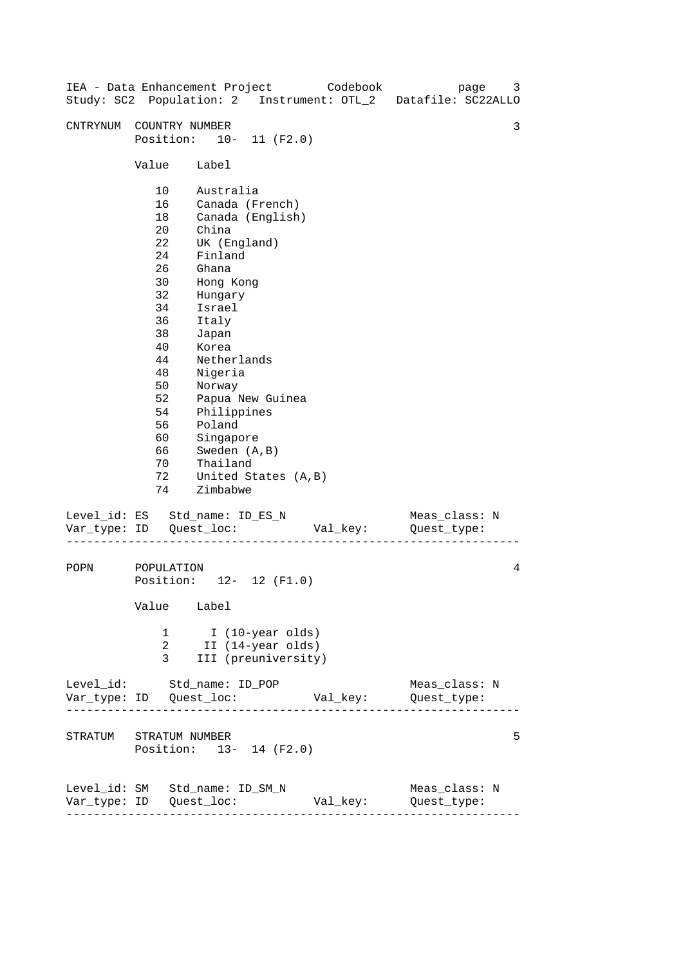| IEA - Data Enhancement Project Codebook |                                                                                                                                       |                                                                                                                                                                                                                                               |                                                              |          | page<br>Study: SC2 Population: 2 Instrument: OTL_2 Datafile: SC22ALLO | 3 |
|-----------------------------------------|---------------------------------------------------------------------------------------------------------------------------------------|-----------------------------------------------------------------------------------------------------------------------------------------------------------------------------------------------------------------------------------------------|--------------------------------------------------------------|----------|-----------------------------------------------------------------------|---|
| CNTRYNUM                                | COUNTRY NUMBER<br>Position: 10- 11 (F2.0)                                                                                             |                                                                                                                                                                                                                                               |                                                              |          |                                                                       | 3 |
|                                         | Value Label                                                                                                                           |                                                                                                                                                                                                                                               |                                                              |          |                                                                       |   |
|                                         | 10<br>16<br>18<br>$20 \,$<br>22<br>24<br>26<br>30<br>32<br>34<br>36<br>38<br>40<br>44<br>48<br>50<br>52<br>54<br>56<br>60<br>66<br>70 | Australia<br>Canada (French)<br>China<br>UK (England)<br>Finland<br>Ghana<br>Hong Kong<br>Hungary<br>Israel<br>Italy<br>Japan<br>Korea<br>Netherlands<br>Nigeria<br>Norway<br>Philippines<br>Poland<br>Singapore<br>Sweden (A, B)<br>Thailand | Canada (English)<br>Papua New Guinea                         |          |                                                                       |   |
| Level_id: ES Std_name: ID_ES_N          | 72<br>74                                                                                                                              | Zimbabwe                                                                                                                                                                                                                                      | United States (A, B)                                         |          | Meas_class: N                                                         |   |
|                                         |                                                                                                                                       |                                                                                                                                                                                                                                               |                                                              | Val_key: | Quest_type:                                                           |   |
| POPN                                    | POPULATION<br>Position: 12- 12 (F1.0)<br>Value Label                                                                                  |                                                                                                                                                                                                                                               |                                                              |          |                                                                       | 4 |
|                                         | 1<br>2<br>3                                                                                                                           |                                                                                                                                                                                                                                               | I (10-year olds)<br>II (14-year olds)<br>III (preuniversity) |          |                                                                       |   |
| Level_id: Std_name: ID_POP              |                                                                                                                                       |                                                                                                                                                                                                                                               |                                                              |          | Meas_class: N                                                         |   |
| STRATUM STRATUM NUMBER                  | Position: 13- 14 (F2.0)                                                                                                               |                                                                                                                                                                                                                                               |                                                              |          |                                                                       | 5 |
| Level_id: SM Std_name: ID_SM_N          | ---------------------                                                                                                                 |                                                                                                                                                                                                                                               |                                                              | Val_key: | Meas_class: N<br>Quest_type:                                          |   |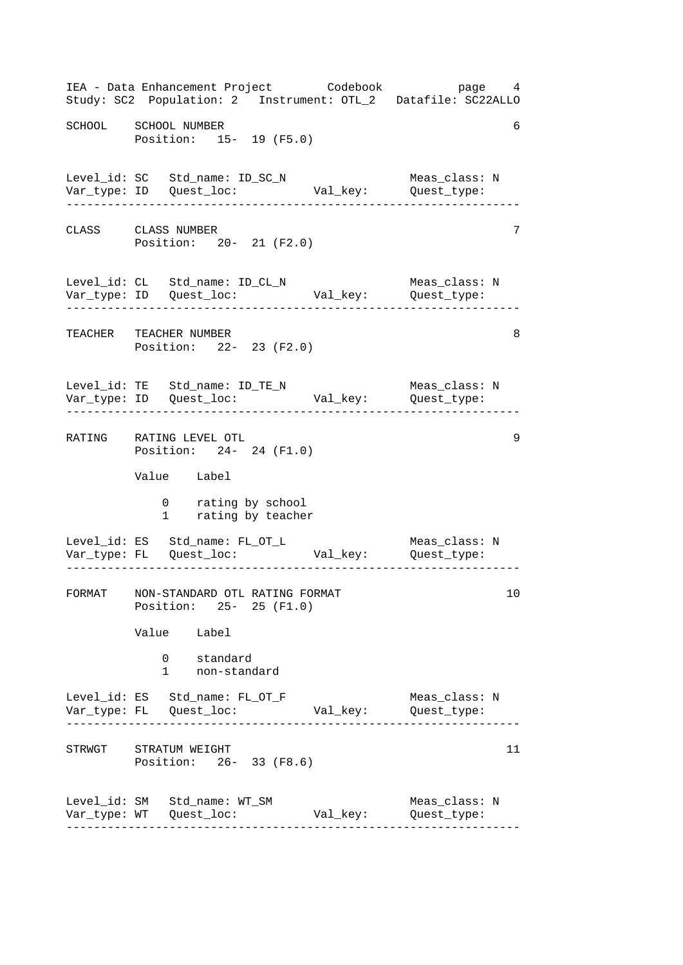------------------------------------------------------------------ ------------------------------------------------------------------ ------------------------------------------------------------------ ------------------------------------------------------------------ ------------------------------------------------------------------ ------------------------------------------------------------------ IEA - Data Enhancement Project Codebook page 4 Study: SC2 Population: 2 Instrument: OTL\_2 Datafile: SC22ALLO SCHOOL SCHOOL NUMBER 6 Position: 15- 19 (F5.0) Level\_id: SC Std\_name: ID\_SC\_N Meas\_class: N Var\_type: ID Quest\_loc: Val\_key: Quest\_type: CLASS CLASS NUMBER 7 Position: 20- 21 (F2.0) Level\_id: CL Std\_name: ID\_CL\_N Meas\_class: N Var\_type: ID Quest\_loc: Val\_key: Quest\_type: TEACHER TEACHER NUMBER 8 Position: 22- 23 (F2.0) Level\_id: TE Std\_name: ID\_TE\_N Meas\_class: N Var\_type: ID Quest\_loc: Val\_key: Quest\_type: RATING RATING LEVEL OTL 9 Position: 24- 24 (F1.0) Value Label 0 rating by school 1 rating by teacher Level\_id: ES Std\_name: FL\_OT\_L Meas\_class: N Var\_type: FL Quest\_loc: Val\_key: Quest\_type: FORMAT NON-STANDARD OTL RATING FORMAT 10 Position: 25- 25 (F1.0) Value Label 0 standard 1 non-standard Level\_id: ES Std\_name: FL\_OT\_F Meas\_class: N Var\_type: FL Quest\_loc: Val\_key: Quest\_type: STRWGT STRATUM WEIGHT 11 Position: 26- 33 (F8.6) Level\_id: SM Std\_name: WT\_SM Meas\_class: N Var\_type: WT Quest\_loc: Val\_key: Quest\_type: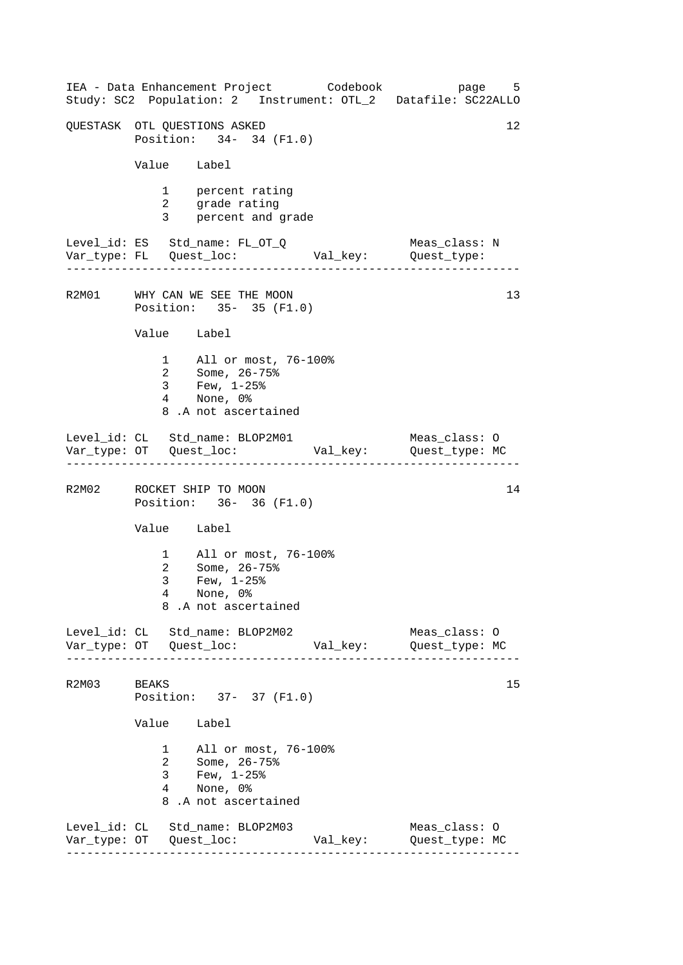------------------------------------------------------------------ ------------------------------------------------------------------ ------------------------------------------------------------------ ------------------------------------------------------------------ IEA - Data Enhancement Project Codebook page 5 Study: SC2 Population: 2 Instrument: OTL\_2 Datafile: SC22ALLO OUESTASK OTL OUESTIONS ASKED 12 Position: 34- 34 (F1.0) Value Label 1 percent rating 2 grade rating 3 percent and grade Level\_id: ES Std\_name: FL\_OT\_Q Meas\_class: N Var\_type: FL Quest\_loc: Val\_key: Quest\_type: R2M01 WHY CAN WE SEE THE MOON Position: 35- 35 (F1.0) Value Label 1 All or most, 76-100% 2 Some, 26-75% 3 Few, 1-25% 4 None, 0% 8 .A not ascertained Level\_id: CL Std\_name: BLOP2M01 Meas\_class: O Var\_type: OT Quest\_loc: Val\_key: Quest\_type: MC R2M02 ROCKET SHIP TO MOON 14 Position: 36- 36 (F1.0) Value Label 1 All or most, 76-100% 2 Some, 26-75% 3 Few, 1-25% 4 None, 0% 8 .A not ascertained Level\_id: CL Std\_name: BLOP2M02 Meas\_class: O Var\_type: OT Quest\_loc: Val\_key: Quest\_type: MC R2M03 BEAKS 15 Position: 37- 37 (F1.0) Value Label 1 All or most, 76-100% 2 Some, 26-75% 3 Few, 1-25% 4 None, 0% 8 .A not ascertained Level\_id: CL Std\_name: BLOP2M03 Meas\_class: O Var\_type: OT Quest\_loc: Val\_key: Quest\_type: MC 13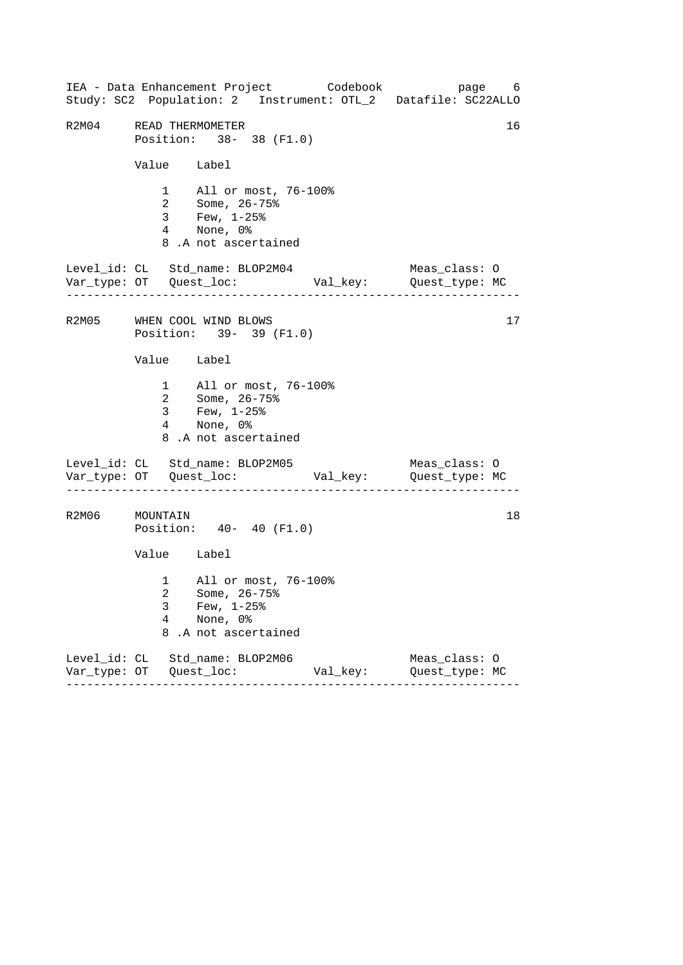------------------------------------------------------------------ ------------------------------------------------------------------ ------------------------------------------------------------------ IEA - Data Enhancement Project Codebook page 6 Study: SC2 Population: 2 Instrument: OTL\_2 Datafile: SC22ALLO R2M04 READ THERMOMETER 16 Position: 38- 38 (F1.0) Value Label 1 All or most, 76-100% 2 Some, 26-75% 3 Few, 1-25% 4 None, 0% 8 .A not ascertained Level\_id: CL Std\_name: BLOP2M04 Meas\_class: O Var\_type: OT Quest\_loc: Val\_key: Quest\_type: MC R2M05 WHEN COOL WIND BLOWS 17 Position: 39- 39 (F1.0) Value Label 1 All or most, 76-100% 2 Some, 26-75% 3 Few, 1-25% 4 None, 0% 8 .A not ascertained Level\_id: CL Std\_name: BLOP2M05 Meas\_class: 0 Var\_type: OT Quest\_loc: Val\_key: Quest\_type: MC R2M06 MOUNTAIN 18 Position: 40- 40 (F1.0) Value Label 1 All or most, 76-100% 2 Some, 26-75% 3 Few, 1-25% 4 None, 0% 8 .A not ascertained Level\_id: CL Std\_name: BLOP2M06 Meas\_class: O Var\_type: OT Quest\_loc: Val\_key: Quest\_type: MC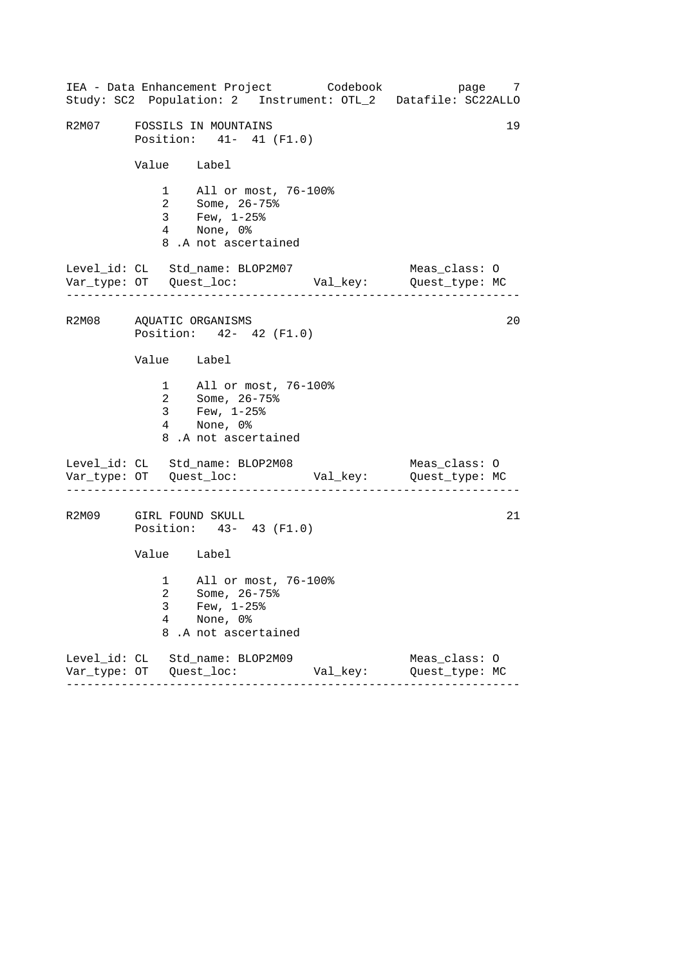------------------------------------------------------------------ ------------------------------------------------------------------ ------------------------------------------------------------------ IEA - Data Enhancement Project Codebook page 7 Study: SC2 Population: 2 Instrument: OTL\_2 Datafile: SC22ALLO R2M07 FOSSILS IN MOUNTAINS 19 Position: 41- 41 (F1.0) Value Label 1 All or most, 76-100% 2 Some, 26-75% 3 Few, 1-25% 4 None, 0% 8 .A not ascertained Level\_id: CL Std\_name: BLOP2M07 Meas\_class: O Var\_type: OT Quest\_loc: Val\_key: Quest\_type: MC R2M08 AQUATIC ORGANISMS 20 Position: 42- 42 (F1.0) Value Label 1 All or most, 76-100% 2 Some, 26-75% 3 Few, 1-25% 4 None, 0% 8 .A not ascertained Level\_id: CL Std\_name: BLOP2M08 Meas\_class: 0 Var\_type: OT Quest\_loc: Val\_key: Quest\_type: MC R2M09 GIRL FOUND SKULL 21 Position: 43- 43 (F1.0) Value Label 1 All or most, 76-100% 2 Some, 26-75% 3 Few, 1-25% 4 None, 0% 8 .A not ascertained Level\_id: CL Std\_name: BLOP2M09 Meas\_class: O Var\_type: OT Quest\_loc: Val\_key: Quest\_type: MC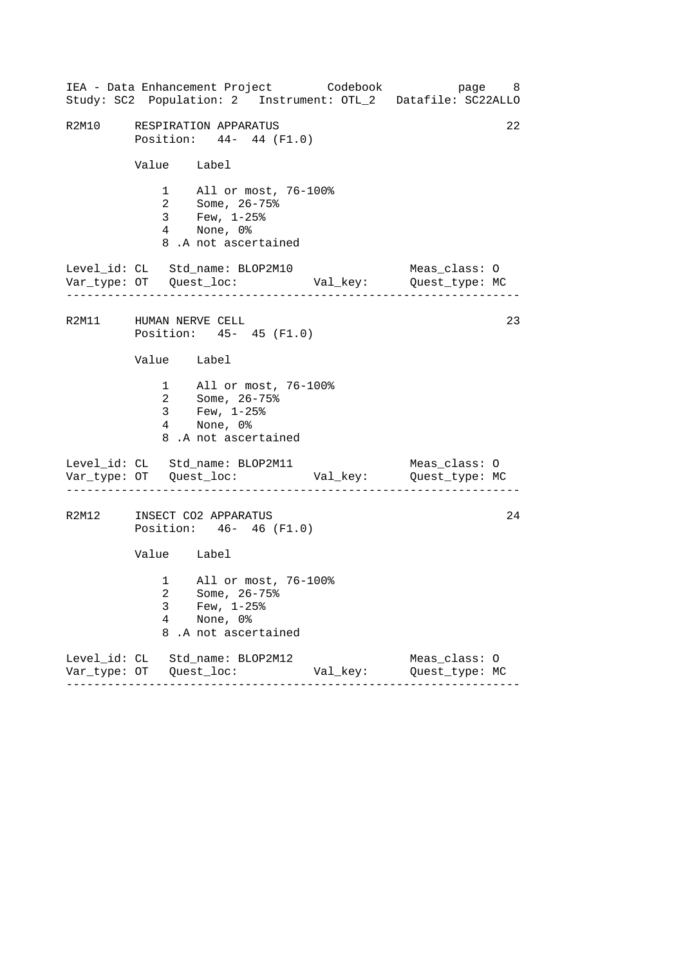|                                       | IEA - Data Enhancement Project Codebook                                                             |          | Study: SC2 Population: 2 Instrument: OTL_2 Datafile: SC22ALLO | page 8 |
|---------------------------------------|-----------------------------------------------------------------------------------------------------|----------|---------------------------------------------------------------|--------|
|                                       | R2M10 RESPIRATION APPARATUS<br>Position: 44- 44 (F1.0)                                              |          |                                                               | 22     |
|                                       | Value Label                                                                                         |          |                                                               |        |
|                                       | 1 All or most, 76-100%<br>2 Some, 26-75%<br>3 Few, 1-25%<br>4 None, 0%<br>8.A not ascertained       |          |                                                               |        |
| . _ _ _ _ _ _ _ _ _ _ _ _ _ _ _ _ _ _ | Level_id: CL Std_name: BLOP2M10                                                                     |          | Meas_class: O                                                 |        |
|                                       | R2M11 HUMAN NERVE CELL<br>Position: 45- 45 (F1.0)                                                   |          |                                                               | 23     |
|                                       | Value Label                                                                                         |          |                                                               |        |
|                                       | 1 All or most, 76-100%<br>2 Some, 26-75%<br>$3 \t Few, 1-25\%$<br>4 None, 0%<br>8.A not ascertained |          |                                                               |        |
|                                       | Level_id: CL Std_name: BLOP2M11                                                                     |          | Meas_class: O                                                 |        |
|                                       | R2M12 INSECT CO2 APPARATUS<br>Position: 46- 46 (F1.0)                                               |          |                                                               | 24     |
|                                       | Value Label                                                                                         |          |                                                               |        |
| 3<br>4<br>8                           | 1 All or most, 76-100%<br>2 Some, 26-75%<br>Few, $1-25$ %<br>None, 0%<br>.A not ascertained         |          |                                                               |        |
|                                       | Level_id: CL Std_name: BLOP2M12                                                                     | Val_key: | Meas_class: 0<br>Quest_type: MC                               |        |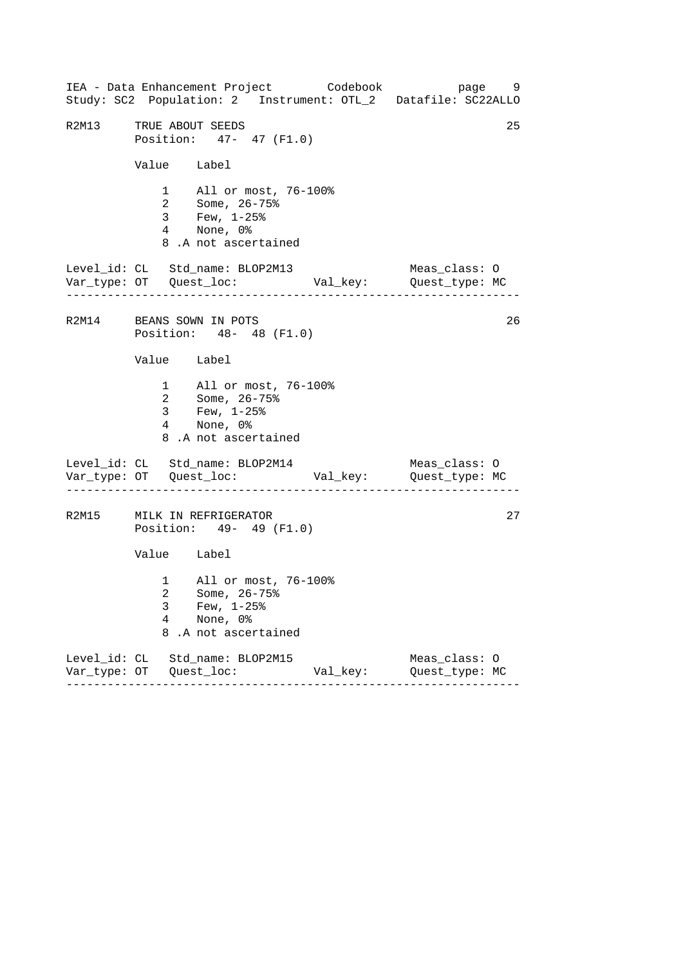------------------------------------------------------------------ ------------------------------------------------------------------ ------------------------------------------------------------------ IEA - Data Enhancement Project Codebook page 9 Study: SC2 Population: 2 Instrument: OTL\_2 Datafile: SC22ALLO R2M13 TRUE ABOUT SEEDS 25 Position: 47- 47 (F1.0) Value Label 1 All or most, 76-100% 2 Some, 26-75% 3 Few, 1-25% 4 None, 0% 8 .A not ascertained Level\_id: CL Std\_name: BLOP2M13 Meas\_class: O Var\_type: OT Quest\_loc: Val\_key: Quest\_type: MC R2M14 BEANS SOWN IN POTS 26 Position: 48- 48 (F1.0) Value Label 1 All or most, 76-100% 2 Some, 26-75% 3 Few, 1-25% 4 None, 0% 8 .A not ascertained Level\_id: CL Std\_name: BLOP2M14 Meas\_class: 0 Var\_type: OT Quest\_loc: Val\_key: Quest\_type: MC R2M15 MILK IN REFRIGERATOR 27 Position: 49- 49 (F1.0) Value Label 1 All or most, 76-100% 2 Some, 26-75% 3 Few, 1-25% 4 None, 0% 8 .A not ascertained Level\_id: CL Std\_name: BLOP2M15 Meas\_class: O Var\_type: OT Quest\_loc: Val\_key: Quest\_type: MC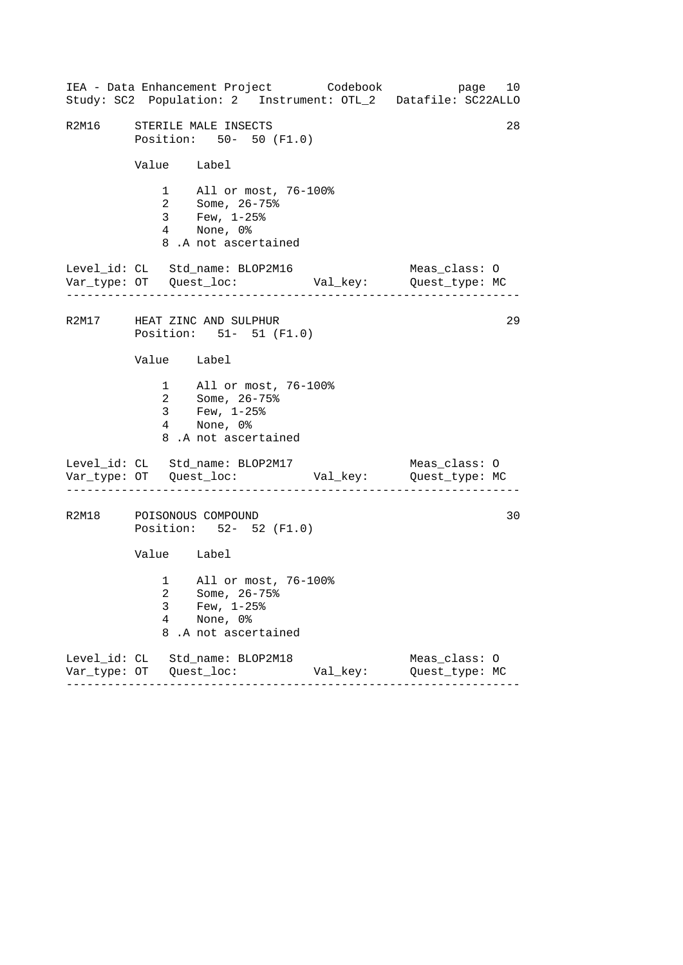------------------------------------------------------------------ ------------------------------------------------------------------ ------------------------------------------------------------------ IEA - Data Enhancement Project Codebook page 10 Study: SC2 Population: 2 Instrument: OTL\_2 Datafile: SC22ALLO R2M16 STERILE MALE INSECTS 28 Position: 50- 50 (F1.0) Value Label 1 All or most, 76-100% 2 Some, 26-75% 3 Few, 1-25% 4 None, 0% 8 .A not ascertained Level\_id: CL Std\_name: BLOP2M16 Meas\_class: O Var\_type: OT Quest\_loc: Val\_key: Quest\_type: MC R2M17 HEAT ZINC AND SULPHUR 29 Position: 51- 51 (F1.0) Value Label 1 All or most, 76-100% 2 Some, 26-75% 3 Few, 1-25% 4 None, 0% 8 .A not ascertained Level\_id: CL Std\_name: BLOP2M17 Meas\_class: 0 Var\_type: OT Quest\_loc: Val\_key: Quest\_type: MC R2M18 POISONOUS COMPOUND 30 Position: 52- 52 (F1.0) Value Label 1 All or most, 76-100% 2 Some, 26-75% 3 Few, 1-25% 4 None, 0% 8 .A not ascertained Level\_id: CL Std\_name: BLOP2M18 Meas\_class: O Var\_type: OT Quest\_loc: Val\_key: Quest\_type: MC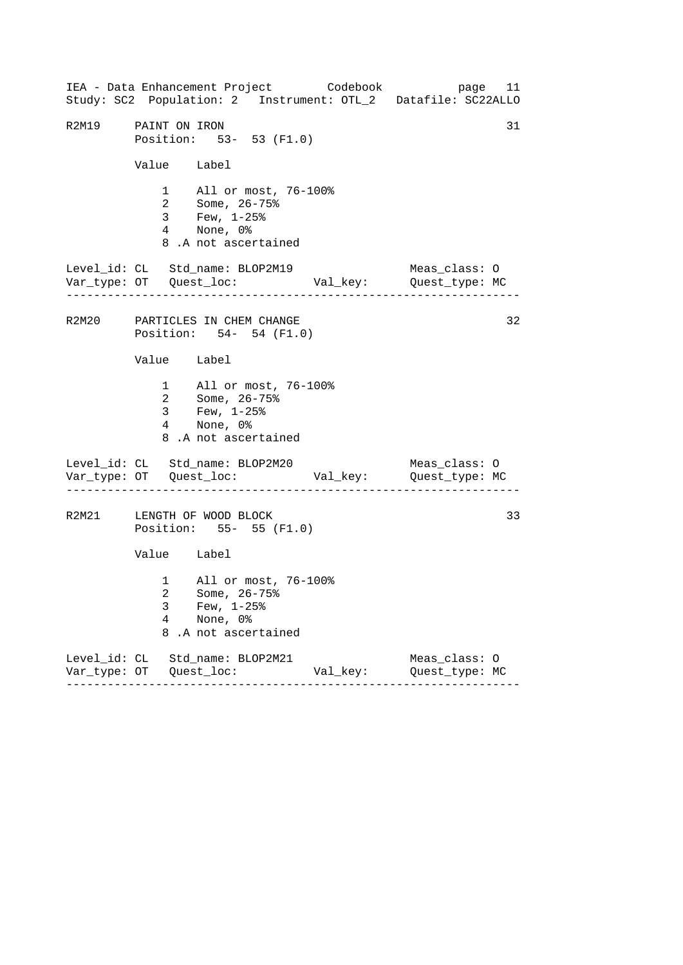------------------------------------------------------------------ ------------------------------------------------------------------ ------------------------------------------------------------------ IEA - Data Enhancement Project Codebook page 11 Study: SC2 Population: 2 Instrument: OTL\_2 Datafile: SC22ALLO R2M19 PAINT ON IRON 31 Position: 53- 53 (F1.0) Value Label 1 All or most, 76-100% 2 Some, 26-75% 3 Few, 1-25% 4 None, 0% 8 .A not ascertained Level\_id: CL Std\_name: BLOP2M19 Meas\_class: O Var\_type: OT Quest\_loc: Val\_key: Quest\_type: MC R2M20 PARTICLES IN CHEM CHANGE 32 Position: 54- 54 (F1.0) Value Label 1 All or most, 76-100% 2 Some, 26-75% 3 Few, 1-25% 4 None, 0% 8 .A not ascertained Level\_id: CL Std\_name: BLOP2M20 Meas\_class: 0 Var\_type: OT Quest\_loc: Val\_key: Quest\_type: MC R2M21 LENGTH OF WOOD BLOCK 33 Position: 55- 55 (F1.0) Value Label 1 All or most, 76-100% 2 Some, 26-75% 3 Few, 1-25% 4 None, 0% 8 .A not ascertained Level\_id: CL Std\_name: BLOP2M21 Meas\_class: O Var\_type: OT Quest\_loc: Val\_key: Quest\_type: MC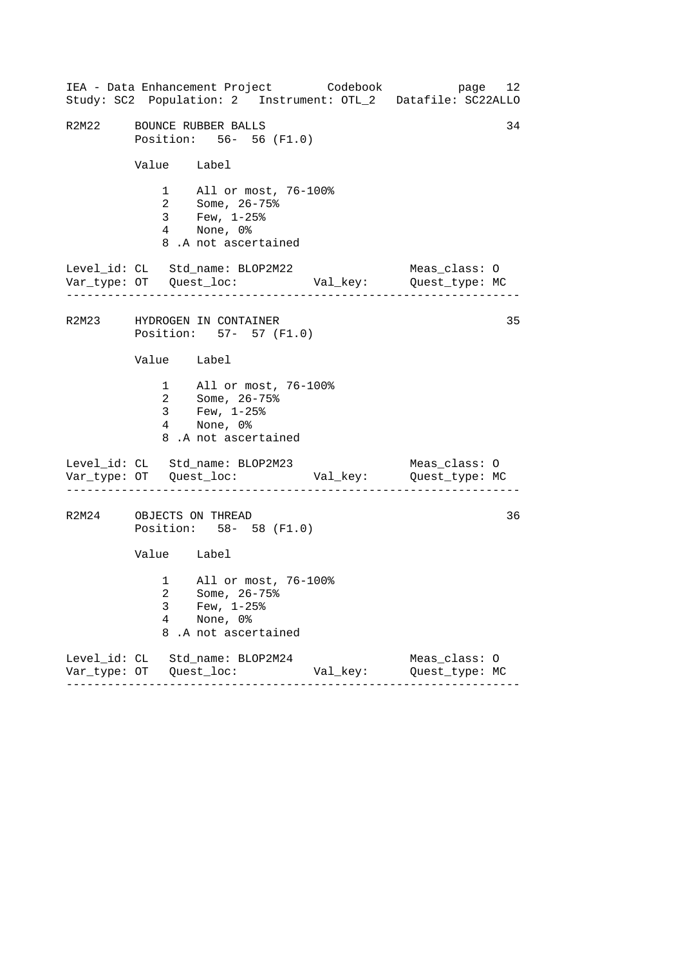------------------------------------------------------------------ ------------------------------------------------------------------ ------------------------------------------------------------------ IEA - Data Enhancement Project Codebook page 12 Study: SC2 Population: 2 Instrument: OTL\_2 Datafile: SC22ALLO R2M22 BOUNCE RUBBER BALLS 34 Position: 56- 56 (F1.0) Value Label 1 All or most, 76-100% 2 Some, 26-75% 3 Few, 1-25% 4 None, 0% 8 .A not ascertained Level\_id: CL Std\_name: BLOP2M22 Meas\_class: O Var\_type: OT Quest\_loc: Val\_key: Quest\_type: MC R2M23 HYDROGEN IN CONTAINER 35 Position: 57- 57 (F1.0) Value Label 1 All or most, 76-100% 2 Some, 26-75% 3 Few, 1-25% 4 None, 0% 8 .A not ascertained Level\_id: CL Std\_name: BLOP2M23 Meas\_class: 0 Var\_type: OT Quest\_loc: Val\_key: Quest\_type: MC R2M24 OBJECTS ON THREAD 36 Position: 58- 58 (F1.0) Value Label 1 All or most, 76-100% 2 Some, 26-75% 3 Few, 1-25% 4 None, 0% 8 .A not ascertained Level\_id: CL Std\_name: BLOP2M24 Meas\_class: O Var\_type: OT Quest\_loc: Val\_key: Quest\_type: MC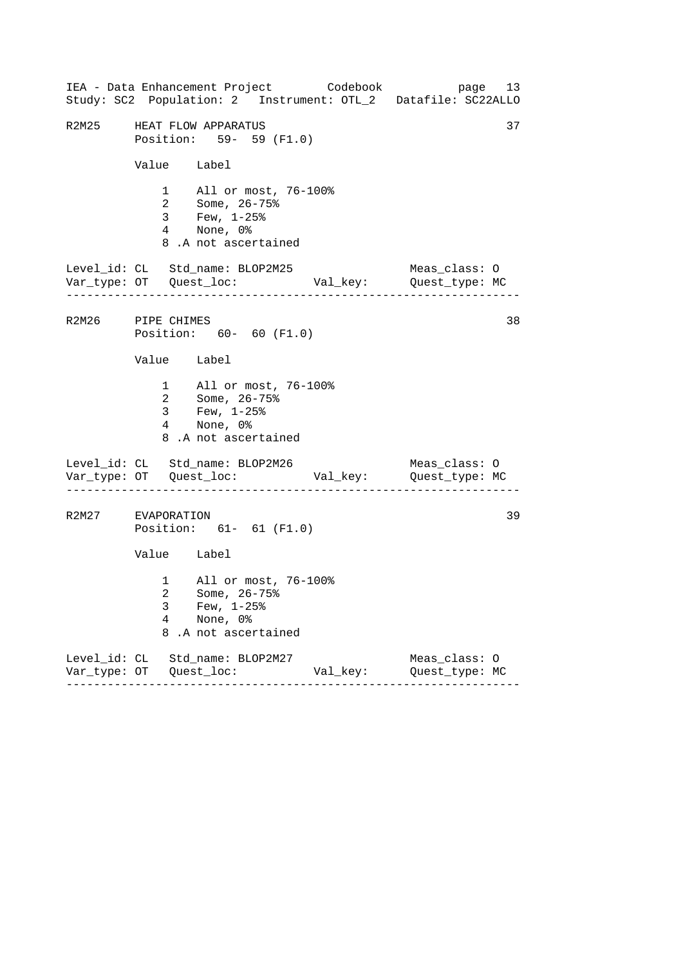------------------------------------------------------------------ ------------------------------------------------------------------ ------------------------------------------------------------------ IEA - Data Enhancement Project Codebook page 13 Study: SC2 Population: 2 Instrument: OTL\_2 Datafile: SC22ALLO R2M25 HEAT FLOW APPARATUS 37 Position: 59- 59 (F1.0) Value Label 1 All or most, 76-100% 2 Some, 26-75% 3 Few, 1-25% 4 None, 0% 8 .A not ascertained Level\_id: CL Std\_name: BLOP2M25 Meas\_class: O Var\_type: OT Quest\_loc: Val\_key: Quest\_type: MC R2M26 PIPE CHIMES 38 Position: 60- 60 (F1.0) Value Label 1 All or most, 76-100% 2 Some, 26-75% 3 Few, 1-25% 4 None, 0% 8 .A not ascertained Level\_id: CL Std\_name: BLOP2M26 Meas\_class: 0 Var\_type: OT Quest\_loc: Val\_key: Quest\_type: MC R2M27 EVAPORATION 39 Position: 61- 61 (F1.0) Value Label 1 All or most, 76-100% 2 Some, 26-75% 3 Few, 1-25% 4 None, 0% 8 .A not ascertained Level\_id: CL Std\_name: BLOP2M27 Meas\_class: O Var\_type: OT Quest\_loc: Val\_key: Quest\_type: MC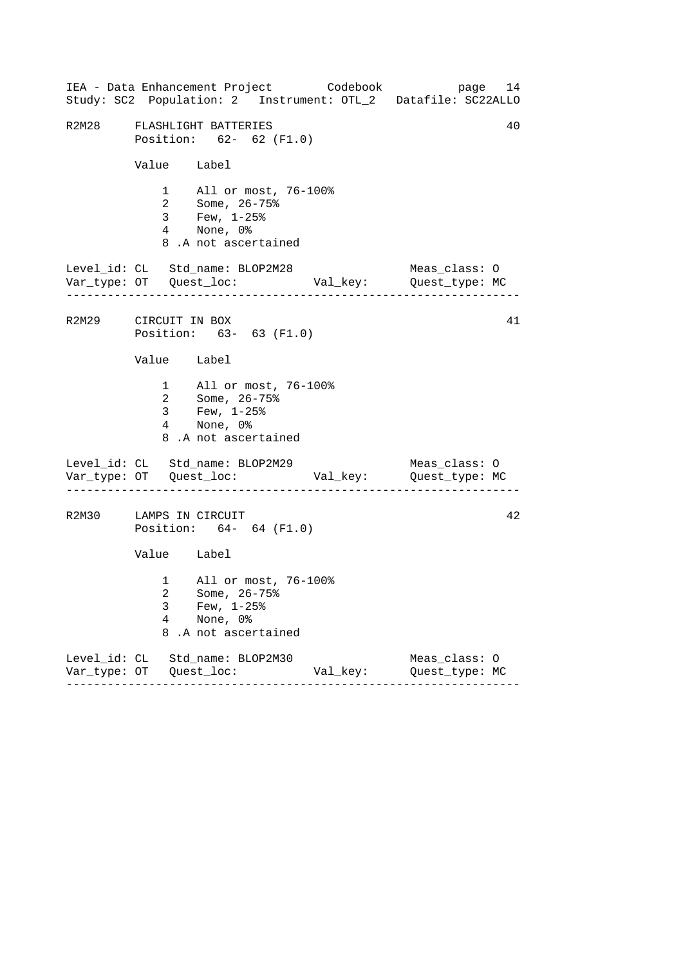|       |                             | IEA - Data Enhancement Project Codebook<br>Study: SC2 Population: 2 Instrument: OTL_2 Datafile: SC22ALLO                    |          |                                 | page 14 |
|-------|-----------------------------|-----------------------------------------------------------------------------------------------------------------------------|----------|---------------------------------|---------|
| R2M28 |                             | FLASHLIGHT BATTERIES<br>Position: 62- 62 (F1.0)                                                                             |          |                                 | 40      |
|       | Value Label                 |                                                                                                                             |          |                                 |         |
|       |                             | 1 All or most, 76-100%<br>2 Some, $26 - 75$ <sup>2</sup><br>$3$ Few, $1-25$ $^{\circ}$<br>4 None, 0%<br>8.A not ascertained |          |                                 |         |
|       | . _ _ _ _ _ _ _ _ _ _ _ _ _ | Level_id: CL Std_name: BLOP2M28                                                                                             |          | Meas_class: O                   |         |
|       | R2M29 CIRCUIT IN BOX        | Position: 63- 63 (F1.0)                                                                                                     |          |                                 | 41      |
|       | Value Label                 |                                                                                                                             |          |                                 |         |
|       |                             | 1 All or most, 76-100%<br>2 Some, 26-75%<br>3 Few, 1-25%<br>4 None, 0%<br>8.A not ascertained                               |          |                                 |         |
|       |                             | Level_id: CL Std_name: BLOP2M29                                                                                             |          | Meas_class: O                   |         |
|       | R2M30 LAMPS IN CIRCUIT      | Position: 64- 64 (F1.0)                                                                                                     |          |                                 | 42      |
|       | Value Label                 |                                                                                                                             |          |                                 |         |
|       | 3<br>4<br>8                 | 1 All or most, 76-100%<br>2 Some, 26-75%<br>Few, $1-25$ %<br>None, 0%<br>.A not ascertained                                 |          |                                 |         |
|       |                             | Level_id: CL Std_name: BLOP2M30                                                                                             | Val_key: | Meas_class: O<br>Quest_type: MC |         |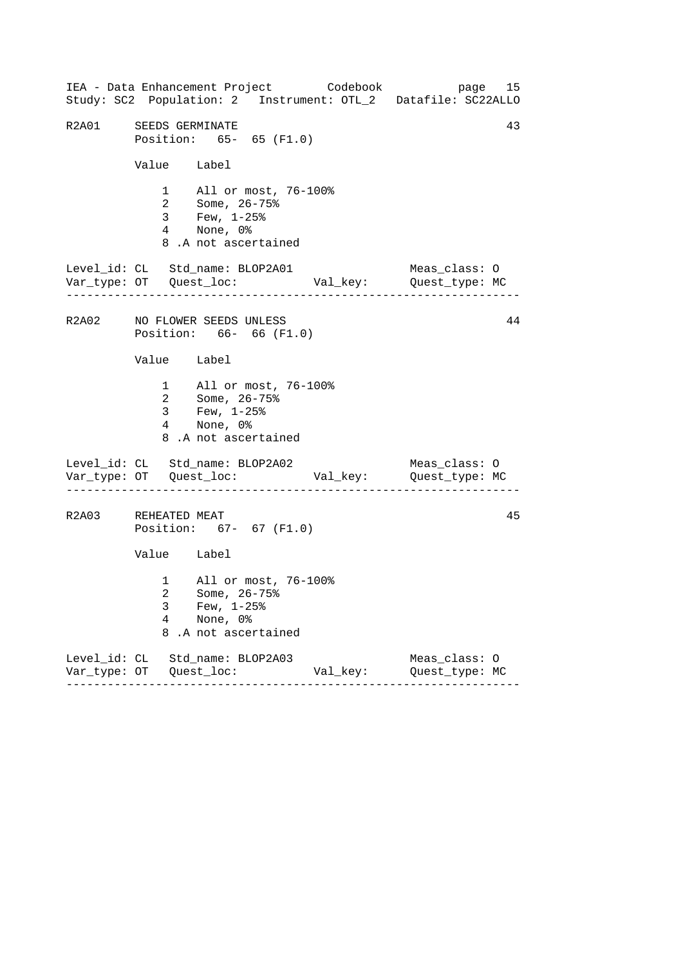------------------------------------------------------------------ ------------------------------------------------------------------ ------------------------------------------------------------------ IEA - Data Enhancement Project Codebook page 15 Study: SC2 Population: 2 Instrument: OTL\_2 Datafile: SC22ALLO R2A01 SEEDS GERMINATE 43 Position: 65- 65 (F1.0) Value Label 1 All or most, 76-100% 2 Some, 26-75% 3 Few, 1-25% 4 None, 0% 8 .A not ascertained Level\_id: CL Std\_name: BLOP2A01 Meas\_class: O Var\_type: OT Quest\_loc: Val\_key: Quest\_type: MC R2A02 NO FLOWER SEEDS UNLESS 44 Position: 66- 66 (F1.0) Value Label 1 All or most, 76-100% 2 Some, 26-75% 3 Few, 1-25% 4 None, 0% 8 .A not ascertained Level\_id: CL Std\_name: BLOP2A02 Meas\_class: 0 Var\_type: OT Quest\_loc: Val\_key: Quest\_type: MC R2A03 REHEATED MEAT 45 Position: 67- 67 (F1.0) Value Label 1 All or most, 76-100% 2 Some, 26-75% 3 Few, 1-25% 4 None, 0% 8 .A not ascertained Level\_id: CL Std\_name: BLOP2A03 Meas\_class: O Var\_type: OT Quest\_loc: Val\_key: Quest\_type: MC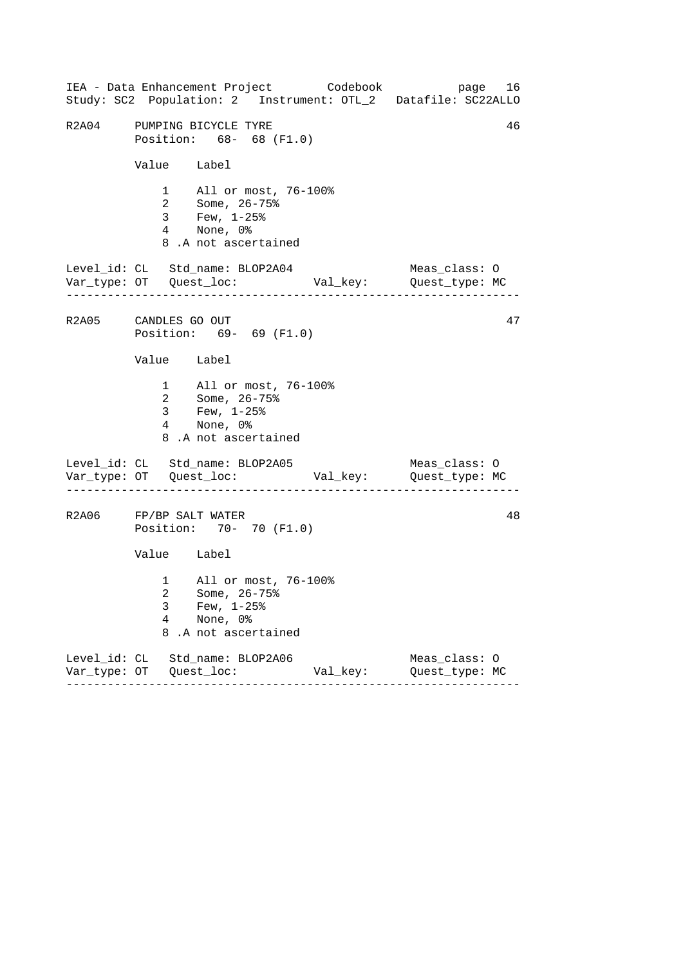------------------------------------------------------------------ ------------------------------------------------------------------ ------------------------------------------------------------------ IEA - Data Enhancement Project Codebook page 16 Study: SC2 Population: 2 Instrument: OTL\_2 Datafile: SC22ALLO R2A04 PUMPING BICYCLE TYRE 46 Position: 68- 68 (F1.0) Value Label 1 All or most, 76-100% 2 Some, 26-75% 3 Few, 1-25% 4 None, 0% 8 .A not ascertained Level\_id: CL Std\_name: BLOP2A04 Meas\_class: O Var\_type: OT Quest\_loc: Val\_key: Quest\_type: MC R2A05 CANDLES GO OUT 47 Position: 69- 69 (F1.0) Value Label 1 All or most, 76-100% 2 Some, 26-75% 3 Few, 1-25% 4 None, 0% 8 .A not ascertained Level\_id: CL Std\_name: BLOP2A05 Meas\_class: 0 Var\_type: OT Quest\_loc: Val\_key: Quest\_type: MC R2A06 FP/BP SALT WATER 48 Position: 70- 70 (F1.0) Value Label 1 All or most, 76-100% 2 Some, 26-75% 3 Few, 1-25% 4 None, 0% 8 .A not ascertained Level\_id: CL Std\_name: BLOP2A06 Meas\_class: O Var\_type: OT Quest\_loc: Val\_key: Quest\_type: MC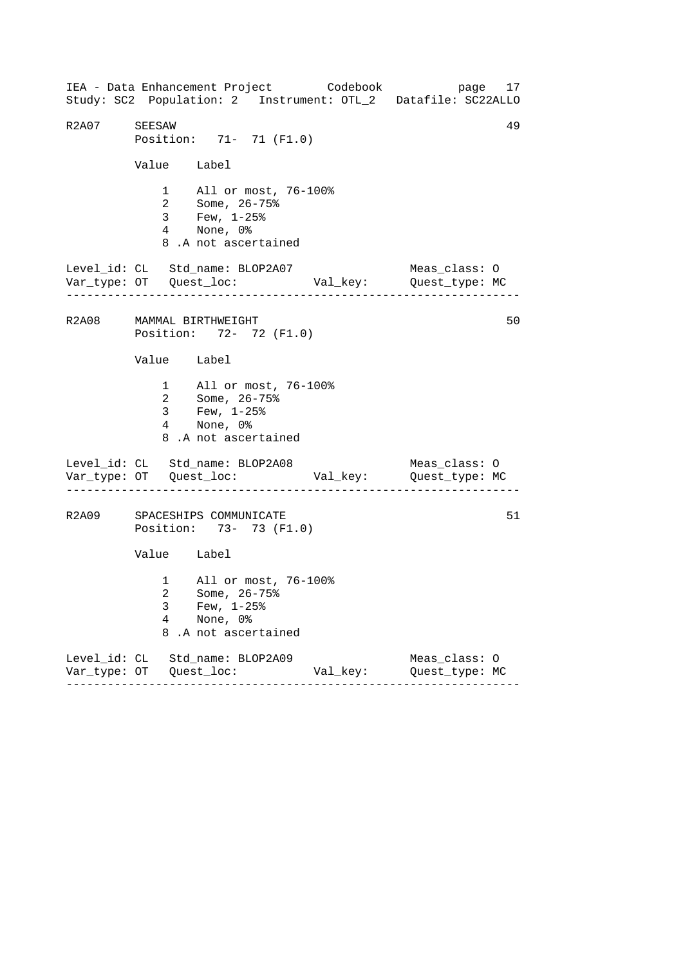------------------------------------------------------------------ ------------------------------------------------------------------ ------------------------------------------------------------------ IEA - Data Enhancement Project Codebook page 17 Study: SC2 Population: 2 Instrument: OTL\_2 Datafile: SC22ALLO R2A07 SEESAW 49 Position: 71- 71 (F1.0) Value Label 1 All or most, 76-100% 2 Some, 26-75% 3 Few, 1-25% 4 None, 0% 8 .A not ascertained Level\_id: CL Std\_name: BLOP2A07 Meas\_class: O Var\_type: OT Quest\_loc: Val\_key: Quest\_type: MC R2A08 MAMMAL BIRTHWEIGHT 50 Position: 72- 72 (F1.0) Value Label 1 All or most, 76-100% 2 Some, 26-75% 3 Few, 1-25% 4 None, 0% 8 .A not ascertained Level\_id: CL Std\_name: BLOP2A08 Meas\_class: O Var\_type: OT Quest\_loc: Val\_key: Quest\_type: MC R2A09 SPACESHIPS COMMUNICATE 51 Position: 73- 73 (F1.0) Value Label 1 All or most, 76-100% 2 Some, 26-75% 3 Few, 1-25% 4 None, 0% 8 .A not ascertained Level\_id: CL Std\_name: BLOP2A09 Meas\_class: O Var\_type: OT Quest\_loc: Val\_key: Quest\_type: MC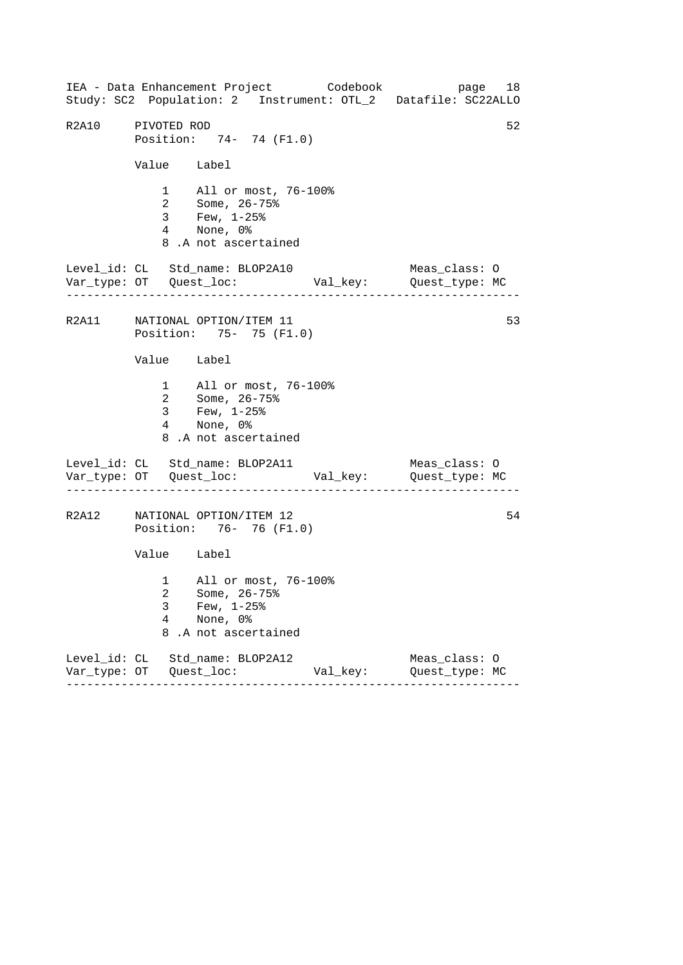------------------------------------------------------------------ ------------------------------------------------------------------ ------------------------------------------------------------------ IEA - Data Enhancement Project Codebook page 18 Study: SC2 Population: 2 Instrument: OTL\_2 Datafile: SC22ALLO R2A10 PIVOTED ROD 52 Position: 74- 74 (F1.0) Value Label 1 All or most, 76-100% 2 Some, 26-75% 3 Few, 1-25% 4 None, 0% 8 .A not ascertained Level\_id: CL Std\_name: BLOP2A10 Meas\_class: O Var\_type: OT Quest\_loc: Val\_key: Quest\_type: MC R2A11 NATIONAL OPTION/ITEM 11 53 Position: 75- 75 (F1.0) Value Label 1 All or most, 76-100% 2 Some, 26-75% 3 Few, 1-25% 4 None, 0% 8 .A not ascertained Level\_id: CL Std\_name: BLOP2A11 Meas\_class: O Var\_type: OT Quest\_loc: Val\_key: Quest\_type: MC R2A12 NATIONAL OPTION/ITEM 12 54 Position: 76- 76 (F1.0) Value Label 1 All or most, 76-100% 2 Some, 26-75% 3 Few, 1-25% 4 None, 0% 8 .A not ascertained Level\_id: CL Std\_name: BLOP2A12 Meas\_class: O Var\_type: OT Quest\_loc: Val\_key: Quest\_type: MC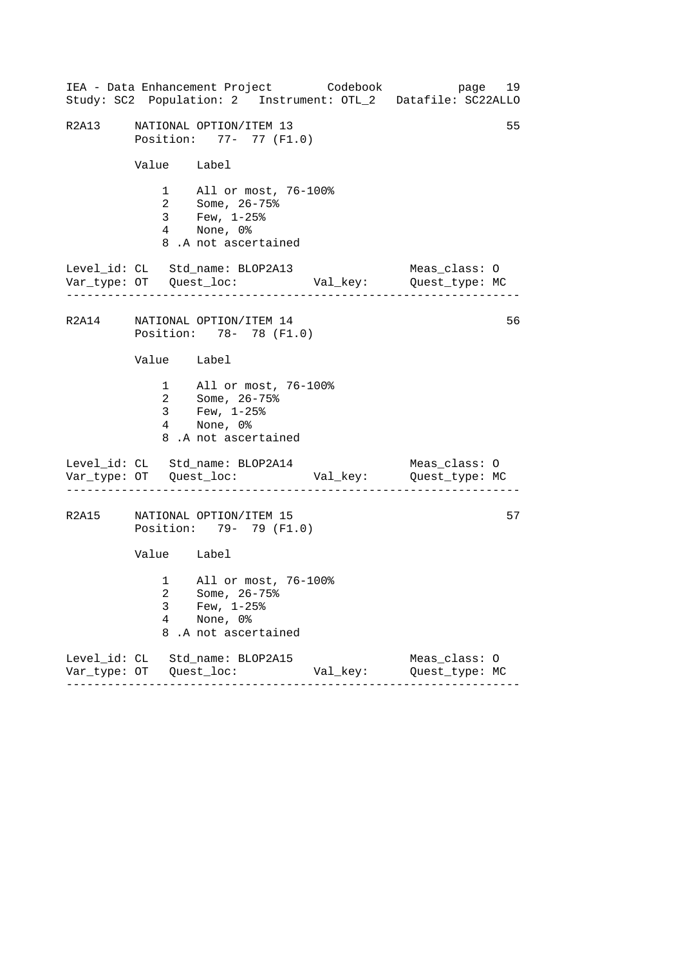------------------------------------------------------------------ ------------------------------------------------------------------ ------------------------------------------------------------------ IEA - Data Enhancement Project Codebook page 19 Study: SC2 Population: 2 Instrument: OTL\_2 Datafile: SC22ALLO R2A13 NATIONAL OPTION/ITEM 13 55 Position: 77- 77 (F1.0) Value Label 1 All or most, 76-100% 2 Some, 26-75% 3 Few, 1-25% 4 None, 0% 8 .A not ascertained Level\_id: CL Std\_name: BLOP2A13 Meas\_class: O Var\_type: OT Quest\_loc: Val\_key: Quest\_type: MC R2A14 NATIONAL OPTION/ITEM 14 56 Position: 78- 78 (F1.0) Value Label 1 All or most, 76-100% 2 Some, 26-75% 3 Few, 1-25% 4 None, 0% 8 .A not ascertained Level\_id: CL Std\_name: BLOP2A14 Meas\_class: 0 Var\_type: OT Quest\_loc: Val\_key: Quest\_type: MC R2A15 NATIONAL OPTION/ITEM 15 57 Position: 79- 79 (F1.0) Value Label 1 All or most, 76-100% 2 Some, 26-75% 3 Few, 1-25% 4 None, 0% 8 .A not ascertained Level\_id: CL Std\_name: BLOP2A15 Meas\_class: O Var\_type: OT Quest\_loc: Val\_key: Quest\_type: MC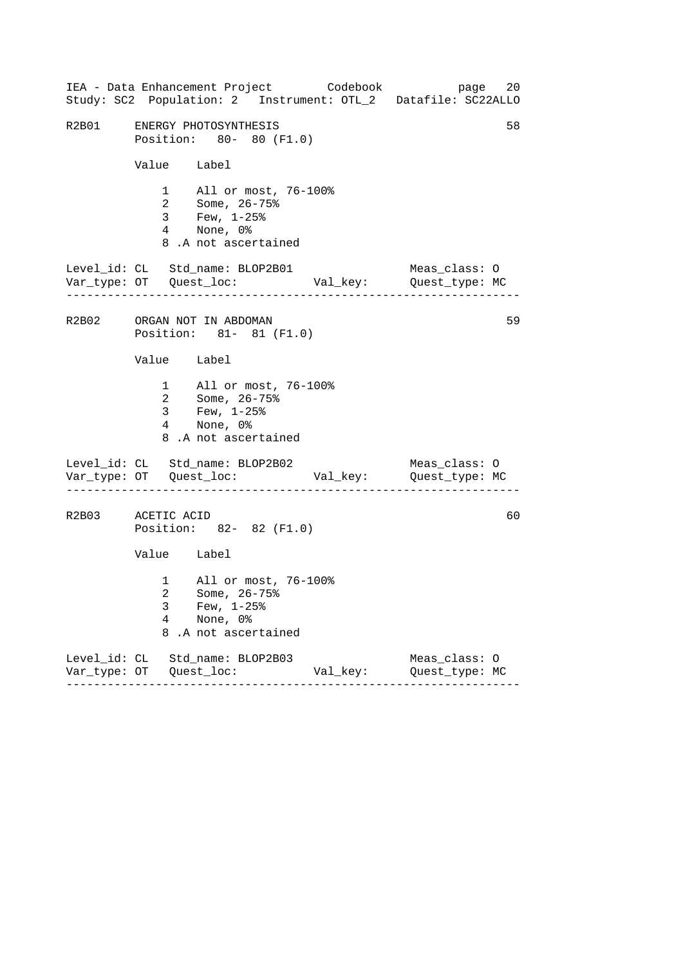------------------------------------------------------------------ ------------------------------------------------------------------ ------------------------------------------------------------------ IEA - Data Enhancement Project Codebook page 20 Study: SC2 Population: 2 Instrument: OTL\_2 Datafile: SC22ALLO R2B01 ENERGY PHOTOSYNTHESIS 58 Position: 80- 80 (F1.0) Value Label 1 All or most, 76-100% 2 Some, 26-75% 3 Few, 1-25% 4 None, 0% 8 .A not ascertained Level\_id: CL Std\_name: BLOP2B01 Meas\_class: O Var\_type: OT Quest\_loc: Val\_key: Quest\_type: MC R2B02 ORGAN NOT IN ABDOMAN 59 Position: 81- 81 (F1.0) Value Label 1 All or most, 76-100% 2 Some, 26-75% 3 Few, 1-25% 4 None, 0% 8 .A not ascertained Level\_id: CL Std\_name: BLOP2B02 Meas\_class: 0 Var\_type: OT Quest\_loc: Val\_key: Quest\_type: MC R2B03 ACETIC ACID 60 Position: 82- 82 (F1.0) Value Label 1 All or most, 76-100% 2 Some, 26-75% 3 Few, 1-25% 4 None, 0% 8 .A not ascertained Level\_id: CL Std\_name: BLOP2B03 Meas\_class: O Var\_type: OT Quest\_loc: Val\_key: Quest\_type: MC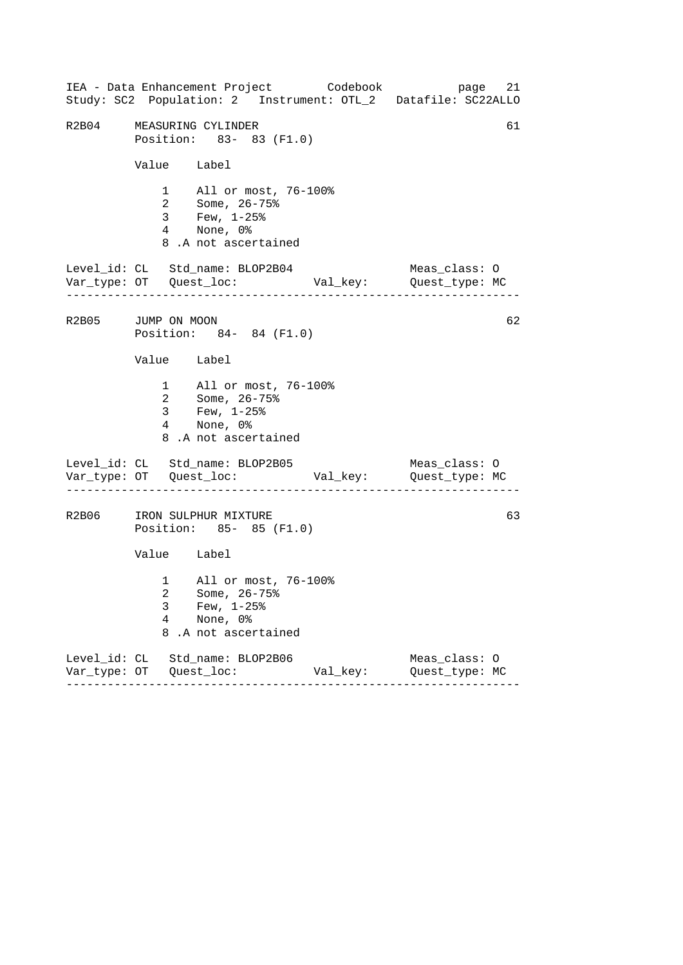|                    |             |                                                                                                    | IEA - Data Enhancement Project Codebook | 21<br>page<br>Study: SC2 Population: 2 Instrument: OTL_2 Datafile: SC22ALLO |
|--------------------|-------------|----------------------------------------------------------------------------------------------------|-----------------------------------------|-----------------------------------------------------------------------------|
| R2B04              |             | MEASURING CYLINDER<br>Position: 83- 83 (F1.0)                                                      |                                         | 61                                                                          |
|                    | Value Label |                                                                                                    |                                         |                                                                             |
|                    |             | 1 All or most, 76-100%<br>2 Some, 26-75%<br>3 Few, 1-25%<br>4 None, 0%<br>8.A not ascertained      |                                         |                                                                             |
|                    |             | Level_id: CL Std_name: BLOP2B04                                                                    |                                         | Meas_class: O                                                               |
| R2B05 JUMP ON MOON |             | Position: 84- 84 (F1.0)                                                                            |                                         | 62                                                                          |
|                    | Value Label |                                                                                                    |                                         |                                                                             |
|                    |             | 1 All or most, 76-100%<br>2 Some, 26-75%<br>3 Few, $1-25$ $%$<br>4 None, 0%<br>8.A not ascertained |                                         |                                                                             |
|                    |             | Level_id: CL Std_name: BLOP2B05                                                                    |                                         | Meas_class: O                                                               |
|                    |             | R2B06 IRON SULPHUR MIXTURE<br>Position: 85- 85 (F1.0)                                              |                                         | 63                                                                          |
|                    | Value Label |                                                                                                    |                                         |                                                                             |
|                    | 3<br>4<br>8 | 1 All or most, 76-100%<br>2 Some, 26-75%<br>Few, $1-25$ %<br>None, 0%<br>.A not ascertained        |                                         |                                                                             |
|                    |             | Level_id: CL Std_name: BLOP2B06                                                                    | Val_key:                                | Meas_class: O<br>Quest_type: MC                                             |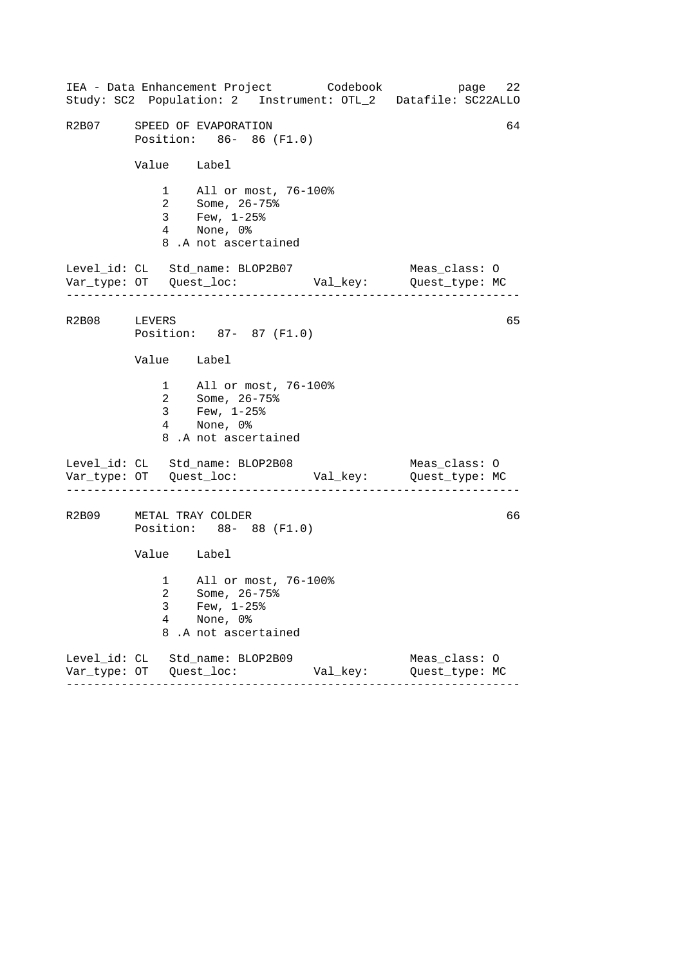------------------------------------------------------------------ ------------------------------------------------------------------ ------------------------------------------------------------------ IEA - Data Enhancement Project Codebook page 22 Study: SC2 Population: 2 Instrument: OTL\_2 Datafile: SC22ALLO R2B07 SPEED OF EVAPORATION 64 Position: 86- 86 (F1.0) Value Label 1 All or most, 76-100% 2 Some, 26-75% 3 Few, 1-25% 4 None, 0% 8 .A not ascertained Level\_id: CL Std\_name: BLOP2B07 Meas\_class: O Var\_type: OT Quest\_loc: Val\_key: Quest\_type: MC R2B08 LEVERS 65 Position: 87- 87 (F1.0) Value Label 1 All or most, 76-100% 2 Some, 26-75% 3 Few, 1-25% 4 None, 0% 8 .A not ascertained Level\_id: CL Std\_name: BLOP2B08 Meas\_class: 0 Var\_type: OT Quest\_loc: Val\_key: Quest\_type: MC R2B09 METAL TRAY COLDER 66 Position: 88- 88 (F1.0) Value Label 1 All or most, 76-100% 2 Some, 26-75% 3 Few, 1-25% 4 None, 0% 8 .A not ascertained Level\_id: CL Std\_name: BLOP2B09 Meas\_class: O Var\_type: OT Quest\_loc: Val\_key: Quest\_type: MC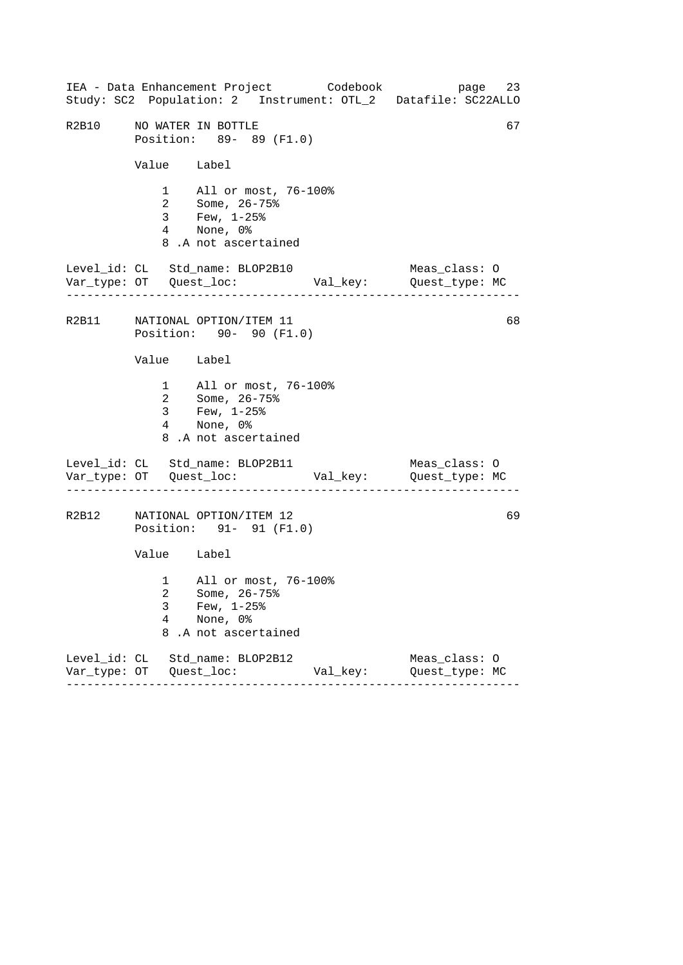------------------------------------------------------------------ ------------------------------------------------------------------ ------------------------------------------------------------------ IEA - Data Enhancement Project Codebook page 23 Study: SC2 Population: 2 Instrument: OTL\_2 Datafile: SC22ALLO R2B10 NO WATER IN BOTTLE 67 Position: 89- 89 (F1.0) Value Label 1 All or most, 76-100% 2 Some, 26-75% 3 Few, 1-25% 4 None, 0% 8 .A not ascertained Level\_id: CL Std\_name: BLOP2B10 Meas\_class: O Var\_type: OT Quest\_loc: Val\_key: Quest\_type: MC R2B11 NATIONAL OPTION/ITEM 11 68 Position: 90- 90 (F1.0) Value Label 1 All or most, 76-100% 2 Some, 26-75% 3 Few, 1-25% 4 None, 0% 8 .A not ascertained Level\_id: CL Std\_name: BLOP2B11 Meas\_class: 0 Var\_type: OT Quest\_loc: Val\_key: Quest\_type: MC R2B12 NATIONAL OPTION/ITEM 12 69 Position: 91- 91 (F1.0) Value Label 1 All or most, 76-100% 2 Some, 26-75% 3 Few, 1-25% 4 None, 0% 8 .A not ascertained Level\_id: CL Std\_name: BLOP2B12 Meas\_class: O Var\_type: OT Quest\_loc: Val\_key: Quest\_type: MC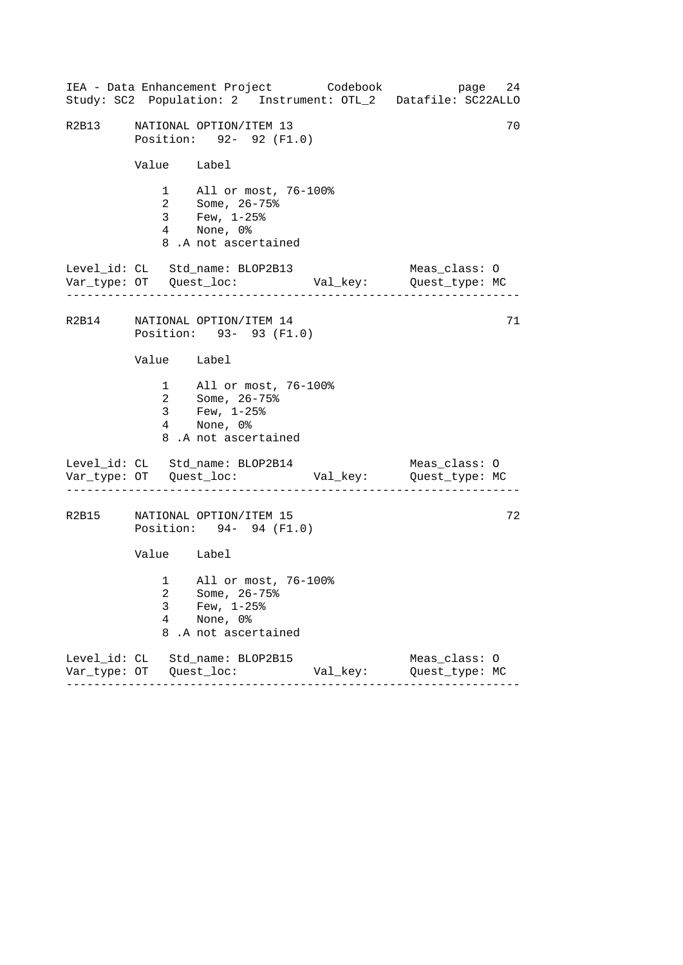------------------------------------------------------------------ ------------------------------------------------------------------ ------------------------------------------------------------------ IEA - Data Enhancement Project Codebook page 24 Study: SC2 Population: 2 Instrument: OTL\_2 Datafile: SC22ALLO R2B13 NATIONAL OPTION/ITEM 13 70 Position: 92- 92 (F1.0) Value Label 1 All or most, 76-100% 2 Some, 26-75% 3 Few, 1-25% 4 None, 0% 8 .A not ascertained Level\_id: CL Std\_name: BLOP2B13 Meas\_class: O Var\_type: OT Quest\_loc: Val\_key: Quest\_type: MC R2B14 NATIONAL OPTION/ITEM 14 71 Position: 93- 93 (F1.0) Value Label 1 All or most, 76-100% 2 Some, 26-75% 3 Few, 1-25% 4 None, 0% 8 .A not ascertained Level\_id: CL Std\_name: BLOP2B14 Meas\_class: 0 Var\_type: OT Quest\_loc: Val\_key: Quest\_type: MC R2B15 NATIONAL OPTION/ITEM 15 72 Position: 94- 94 (F1.0) Value Label 1 All or most, 76-100% 2 Some, 26-75% 3 Few, 1-25% 4 None, 0% 8 .A not ascertained Level\_id: CL Std\_name: BLOP2B15 Meas\_class: O Var\_type: OT Quest\_loc: Val\_key: Quest\_type: MC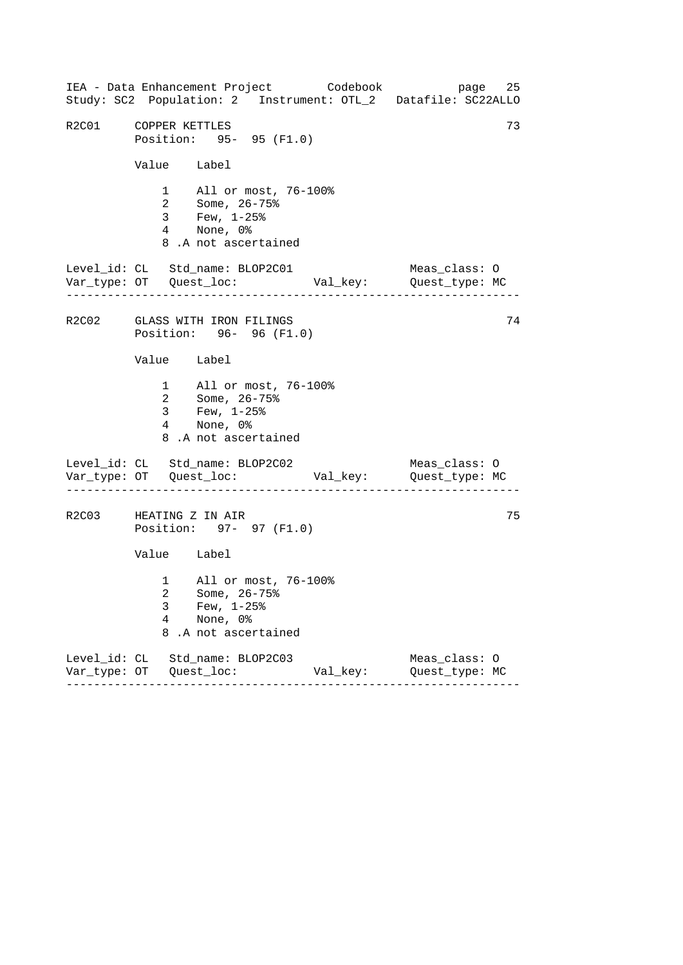------------------------------------------------------------------ ------------------------------------------------------------------ ------------------------------------------------------------------ IEA - Data Enhancement Project Codebook page 25 Study: SC2 Population: 2 Instrument: OTL\_2 Datafile: SC22ALLO R2C01 COPPER KETTLES 73 Position: 95- 95 (F1.0) Value Label 1 All or most, 76-100% 2 Some, 26-75% 3 Few, 1-25% 4 None, 0% 8 .A not ascertained Level\_id: CL Std\_name: BLOP2C01 Meas\_class: O Var\_type: OT Quest\_loc: Val\_key: Quest\_type: MC R2C02 GLASS WITH IRON FILINGS 74 Position: 96- 96 (F1.0) Value Label 1 All or most, 76-100% 2 Some, 26-75% 3 Few, 1-25% 4 None, 0% 8 .A not ascertained Level\_id: CL Std\_name: BLOP2C02 Meas\_class: 0 Var\_type: OT Quest\_loc: Val\_key: Quest\_type: MC R2C03 HEATING Z IN AIR 75 Position: 97- 97 (F1.0) Value Label 1 All or most, 76-100% 2 Some, 26-75% 3 Few, 1-25% 4 None, 0% 8 .A not ascertained Level\_id: CL Std\_name: BLOP2C03 Meas\_class: O Var\_type: OT Quest\_loc: Val\_key: Quest\_type: MC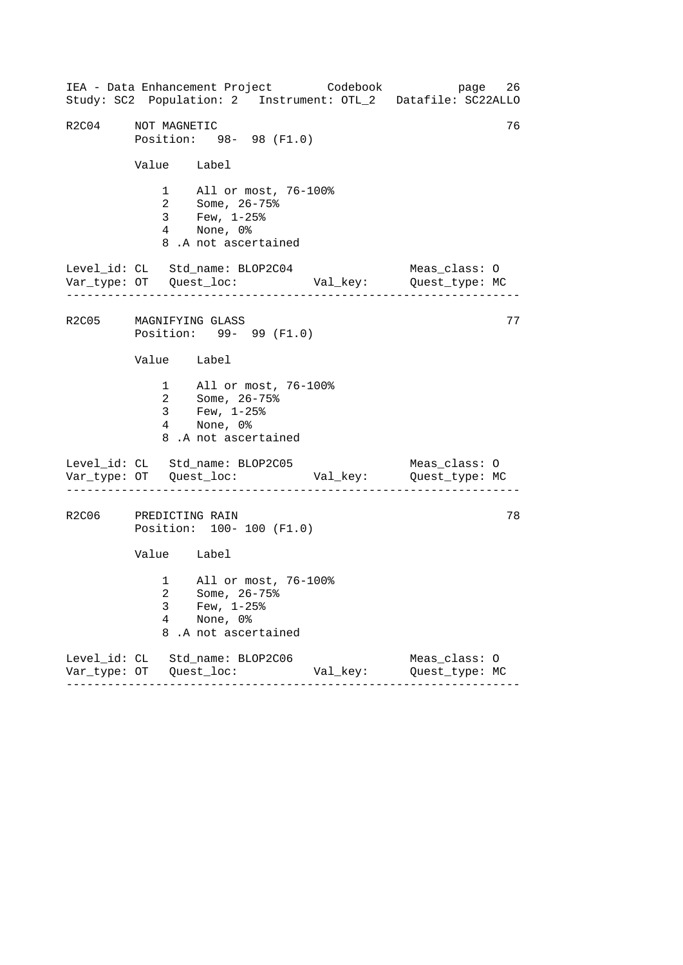------------------------------------------------------------------ ------------------------------------------------------------------ ------------------------------------------------------------------ IEA - Data Enhancement Project Codebook page 26 Study: SC2 Population: 2 Instrument: OTL\_2 Datafile: SC22ALLO R2C04 NOT MAGNETIC 76 Position: 98- 98 (F1.0) Value Label 1 All or most, 76-100% 2 Some, 26-75% 3 Few, 1-25% 4 None, 0% 8 .A not ascertained Level\_id: CL Std\_name: BLOP2C04 Meas\_class: O Var\_type: OT Quest\_loc: Val\_key: Quest\_type: MC R2C05 MAGNIFYING GLASS 77 Position: 99- 99 (F1.0) Value Label 1 All or most, 76-100% 2 Some, 26-75% 3 Few, 1-25% 4 None, 0% 8 .A not ascertained Level\_id: CL Std\_name: BLOP2C05 Meas\_class: 0 Var\_type: OT Quest\_loc: Val\_key: Quest\_type: MC R2C06 PREDICTING RAIN 78 Position: 100- 100 (F1.0) Value Label 1 All or most, 76-100% 2 Some, 26-75% 3 Few, 1-25% 4 None, 0% 8 .A not ascertained Level\_id: CL Std\_name: BLOP2C06 Meas\_class: O Var\_type: OT Quest\_loc: Val\_key: Quest\_type: MC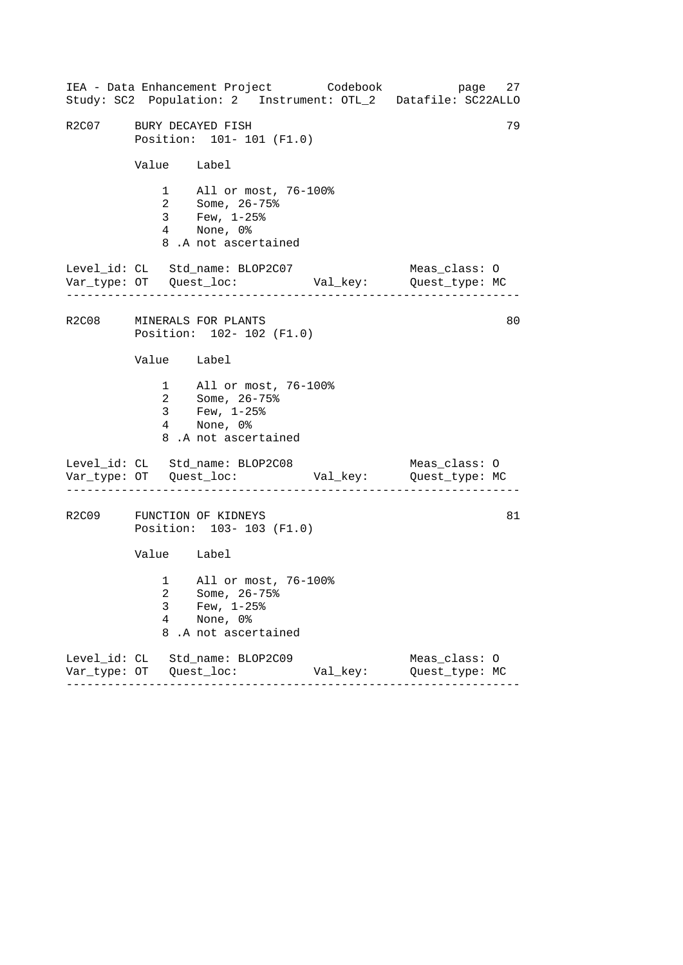|                         |                          | IEA - Data Enhancement Project Codebook<br>Study: SC2 Population: 2 Instrument: OTL_2 Datafile: SC22ALLO |          | page 27                         |    |
|-------------------------|--------------------------|----------------------------------------------------------------------------------------------------------|----------|---------------------------------|----|
| R2C07 BURY DECAYED FISH |                          | Position: 101- 101 (F1.0)                                                                                |          |                                 | 79 |
|                         | Value Label              |                                                                                                          |          |                                 |    |
|                         |                          | 1 All or most, 76-100%<br>2 Some, 26-75%<br>3 Few, 1-25%<br>4 None, 0%<br>8.A not ascertained            |          |                                 |    |
|                         |                          | Level_id: CL Std_name: BLOP2C07                                                                          |          | Meas_class: O                   |    |
|                         |                          | R2C08 MINERALS FOR PLANTS<br>Position: 102- 102 (F1.0)                                                   |          |                                 | 80 |
|                         | Value Label              |                                                                                                          |          |                                 |    |
|                         |                          | 1 All or most, 76-100%<br>2 Some, 26-75%<br>3 Few, $1-25$ %<br>4 None, 0%<br>8.A not ascertained         |          |                                 |    |
|                         |                          | Level_id: CL Std_name: BLOP2C08                                                                          |          | Meas_class: O                   |    |
|                         |                          | R2C09 FUNCTION OF KIDNEYS<br>Position: 103-103 (F1.0)                                                    |          |                                 | 81 |
|                         | Value Label              |                                                                                                          |          |                                 |    |
|                         | 3<br>$\overline{4}$<br>8 | 1 All or most, 76-100%<br>2 Some, 26-75%<br>Few, $1-25$ $%$<br>None, 0%<br>.A not ascertained            |          |                                 |    |
|                         |                          | Level_id: CL Std_name: BLOP2C09<br>$- - - - -$                                                           | Val_key: | Meas_class: 0<br>Quest_type: MC |    |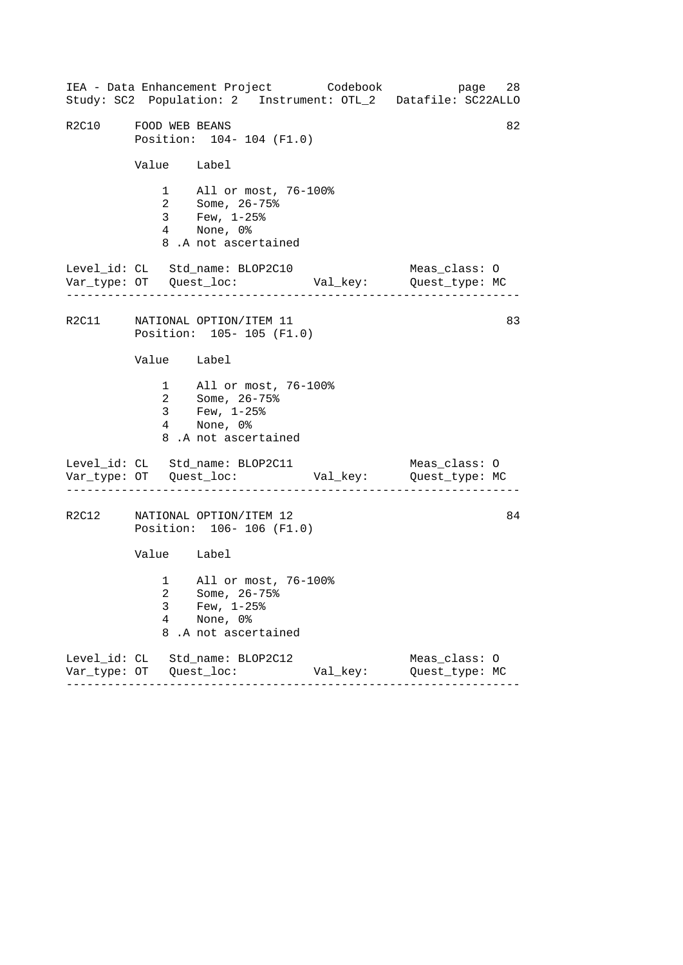------------------------------------------------------------------ ------------------------------------------------------------------ ------------------------------------------------------------------ IEA - Data Enhancement Project Codebook page 28 Study: SC2 Population: 2 Instrument: OTL\_2 Datafile: SC22ALLO R2C10 FOOD WEB BEANS 82 Position: 104- 104 (F1.0) Value Label 1 All or most, 76-100% 2 Some, 26-75% 3 Few, 1-25% 4 None, 0% 8 .A not ascertained Level\_id: CL Std\_name: BLOP2C10 Meas\_class: O Var\_type: OT Quest\_loc: Val\_key: Quest\_type: MC R2C11 NATIONAL OPTION/ITEM 11 83 Position: 105- 105 (F1.0) Value Label 1 All or most, 76-100% 2 Some, 26-75% 3 Few, 1-25% 4 None, 0% 8 .A not ascertained Level\_id: CL Std\_name: BLOP2C11 Meas\_class: O Var\_type: OT Quest\_loc: Val\_key: Quest\_type: MC R2C12 NATIONAL OPTION/ITEM 12 84 Position: 106- 106 (F1.0) Value Label 1 All or most, 76-100% 2 Some, 26-75% 3 Few, 1-25% 4 None, 0% 8 .A not ascertained Level\_id: CL Std\_name: BLOP2C12 Meas\_class: O Var\_type: OT Quest\_loc: Val\_key: Quest\_type: MC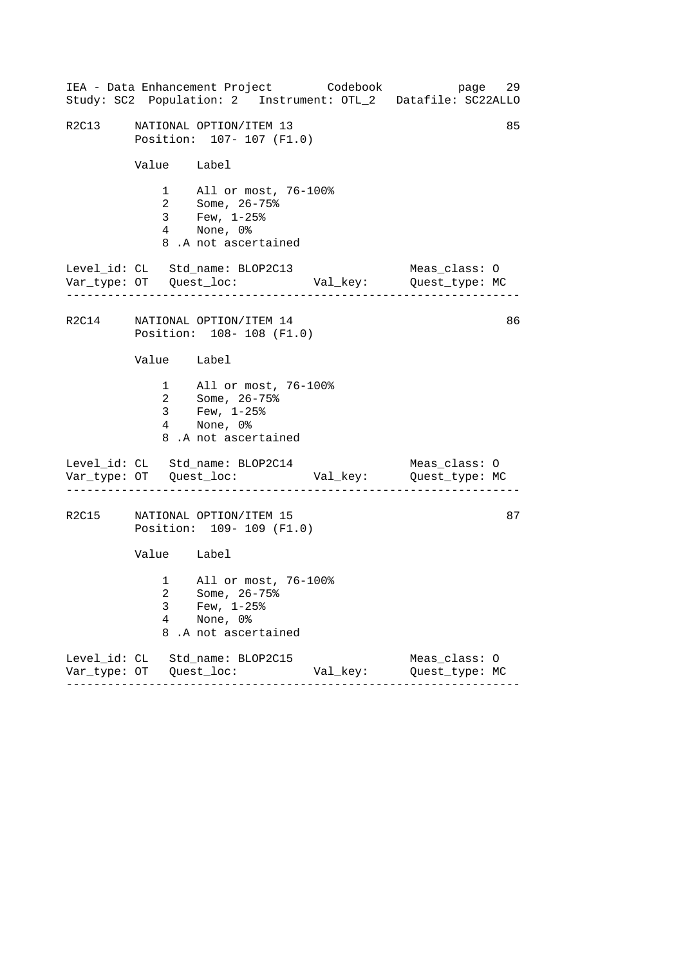|       |             | IEA - Data Enhancement Project Codebook                                                            |          | 29<br>page<br>Study: SC2 Population: 2 Instrument: OTL_2 Datafile: SC22ALLO |
|-------|-------------|----------------------------------------------------------------------------------------------------|----------|-----------------------------------------------------------------------------|
| R2C13 |             | NATIONAL OPTION/ITEM 13<br>Position: 107- 107 (F1.0)                                               |          | 85                                                                          |
|       | Value Label |                                                                                                    |          |                                                                             |
|       |             | 1 All or most, 76-100%<br>2 Some, 26-75%<br>3 Few, 1-25%<br>4 None, 0%<br>8.A not ascertained      |          |                                                                             |
|       |             | Level_id: CL Std_name: BLOP2C13                                                                    |          | Meas_class: O                                                               |
|       |             | R2C14 NATIONAL OPTION/ITEM 14<br>Position: 108-108 (F1.0)                                          |          | 86                                                                          |
|       | Value Label |                                                                                                    |          |                                                                             |
|       |             | 1 All or most, 76-100%<br>2 Some, 26-75%<br>3 Few, $1-25$ $%$<br>4 None, 0%<br>8.A not ascertained |          |                                                                             |
|       |             | Level_id: CL Std_name: BLOP2C14                                                                    |          | Meas_class: O                                                               |
| R2C15 |             | NATIONAL OPTION/ITEM 15<br>Position: 109- 109 (F1.0)                                               |          | 87                                                                          |
|       | Value Label |                                                                                                    |          |                                                                             |
|       | 3<br>4<br>8 | 1 All or most, 76-100%<br>2 Some, 26-75%<br>Few, $1-25$ $%$<br>None, 0%<br>.A not ascertained      |          |                                                                             |
|       |             | Level_id: CL Std_name: BLOP2C15                                                                    | Val_key: | Meas_class: 0<br>Quest_type: MC                                             |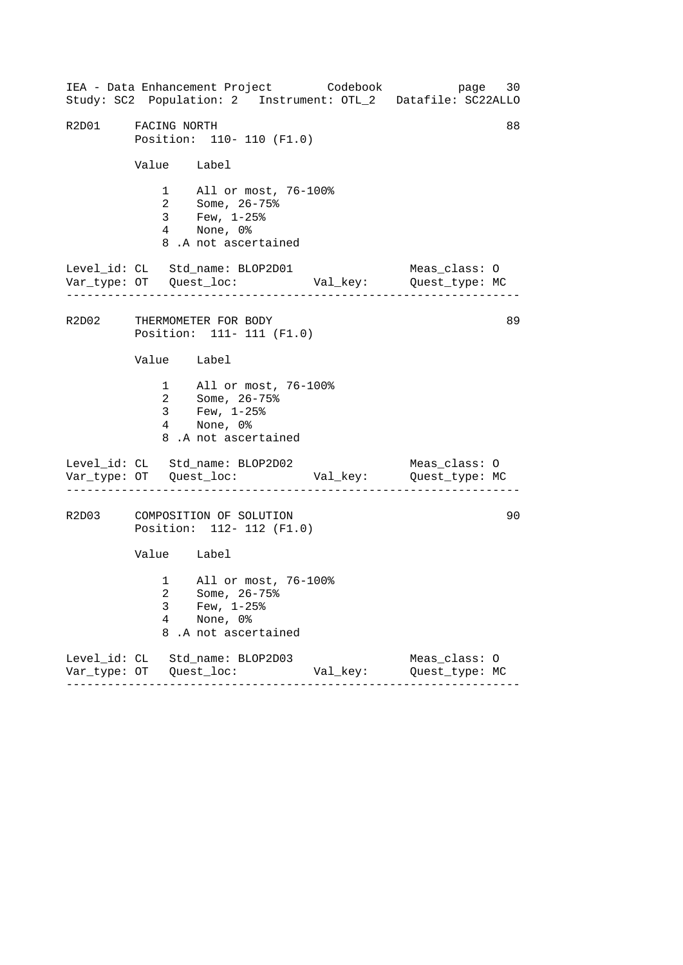------------------------------------------------------------------ ------------------------------------------------------------------ ------------------------------------------------------------------ IEA - Data Enhancement Project Codebook page 30 Study: SC2 Population: 2 Instrument: OTL\_2 Datafile: SC22ALLO R2D01 FACING NORTH 88 Position: 110- 110 (F1.0) Value Label 1 All or most, 76-100% 2 Some, 26-75% 3 Few, 1-25% 4 None, 0% 8 .A not ascertained Level\_id: CL Std\_name: BLOP2D01 Meas\_class: O Var\_type: OT Quest\_loc: Val\_key: Quest\_type: MC R2D02 THERMOMETER FOR BODY 89 Position: 111- 111 (F1.0) Value Label 1 All or most, 76-100% 2 Some, 26-75% 3 Few, 1-25% 4 None, 0% 8 .A not ascertained Level\_id: CL Std\_name: BLOP2D02 Meas\_class: 0 Var\_type: OT Quest\_loc: Val\_key: Quest\_type: MC R2D03 COMPOSITION OF SOLUTION 00 Position: 112- 112 (F1.0) Value Label 1 All or most, 76-100% 2 Some, 26-75% 3 Few,  $1-25$ %<br>4 None, 0% None, 0% 8 .A not ascertained Level\_id: CL Std\_name: BLOP2D03 Meas\_class: O Var\_type: OT Quest\_loc: Val\_key: Quest\_type: MC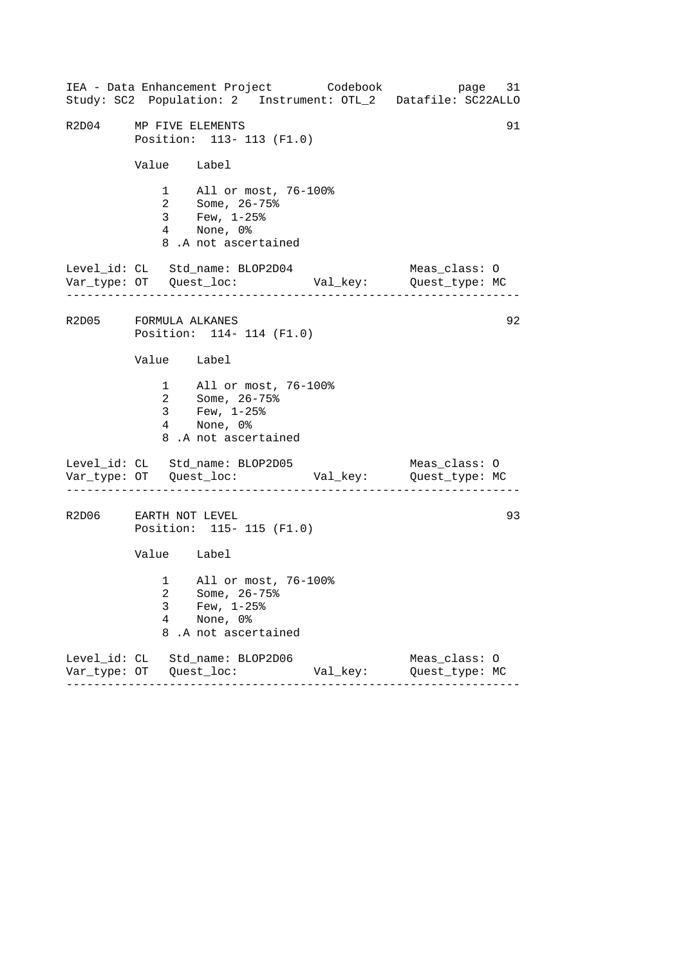------------------------------------------------------------------ ------------------------------------------------------------------ ------------------------------------------------------------------ IEA - Data Enhancement Project Codebook page 31 Study: SC2 Population: 2 Instrument: OTL\_2 Datafile: SC22ALLO R2D04 MP FIVE ELEMENTS 91 Position: 113- 113 (F1.0) Value Label 1 All or most, 76-100% 2 Some, 26-75% 3 Few, 1-25% 4 None, 0% 8 .A not ascertained Level\_id: CL Std\_name: BLOP2D04 Meas\_class: O Var\_type: OT Quest\_loc: Val\_key: Quest\_type: MC R2D05 FORMULA ALKANES 92 Position: 114- 114 (F1.0) Value Label 1 All or most, 76-100% 2 Some, 26-75% 3 Few, 1-25% 4 None, 0% 8 .A not ascertained Level\_id: CL Std\_name: BLOP2D05 Meas\_class: 0 Var\_type: OT Quest\_loc: Val\_key: Quest\_type: MC R2D06 EARTH NOT LEVEL 2008 23 Position: 115- 115 (F1.0) Value Label 1 All or most, 76-100% 2 Some, 26-75% 3 Few, 1-25%<br>4 None, 0% None, 0% 8 .A not ascertained Level\_id: CL Std\_name: BLOP2D06 Meas\_class: O Var\_type: OT Quest\_loc: Val\_key: Quest\_type: MC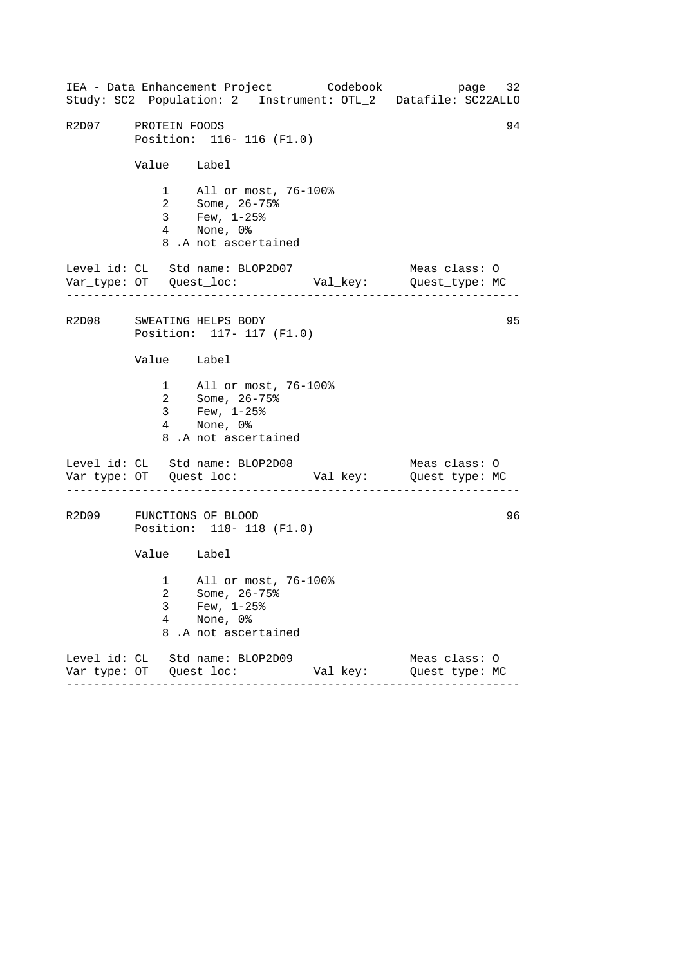------------------------------------------------------------------ ------------------------------------------------------------------ ------------------------------------------------------------------ IEA - Data Enhancement Project Codebook page 32 Study: SC2 Population: 2 Instrument: OTL\_2 Datafile: SC22ALLO R2D07 PROTEIN FOODS 34 Position: 116- 116 (F1.0) Value Label 1 All or most, 76-100% 2 Some, 26-75% 3 Few, 1-25% 4 None, 0% 8 .A not ascertained Level\_id: CL Std\_name: BLOP2D07 Meas\_class: O Var\_type: OT Quest\_loc: Val\_key: Quest\_type: MC R2D08 SWEATING HELPS BODY 95 Position: 117- 117 (F1.0) Value Label 1 All or most, 76-100% 2 Some, 26-75% 3 Few, 1-25% 4 None, 0% 8 .A not ascertained Level\_id: CL Std\_name: BLOP2D08 Meas\_class: 0 Var\_type: OT Quest\_loc: Val\_key: Quest\_type: MC R2D09 FUNCTIONS OF BLOOD 96 Position: 118- 118 (F1.0) Value Label 1 All or most, 76-100% 2 Some, 26-75% 3 Few, 1-25% 4 None, 0% 8 .A not ascertained Level\_id: CL Std\_name: BLOP2D09 Meas\_class: O Var\_type: OT Quest\_loc: Val\_key: Quest\_type: MC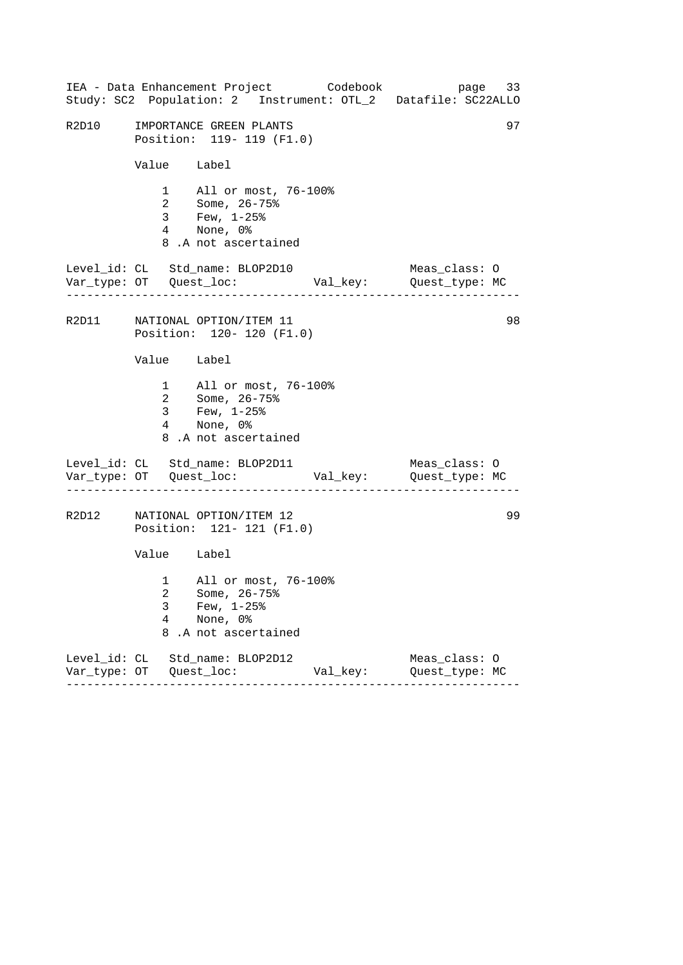|       |             | IEA - Data Enhancement Project Codebook                                                            |          | page 33<br>Study: SC2 Population: 2 Instrument: OTL_2 Datafile: SC22ALLO |
|-------|-------------|----------------------------------------------------------------------------------------------------|----------|--------------------------------------------------------------------------|
| R2D10 |             | IMPORTANCE GREEN PLANTS<br>Position: 119- 119 (F1.0)                                               |          | 97                                                                       |
|       | Value Label |                                                                                                    |          |                                                                          |
|       |             | 1 All or most, 76-100%<br>2 Some, 26-75%<br>3 Few, 1-25%<br>4 None, 0%<br>8.A not ascertained      |          |                                                                          |
|       |             | Level_id: CL Std_name: BLOP2D10                                                                    |          | Meas_class: O                                                            |
|       |             | R2D11 NATIONAL OPTION/ITEM 11<br>Position: 120- 120 (F1.0)                                         |          | 98                                                                       |
|       | Value Label |                                                                                                    |          |                                                                          |
|       |             | 1 All or most, 76-100%<br>2 Some, 26-75%<br>3 Few, $1-25$ $%$<br>4 None, 0%<br>8.A not ascertained |          |                                                                          |
|       |             | Level_id: CL Std_name: BLOP2D11                                                                    |          | Meas_class: O                                                            |
| R2D12 |             | NATIONAL OPTION/ITEM 12<br>Position: 121- 121 (F1.0)                                               |          | 99                                                                       |
|       | Value Label |                                                                                                    |          |                                                                          |
|       | 3<br>4<br>8 | 1 All or most, 76-100%<br>2 Some, 26-75%<br>Few, $1-25$ %<br>None, 0%<br>.A not ascertained        |          |                                                                          |
|       |             | Level_id: CL Std_name: BLOP2D12                                                                    | Val_key: | Meas_class: O<br>Quest_type: MC                                          |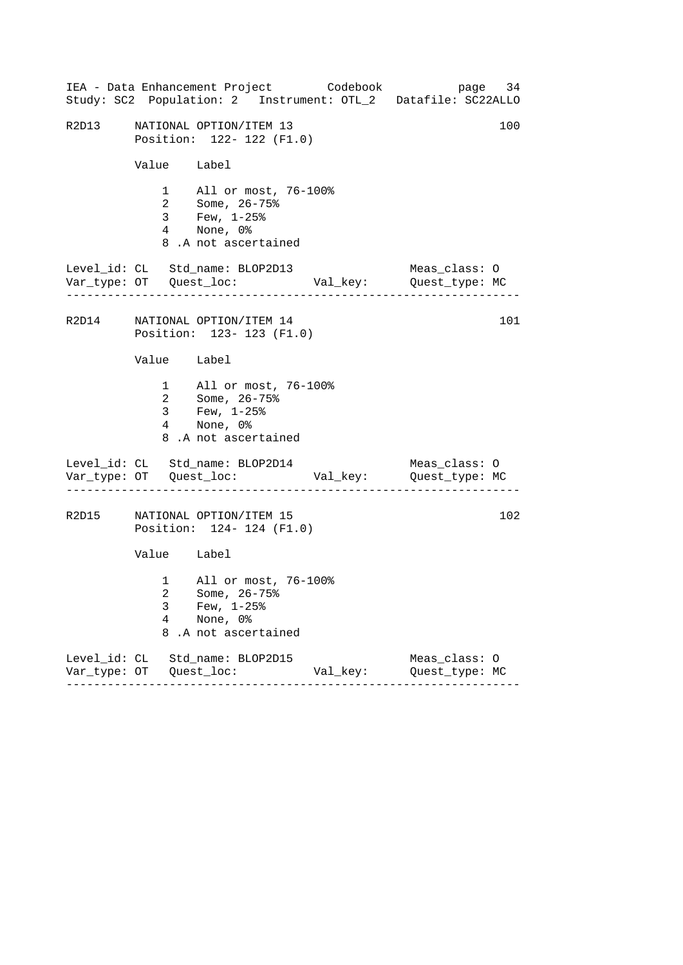|       |                          | IEA - Data Enhancement Project Codebook<br>Study: SC2 Population: 2 Instrument: OTL_2 Datafile: SC22ALLO |          | page 34                         |     |
|-------|--------------------------|----------------------------------------------------------------------------------------------------------|----------|---------------------------------|-----|
| R2D13 |                          | NATIONAL OPTION/ITEM 13<br>Position: 122- 122 (F1.0)                                                     |          |                                 | 100 |
|       | Value Label              |                                                                                                          |          |                                 |     |
|       |                          | 1 All or most, 76-100%<br>2 Some, 26-75%<br>3 Few, 1-25%<br>4 None, 0%<br>8.A not ascertained            |          |                                 |     |
|       |                          | Level_id: CL Std_name: BLOP2D13                                                                          |          | Meas_class: O                   |     |
|       |                          | R2D14 NATIONAL OPTION/ITEM 14<br>Position: 123- 123 (F1.0)                                               |          |                                 | 101 |
|       | Value Label              |                                                                                                          |          |                                 |     |
|       |                          | 1 All or most, 76-100%<br>2 Some, 26-75%<br>3 Few, $1-25$ $%$<br>4 None, 0%<br>8.A not ascertained       |          |                                 |     |
|       |                          | Level_id: CL Std_name: BLOP2D14                                                                          |          | Meas_class: O                   |     |
| R2D15 |                          | NATIONAL OPTION/ITEM 15<br>Position: 124- 124 (F1.0)                                                     |          |                                 | 102 |
|       | Value Label              |                                                                                                          |          |                                 |     |
|       | 3<br>$\overline{4}$<br>8 | 1 All or most, 76-100%<br>2 Some, 26-75%<br>Few, $1-25$ $%$<br>None, 0%<br>.A not ascertained            |          |                                 |     |
|       |                          | Level_id: CL Std_name: BLOP2D15                                                                          | Val_key: | Meas_class: 0<br>Quest_type: MC |     |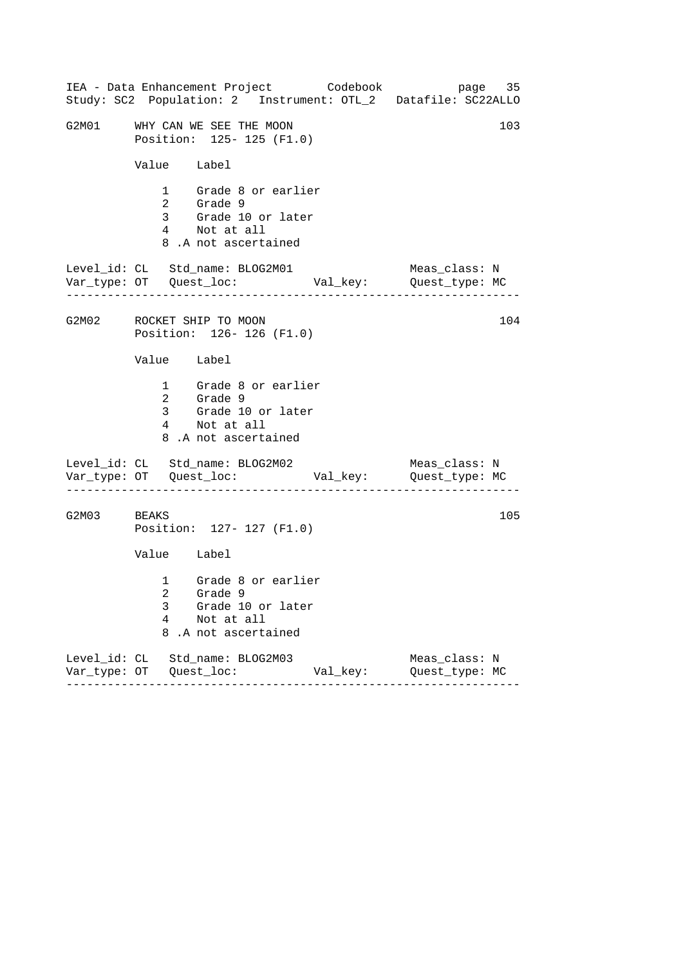------------------------------------------------------------------ ------------------------------------------------------------------ ------------------------------------------------------------------ IEA - Data Enhancement Project Codebook page 35 Study: SC2 Population: 2 Instrument: OTL\_2 Datafile: SC22ALLO G2M01 WHY CAN WE SEE THE MOON 103 Position: 125- 125 (F1.0) Value Label 1 Grade 8 or earlier 2 Grade 9 3 Grade 10 or later 4 Not at all 8 .A not ascertained Level\_id: CL Std\_name: BLOG2M01 Meas\_class: N Var\_type: OT Quest\_loc: Val\_key: Quest\_type: MC G2M02 ROCKET SHIP TO MOON Position: 126- 126 (F1.0) Value Label 1 Grade 8 or earlier 2 Grade 9 3 Grade 10 or later 4 Not at all 8 .A not ascertained Level\_id: CL Std\_name: BLOG2M02 Var\_type: OT Quest\_loc: Val\_key: Quest\_type: MC Meas\_class: N G2M03 BEAKS Position: 127- 127 (F1.0) Value Label 1 Grade 8 or earlier 2 Grade 9 3 Grade 10 or later 4 Not at all 8 .A not ascertained Level\_id: CL Std\_name: BLOG2M03 Meas\_class: N Var\_type: OT Quest\_loc: Val\_key: Quest\_type: MC 104 105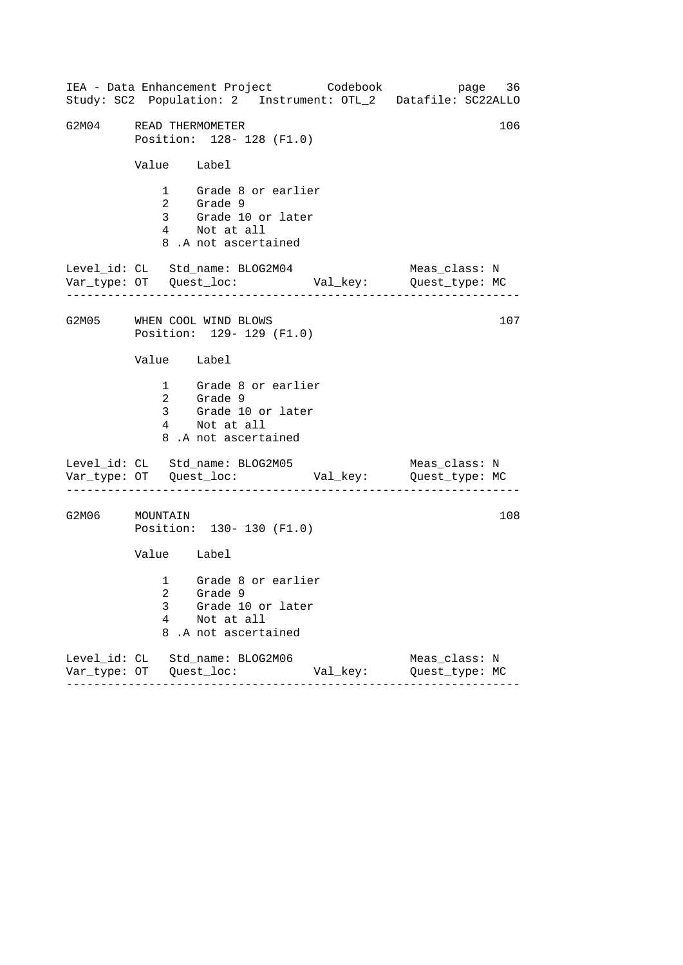------------------------------------------------------------------ ------------------------------------------------------------------ ------------------------------------------------------------------ IEA - Data Enhancement Project Codebook page 36 Study: SC2 Population: 2 Instrument: OTL\_2 Datafile: SC22ALLO G2M04 READ THERMOMETER 106 Position: 128- 128 (F1.0) Value Label 1 Grade 8 or earlier 2 Grade 9 3 Grade 10 or later 4 Not at all 8 .A not ascertained Level\_id: CL Std\_name: BLOG2M04 Meas\_class: N Var\_type: OT Quest\_loc: Val\_key: Quest\_type: MC G2M05 WHEN COOL WIND BLOWS Position: 129- 129 (F1.0) Value Label 1 Grade 8 or earlier 2 Grade 9 3 Grade 10 or later 4 Not at all 8 .A not ascertained Level\_id: CL Std\_name: BLOG2M05 Var\_type: OT Quest\_loc: Val\_key: Quest\_type: MC Meas\_class: N G2M06 MOUNTAIN Position: 130- 130 (F1.0) Value Label 1 Grade 8 or earlier 2 Grade 9 3 Grade 10 or later 4 Not at all 8 .A not ascertained Level\_id: CL Std\_name: BLOG2M06 Meas\_class: N Var\_type: OT Quest\_loc: Val\_key: Quest\_type: MC 107 108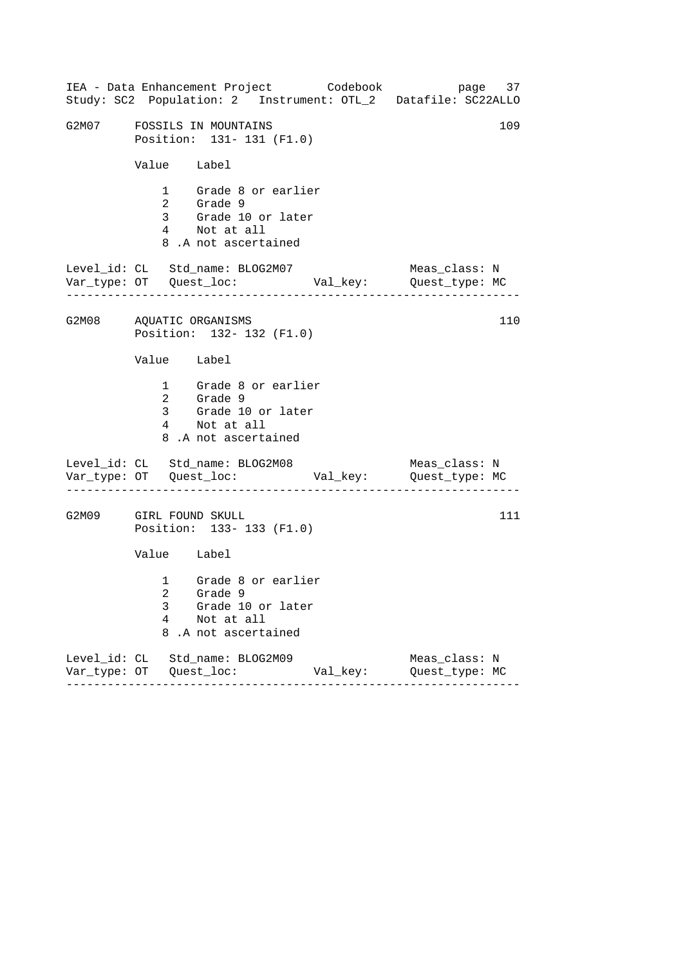|                         |                                                                | IEA - Data Enhancement Project Codebook                                                                      |          | page 37<br>Study: SC2 Population: 2 Instrument: OTL_2 Datafile: SC22ALLO |  |  |
|-------------------------|----------------------------------------------------------------|--------------------------------------------------------------------------------------------------------------|----------|--------------------------------------------------------------------------|--|--|
|                         | G2M07 FOSSILS IN MOUNTAINS<br>109<br>Position: 131- 131 (F1.0) |                                                                                                              |          |                                                                          |  |  |
|                         | Value Label                                                    |                                                                                                              |          |                                                                          |  |  |
|                         |                                                                | 1 Grade 8 or earlier<br>2 Grade 9<br>3 Grade 9<br>3 Grade 10 or later<br>4 Not at all<br>8.A not ascertained |          |                                                                          |  |  |
|                         |                                                                | Level_id: CL Std_name: BLOG2M07                                                                              |          | Meas_class: N                                                            |  |  |
| G2M08 AQUATIC ORGANISMS |                                                                | Position: 132- 132 (F1.0)                                                                                    |          | 110                                                                      |  |  |
|                         | Value Label                                                    |                                                                                                              |          |                                                                          |  |  |
|                         |                                                                | 1 Grade 8 or earlier<br>2 Grade 9<br>3 Grade 10 or later<br>4 Not at all<br>8.A not ascertained              |          |                                                                          |  |  |
|                         |                                                                | Level_id: CL Std_name: BLOG2M08                                                                              |          | Meas_class: N                                                            |  |  |
| G2M09 GIRL FOUND SKULL  |                                                                | Position: 133-133 (F1.0)                                                                                     |          | 111                                                                      |  |  |
|                         | Value Label                                                    |                                                                                                              |          |                                                                          |  |  |
|                         | 3<br>4<br>8                                                    | 1 Grade 8 or earlier<br>2 Grade 9<br>Grade 10 or later<br>Not at all<br>.A not ascertained                   |          |                                                                          |  |  |
|                         |                                                                | Level_id: CL Std_name: BLOG2M09                                                                              | Val_key: | Meas_class: N<br>Quest_type: MC                                          |  |  |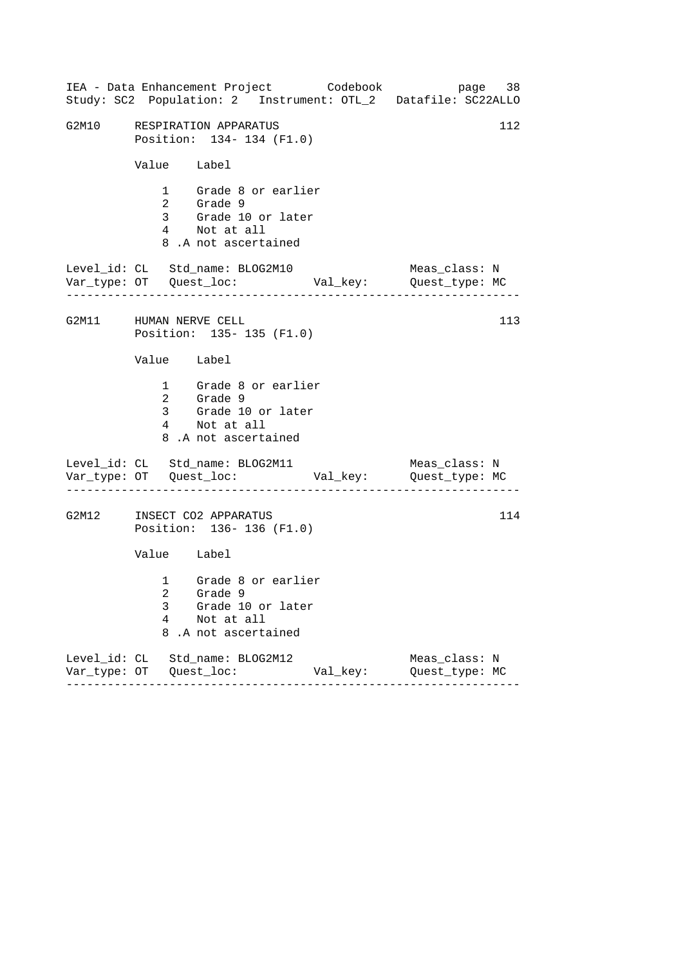|                        |             | IEA - Data Enhancement Project Codebook<br>Study: SC2 Population: 2 Instrument: OTL_2 Datafile: SC22ALLO |          | page 38                         |     |
|------------------------|-------------|----------------------------------------------------------------------------------------------------------|----------|---------------------------------|-----|
|                        |             | G2M10 RESPIRATION APPARATUS<br>Position: 134- 134 (F1.0)                                                 |          |                                 | 112 |
|                        | Value Label |                                                                                                          |          |                                 |     |
|                        |             | 1 Grade 8 or earlier<br>2 Grade 9<br>3 Grade 10 or later<br>4 Not at all<br>8.A not ascertained          |          |                                 |     |
|                        |             | Level_id: CL Std_name: BLOG2M10                                                                          |          | Meas_class: N                   |     |
| G2M11 HUMAN NERVE CELL |             | Position: 135- 135 (F1.0)                                                                                |          |                                 | 113 |
|                        | Value Label |                                                                                                          |          |                                 |     |
|                        |             | 1 Grade 8 or earlier<br>2 Grade 9<br>3 Grade 10 or later<br>4 Not at all<br>8.A not ascertained          |          |                                 |     |
|                        |             | Level_id: CL Std_name: BLOG2M11                                                                          |          | Meas_class: N                   |     |
|                        |             | G2M12 INSECT CO2 APPARATUS<br>Position: 136-136 (F1.0)                                                   |          |                                 | 114 |
|                        | Value Label |                                                                                                          |          |                                 |     |
|                        | 3<br>4<br>8 | 1 Grade 8 or earlier<br>2 Grade 9<br>Grade 10 or later<br>Not at all<br>.A not ascertained               |          |                                 |     |
|                        |             | Level_id: CL Std_name: BLOG2M12<br>--------                                                              | Val_key: | Meas_class: N<br>Quest_type: MC |     |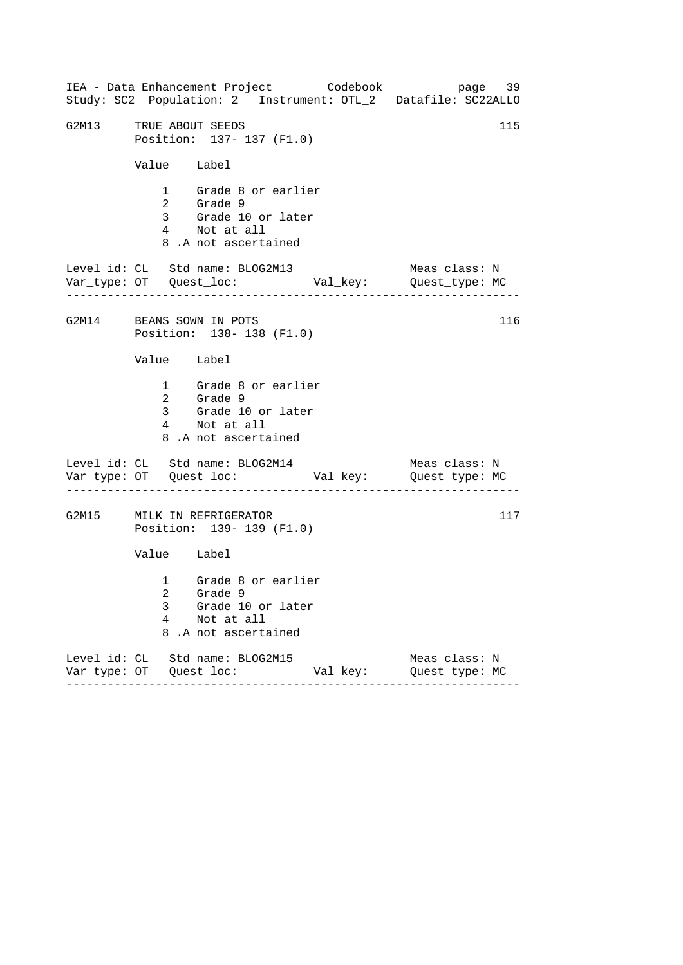| IEA - Data Enhancement Project Codebook<br>Study: SC2 Population: 2 Instrument: OTL_2 Datafile: SC22ALLO  | page 39                         |
|-----------------------------------------------------------------------------------------------------------|---------------------------------|
| G2M13 TRUE ABOUT SEEDS<br>Position: 137- 137 (F1.0)                                                       | 115                             |
| Value Label                                                                                               |                                 |
| 1 Grade 8 or earlier<br>2 Grade 9<br>3 Grade 10 or later<br>4 Not at all<br>8.A not ascertained           |                                 |
| Level_id: CL Std_name: BLOG2M13                                                                           | Meas_class: N                   |
| G2M14 BEANS SOWN IN POTS<br>Position: 138-138 (F1.0)                                                      | 116                             |
| Value Label                                                                                               |                                 |
| 1 Grade 8 or earlier<br>2 Grade 9<br>3 Grade 10 or later<br>4 Not at all<br>8.A not ascertained           |                                 |
| Level_id: CL Std_name: BLOG2M14                                                                           | Meas_class: N                   |
| G2M15 MILK IN REFRIGERATOR<br>Position: 139- 139 (F1.0)                                                   | 117                             |
| Value Label                                                                                               |                                 |
| 1 Grade 8 or earlier<br>2 Grade 9<br>Grade 10 or later<br>3<br>4<br>Not at all<br>8<br>.A not ascertained |                                 |
| Level_id: CL Std_name: BLOG2M15<br>Val_key:<br>$- - - - - - -$                                            | Meas_class: N<br>Quest_type: MC |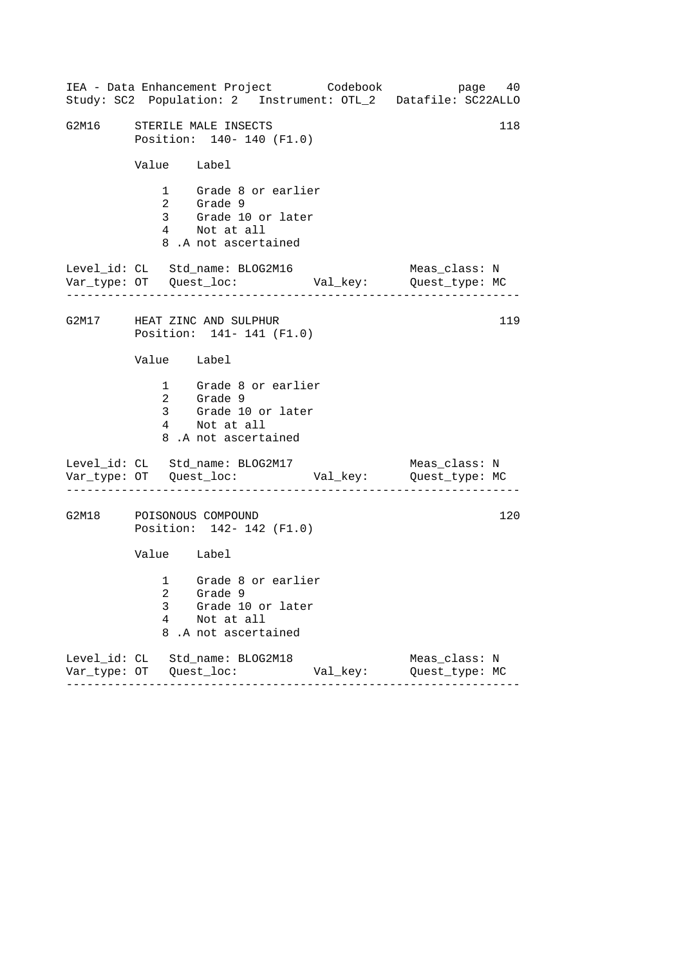| IEA - Data Enhancement Project Codebook<br>Study: SC2 Population: 2 Instrument: OTL_2 Datafile: SC22ALLO  | page 40                         |
|-----------------------------------------------------------------------------------------------------------|---------------------------------|
| G2M16 STERILE MALE INSECTS<br>Position: 140- 140 (F1.0)                                                   | 118                             |
| Value Label                                                                                               |                                 |
| 1 Grade 8 or earlier<br>2 Grade 9<br>3 Grade 10 or later<br>4 Not at all<br>8.A not ascertained           |                                 |
| Level_id: CL Std_name: BLOG2M16                                                                           | Meas_class: N                   |
| G2M17 HEAT ZINC AND SULPHUR<br>Position: 141- 141 (F1.0)                                                  | 119                             |
| Value Label                                                                                               |                                 |
| 1 Grade 8 or earlier<br>2 Grade 9<br>3 Grade 10 or later<br>4 Not at all<br>8.A not ascertained           |                                 |
| Level_id: CL Std_name: BLOG2M17                                                                           | Meas_class: N                   |
| G2M18 POISONOUS COMPOUND<br>Position: 142- 142 (F1.0)                                                     | 120                             |
| Value Label                                                                                               |                                 |
| 1 Grade 8 or earlier<br>2 Grade 9<br>3<br>Grade 10 or later<br>4<br>Not at all<br>8<br>.A not ascertained |                                 |
| Level_id: CL Std_name: BLOG2M18<br>Val_key:<br>--------                                                   | Meas_class: N<br>Quest_type: MC |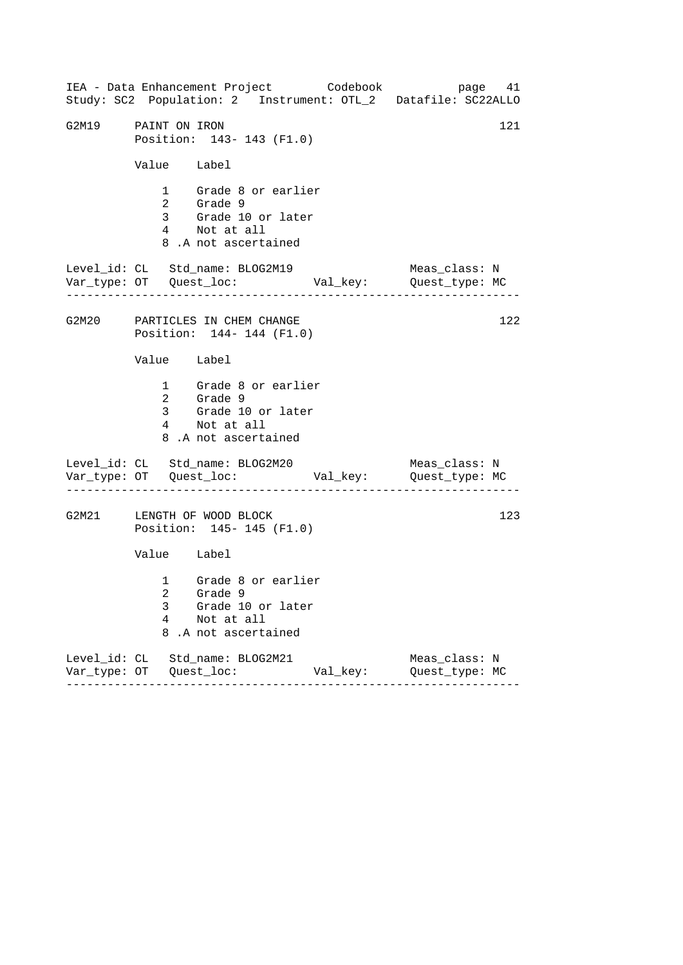|                     |             | IEA - Data Enhancement Project Codebook                                                         |          | page 41<br>Study: SC2 Population: 2 Instrument: OTL_2 Datafile: SC22ALLO |  |
|---------------------|-------------|-------------------------------------------------------------------------------------------------|----------|--------------------------------------------------------------------------|--|
| G2M19 PAINT ON IRON |             | Position: 143- 143 (F1.0)                                                                       |          | 121                                                                      |  |
|                     | Value Label |                                                                                                 |          |                                                                          |  |
|                     |             | 1 Grade 8 or earlier<br>2 Grade 9<br>3 Grade 10 or later<br>4 Not at all<br>8.A not ascertained |          |                                                                          |  |
|                     |             | Level_id: CL Std_name: BLOG2M19                                                                 |          | Meas_class: N                                                            |  |
|                     |             | G2M20 PARTICLES IN CHEM CHANGE<br>Position: 144- 144 (F1.0)                                     |          | 122                                                                      |  |
|                     | Value Label |                                                                                                 |          |                                                                          |  |
|                     |             | 1 Grade 8 or earlier<br>2 Grade 9<br>3 Grade 10 or later<br>4 Not at all<br>8.A not ascertained |          |                                                                          |  |
|                     |             | Level_id: CL Std_name: BLOG2M20                                                                 |          | Meas_class: N                                                            |  |
|                     |             | G2M21 LENGTH OF WOOD BLOCK<br>Position: 145- 145 (F1.0)                                         |          | 123                                                                      |  |
|                     | Value Label |                                                                                                 |          |                                                                          |  |
|                     | 3<br>4<br>8 | 1 Grade 8 or earlier<br>2 Grade 9<br>Grade 10 or later<br>Not at all<br>.A not ascertained      |          |                                                                          |  |
|                     |             | Level_id: CL Std_name: BLOG2M21                                                                 | Val_key: | Meas_class: N<br>Quest_type: MC                                          |  |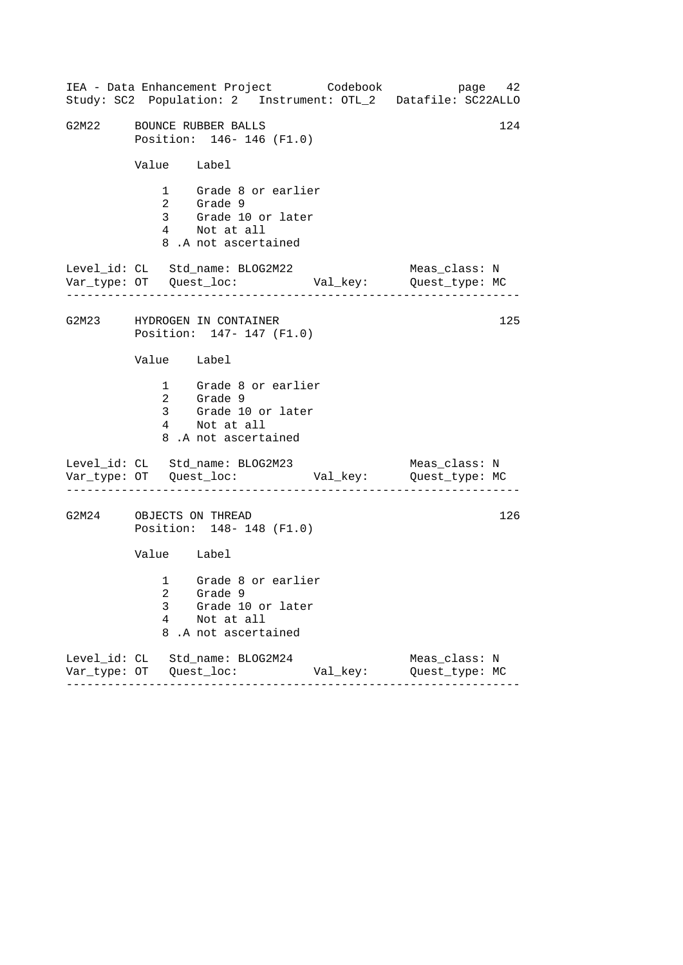|                           | IEA - Data Enhancement Project Codebook<br>Study: SC2 Population: 2 Instrument: OTL_2 Datafile: SC22ALLO |          |                                 | page 42 |
|---------------------------|----------------------------------------------------------------------------------------------------------|----------|---------------------------------|---------|
| G2M22 BOUNCE RUBBER BALLS | Position: 146- 146 (F1.0)                                                                                |          |                                 | 124     |
| Value Label               |                                                                                                          |          |                                 |         |
|                           | 1 Grade 8 or earlier<br>2 Grade 9<br>3 Grade 10 or later<br>4 Not at all<br>8.A not ascertained          |          |                                 |         |
|                           | Level_id: CL Std_name: BLOG2M22                                                                          |          | Meas_class: N                   |         |
|                           | G2M23 HYDROGEN IN CONTAINER<br>Position: 147- 147 (F1.0)                                                 |          |                                 | 125     |
| Value Label               |                                                                                                          |          |                                 |         |
|                           | 1 Grade 8 or earlier<br>2 Grade 9<br>3 Grade 10 or later<br>4 Not at all<br>8.A not ascertained          |          |                                 |         |
|                           | Level_id: CL Std_name: BLOG2M23<br>______________________                                                |          | Meas_class: N                   |         |
| G2M24 OBJECTS ON THREAD   | Position: 148-148 (F1.0)                                                                                 |          |                                 | 126     |
| Value Label               |                                                                                                          |          |                                 |         |
| 3<br>4<br>8               | 1 Grade 8 or earlier<br>2 Grade 9<br>Grade 10 or later<br>Not at all<br>.A not ascertained               |          |                                 |         |
|                           | Level_id: CL Std_name: BLOG2M24<br>-------                                                               | Val_key: | Meas_class: N<br>Quest_type: MC |         |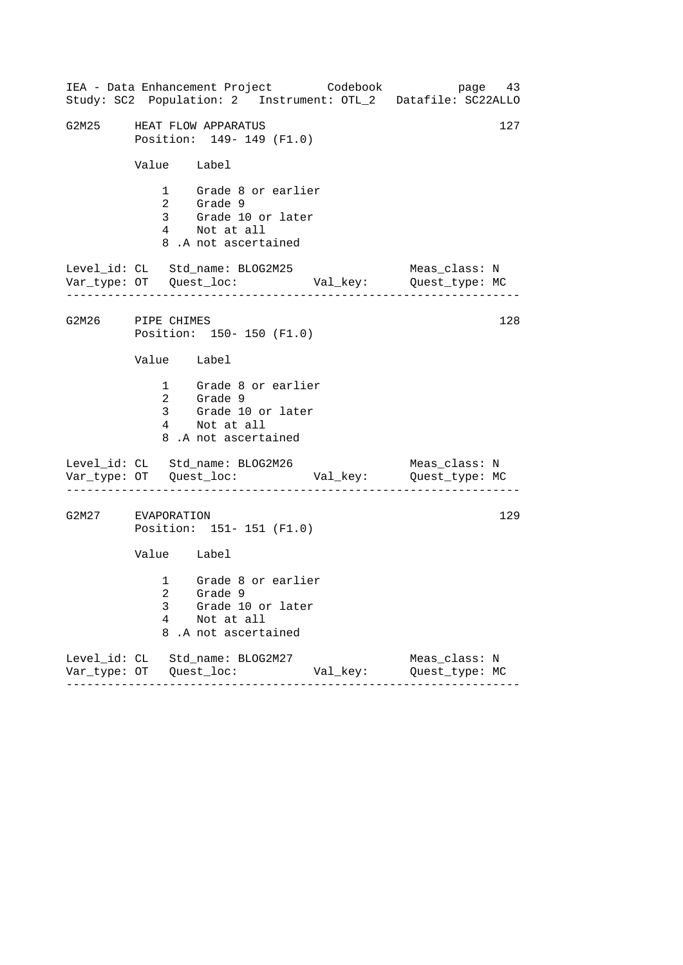|                   |                | IEA - Data Enhancement Project Codebook                                                         |          | page 43<br>Study: SC2 Population: 2 Instrument: OTL_2 Datafile: SC22ALLO |
|-------------------|----------------|-------------------------------------------------------------------------------------------------|----------|--------------------------------------------------------------------------|
| G2M25             |                | HEAT FLOW APPARATUS<br>Position: 149- 149 (F1.0)                                                |          | 127                                                                      |
|                   | Value Label    |                                                                                                 |          |                                                                          |
|                   | $\overline{2}$ | 1 Grade 8 or earlier<br>Grade 9<br>3 Grade 10 or later<br>4 Not at all<br>8.A not ascertained   |          |                                                                          |
|                   |                | Level_id: CL Std_name: BLOG2M25<br>- - - - - - - - <b>-</b>                                     |          | Meas_class: N                                                            |
| G2M26 PIPE CHIMES |                | Position: 150- 150 (F1.0)                                                                       |          | 128                                                                      |
|                   | Value Label    |                                                                                                 |          |                                                                          |
|                   |                | 1 Grade 8 or earlier<br>2 Grade 9<br>3 Grade 10 or later<br>4 Not at all<br>8.A not ascertained |          |                                                                          |
|                   |                | Level_id: CL Std_name: BLOG2M26                                                                 |          | Meas_class: N                                                            |
| G2M27 EVAPORATION |                | Position: 151- 151 (F1.0)                                                                       |          | 129                                                                      |
|                   | Value Label    |                                                                                                 |          |                                                                          |
|                   | 3<br>4<br>8    | 1 Grade 8 or earlier<br>2 Grade 9<br>Grade 10 or later<br>Not at all<br>.A not ascertained      |          |                                                                          |
|                   |                | Level_id: CL Std_name: BLOG2M27                                                                 | Val_key: | Meas_class: N<br>Quest_type: MC                                          |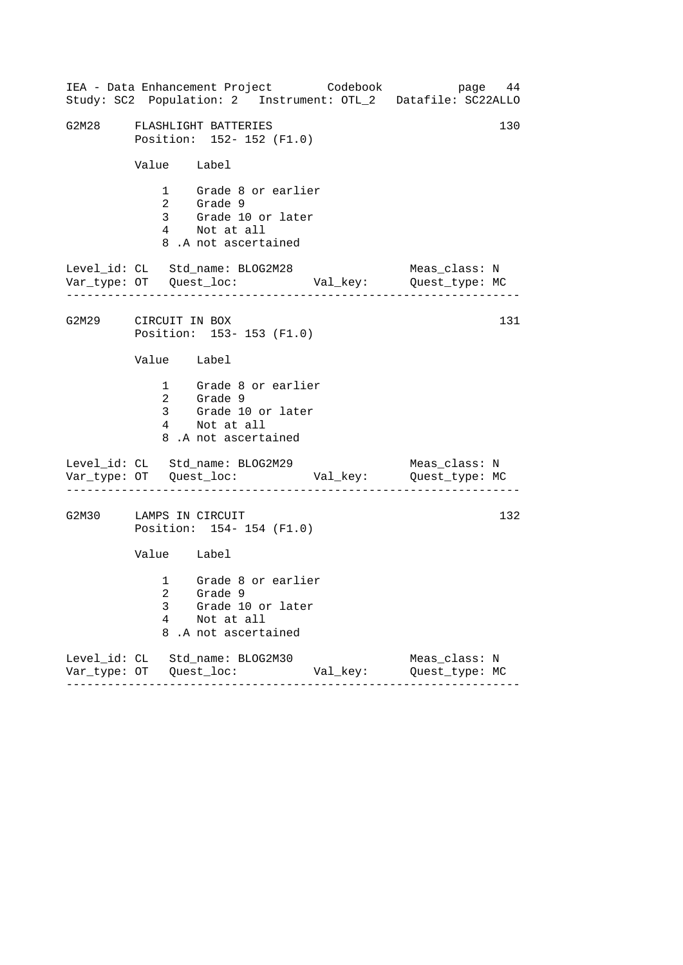|                        |             | IEA - Data Enhancement Project Codebook                                                                      |          | page 44<br>Study: SC2 Population: 2 Instrument: OTL_2 Datafile: SC22ALLO |
|------------------------|-------------|--------------------------------------------------------------------------------------------------------------|----------|--------------------------------------------------------------------------|
|                        |             | G2M28 FLASHLIGHT BATTERIES<br>Position: 152- 152 (F1.0)                                                      |          | 130                                                                      |
|                        | Value Label |                                                                                                              |          |                                                                          |
|                        |             | 1 Grade 8 or earlier<br>2 Grade 9<br>3 Grade 9<br>3 Grade 10 or later<br>4 Not at all<br>8.A not ascertained |          |                                                                          |
|                        |             | Level_id: CL Std_name: BLOG2M28                                                                              |          | Meas_class: N                                                            |
| G2M29 CIRCUIT IN BOX   |             | Position: 153-153 (F1.0)                                                                                     |          | 131                                                                      |
|                        | Value Label |                                                                                                              |          |                                                                          |
|                        |             | 1 Grade 8 or earlier<br>2 Grade 9<br>3 Grade 10 or later<br>4 Not at all<br>8.A not ascertained              |          |                                                                          |
|                        |             | Level_id: CL Std_name: BLOG2M29                                                                              |          | Meas_class: N                                                            |
| G2M30 LAMPS IN CIRCUIT |             | Position: 154-154 (F1.0)                                                                                     |          | 132                                                                      |
|                        | Value Label |                                                                                                              |          |                                                                          |
|                        | 3<br>4<br>8 | 1 Grade 8 or earlier<br>2 Grade 9<br>Grade 10 or later<br>Not at all<br>.A not ascertained                   |          |                                                                          |
|                        |             | Level_id: CL Std_name: BLOG2M30                                                                              | Val_key: | Meas_class: N<br>Quest_type: MC                                          |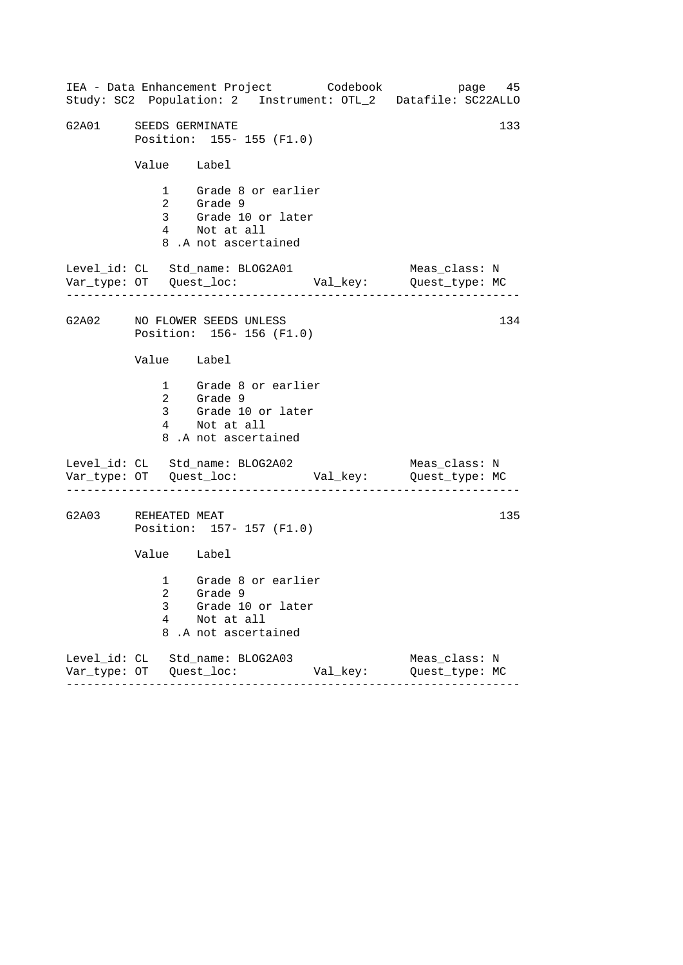------------------------------------------------------------------ ------------------------------------------------------------------ ------------------------------------------------------------------ IEA - Data Enhancement Project Codebook page 45 Study: SC2 Population: 2 Instrument: OTL\_2 Datafile: SC22ALLO G2A01 SEEDS GERMINATE 133 Position: 155- 155 (F1.0) Value Label 1 Grade 8 or earlier 2 Grade 9 3 Grade 10 or later 4 Not at all 8 .A not ascertained Level\_id: CL Std\_name: BLOG2A01 Meas\_class: N Var\_type: OT Quest\_loc: Val\_key: Quest\_type: MC G2A02 NO FLOWER SEEDS UNLESS Position: 156- 156 (F1.0) Value Label 1 Grade 8 or earlier 2 Grade 9 3 Grade 10 or later 4 Not at all 8 .A not ascertained Level\_id: CL Std\_name: BLOG2A02 Var\_type: OT Quest\_loc: Val\_key: Quest\_type: MC Meas\_class: N G2A03 REHEATED MEAT Position: 157- 157 (F1.0) Value Label 1 Grade 8 or earlier 2 Grade 9 3 Grade 10 or later 4 Not at all 8 .A not ascertained Level\_id: CL Std\_name: BLOG2A03 Meas\_class: N Var\_type: OT Quest\_loc: Val\_key: Quest\_type: MC 134 135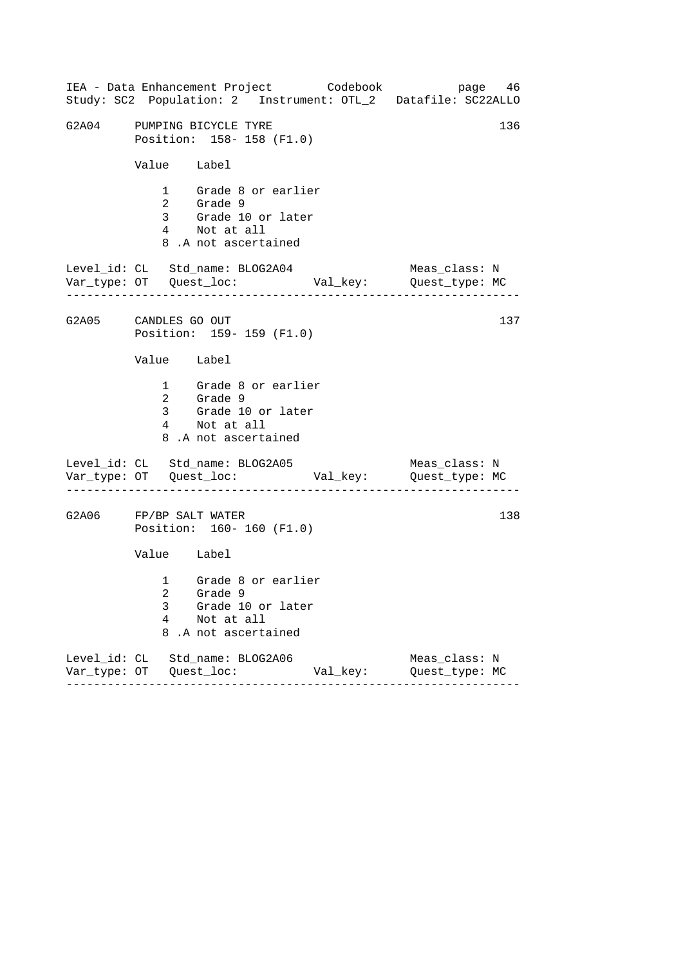| IEA - Data Enhancement Project Codebook<br>Study: SC2 Population: 2 Instrument: OTL_2 Datafile: SC22ALLO  | page 46                         |
|-----------------------------------------------------------------------------------------------------------|---------------------------------|
| G2A04 PUMPING BICYCLE TYRE<br>Position: 158-158 (F1.0)                                                    | 136                             |
| Value Label                                                                                               |                                 |
| 1 Grade 8 or earlier<br>2 Grade 9<br>3 Grade 10 or later<br>4 Not at all<br>8.A not ascertained           |                                 |
| Level_id: CL Std_name: BLOG2A04                                                                           | Meas_class: N                   |
| G2A05 CANDLES GO OUT<br>Position: 159-159 (F1.0)                                                          | 137                             |
| Value Label                                                                                               |                                 |
| 1 Grade 8 or earlier<br>2 Grade 9<br>3 Grade 10 or later<br>4 Not at all<br>8.A not ascertained           |                                 |
| Level_id: CL Std_name: BLOG2A05                                                                           | Meas_class: N                   |
| G2A06 FP/BP SALT WATER<br>Position: 160- 160 (F1.0)                                                       | 138                             |
| Value Label                                                                                               |                                 |
| 1 Grade 8 or earlier<br>2 Grade 9<br>Grade 10 or later<br>3<br>4<br>Not at all<br>8<br>.A not ascertained |                                 |
| Level_id: CL Std_name: BLOG2A06<br>Val_key:                                                               | Meas_class: N<br>Quest_type: MC |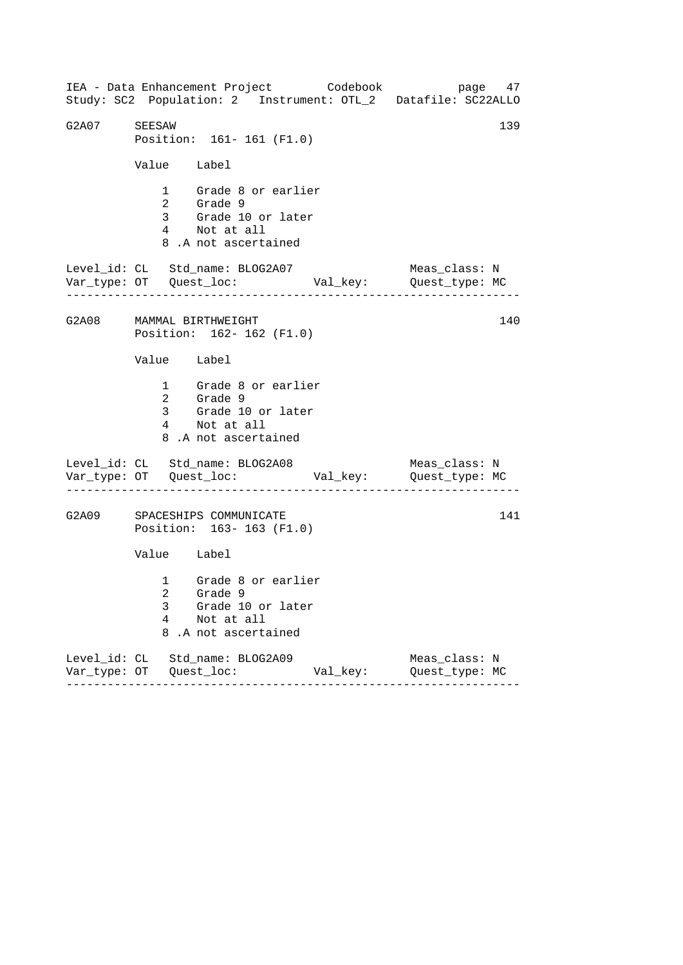------------------------------------------------------------------ ------------------------------------------------------------------ ------------------------------------------------------------------ IEA - Data Enhancement Project Codebook page 47 Study: SC2 Population: 2 Instrument: OTL\_2 Datafile: SC22ALLO G2A07 SEESAW 139 Position: 161- 161 (F1.0) Value Label 1 Grade 8 or earlier 2 Grade 9 3 Grade 10 or later 4 Not at all 8 .A not ascertained Level\_id: CL Std\_name: BLOG2A07 Meas\_class: N Var\_type: OT Quest\_loc: Val\_key: Quest\_type: MC G2A08 MAMMAL BIRTHWEIGHT Position: 162- 162 (F1.0) Value Label 1 Grade 8 or earlier 2 Grade 9 3 Grade 10 or later 4 Not at all 8 .A not ascertained Level\_id: CL Std\_name: BLOG2A08 Var\_type: OT Quest\_loc: Val\_key: Quest\_type: MC Meas\_class: N G2A09 SPACESHIPS COMMUNICATE Position: 163- 163 (F1.0) Value Label 1 Grade 8 or earlier 2 Grade 9 3 Grade 10 or later 4 Not at all 8 .A not ascertained Level\_id: CL Std\_name: BLOG2A09 Meas\_class: N Var\_type: OT Quest\_loc: Val\_key: Quest\_type: MC 140 141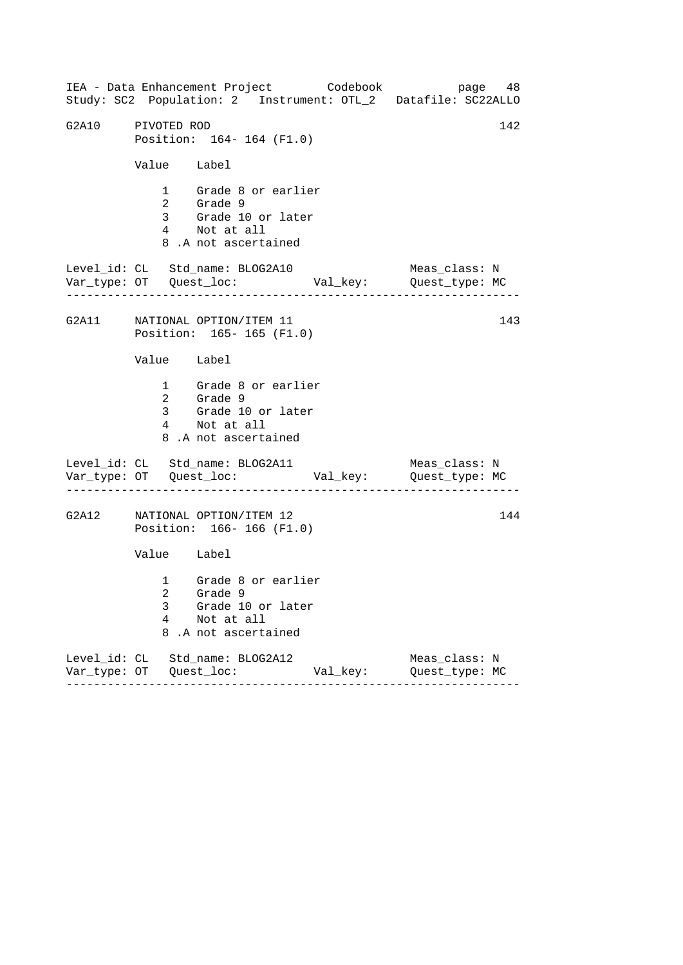|                   |             | IEA - Data Enhancement Project Codebook<br>Study: SC2 Population: 2 Instrument: OTL_2 Datafile: SC22ALLO |          | page 48                         |     |
|-------------------|-------------|----------------------------------------------------------------------------------------------------------|----------|---------------------------------|-----|
| G2A10 PIVOTED ROD |             | Position: 164-164 (F1.0)                                                                                 |          |                                 | 142 |
|                   | Value Label |                                                                                                          |          |                                 |     |
|                   |             | 1 Grade 8 or earlier<br>2 Grade 9<br>3 Grade 10 or later<br>4 Not at all<br>8.A not ascertained          |          |                                 |     |
|                   |             | Level_id: CL Std_name: BLOG2A10                                                                          |          | Meas_class: N                   |     |
|                   |             | G2A11 NATIONAL OPTION/ITEM 11<br>Position: 165-165 (F1.0)                                                |          |                                 | 143 |
|                   | Value Label |                                                                                                          |          |                                 |     |
|                   |             | 1 Grade 8 or earlier<br>2 Grade 9<br>3 Grade 10 or later<br>4 Not at all<br>8.A not ascertained          |          |                                 |     |
|                   |             | Level_id: CL Std_name: BLOG2A11                                                                          |          | Meas_class: N                   |     |
|                   |             | G2A12 NATIONAL OPTION/ITEM 12<br>Position: 166-166 (F1.0)                                                |          |                                 | 144 |
|                   | Value Label |                                                                                                          |          |                                 |     |
|                   | 3<br>4      | 1 Grade 8 or earlier<br>2 Grade 9<br>Grade 10 or later<br>Not at all<br>8.A not ascertained              |          |                                 |     |
|                   |             | Level_id: CL Std_name: BLOG2A12                                                                          | Val_key: | Meas_class: N<br>Quest_type: MC |     |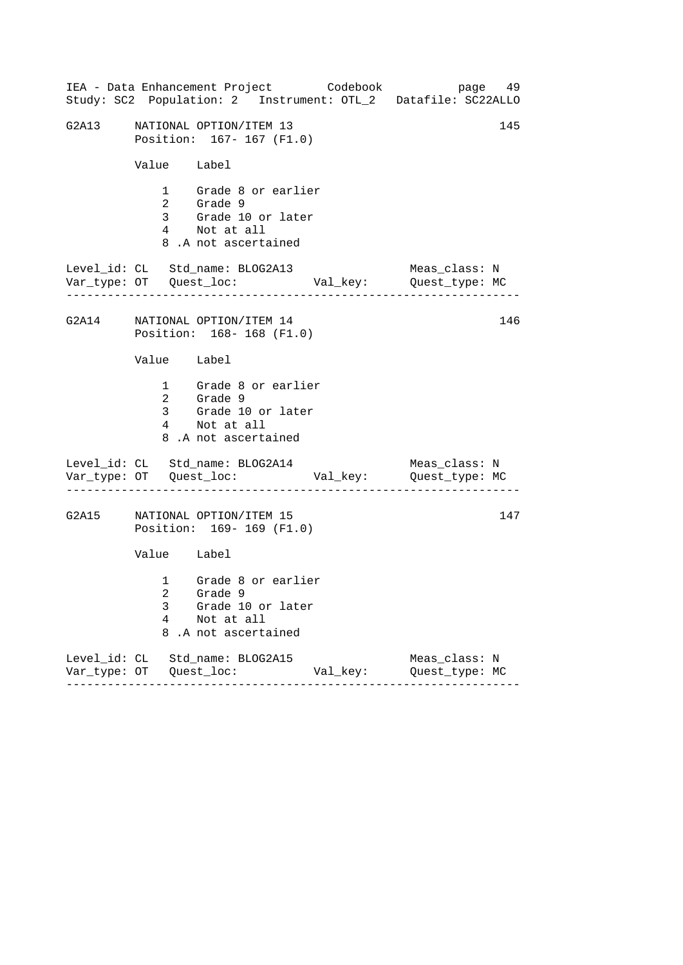|             | IEA - Data Enhancement Project Codebook                                                         |          | page 49<br>Study: SC2 Population: 2 Instrument: OTL_2 Datafile: SC22ALLO |  |
|-------------|-------------------------------------------------------------------------------------------------|----------|--------------------------------------------------------------------------|--|
|             | G2A13 NATIONAL OPTION/ITEM 13<br>Position: 167- 167 (F1.0)                                      |          | 145                                                                      |  |
| Value Label |                                                                                                 |          |                                                                          |  |
|             | 1 Grade 8 or earlier<br>2 Grade 9<br>3 Grade 10 or later<br>4 Not at all<br>8.A not ascertained |          |                                                                          |  |
|             | Level_id: CL Std_name: BLOG2A13                                                                 |          | Meas_class: N                                                            |  |
|             | G2A14 NATIONAL OPTION/ITEM 14<br>Position: 168-168 (F1.0)                                       |          | 146                                                                      |  |
| Value Label |                                                                                                 |          |                                                                          |  |
|             | 1 Grade 8 or earlier<br>2 Grade 9<br>3 Grade 10 or later<br>4 Not at all<br>8.A not ascertained |          |                                                                          |  |
|             | Level_id: CL Std_name: BLOG2A14                                                                 |          | Meas_class: N                                                            |  |
|             | G2A15 NATIONAL OPTION/ITEM 15<br>Position: 169-169 (F1.0)                                       |          | 147                                                                      |  |
| Value Label |                                                                                                 |          |                                                                          |  |
| 3<br>4<br>8 | 1 Grade 8 or earlier<br>2 Grade 9<br>Grade 10 or later<br>Not at all<br>.A not ascertained      |          |                                                                          |  |
|             | Level_id: CL Std_name: BLOG2A15                                                                 | Val_key: | Meas_class: N<br>Quest_type: MC                                          |  |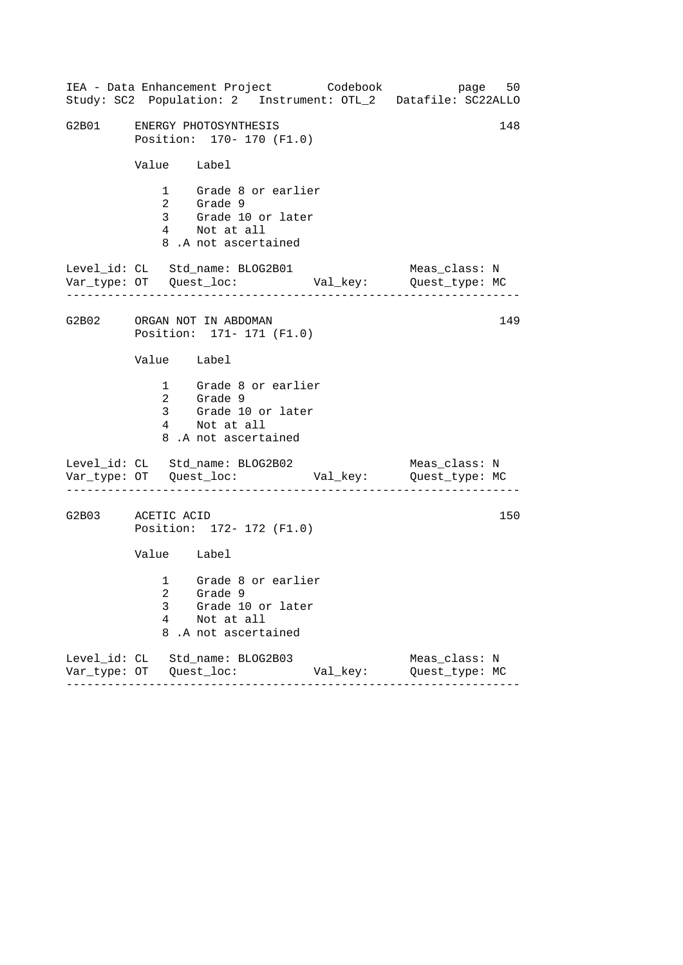|                   | IEA - Data Enhancement Project Codebook<br>Study: SC2 Population: 2 Instrument: OTL_2 Datafile: SC22ALLO  | page 50                         |
|-------------------|-----------------------------------------------------------------------------------------------------------|---------------------------------|
|                   | G2B01 ENERGY PHOTOSYNTHESIS<br>Position: 170- 170 (F1.0)                                                  | 148                             |
|                   | Value Label                                                                                               |                                 |
|                   | 1 Grade 8 or earlier<br>2 Grade 9<br>3 Grade 10 or later<br>4 Not at all<br>8.A not ascertained           |                                 |
|                   | Level_id: CL Std_name: BLOG2B01                                                                           | Meas_class: N                   |
|                   | G2B02 ORGAN NOT IN ABDOMAN<br>Position: 171- 171 (F1.0)                                                   | 149                             |
|                   | Value Label                                                                                               |                                 |
|                   | 1 Grade 8 or earlier<br>2 Grade 9<br>3 Grade 10 or later<br>4 Not at all<br>8.A not ascertained           |                                 |
|                   | Level_id: CL Std_name: BLOG2B02                                                                           | Meas_class: N                   |
| G2B03 ACETIC ACID | Position: 172- 172 (F1.0)                                                                                 | 150                             |
|                   | Value Label                                                                                               |                                 |
|                   | 1 Grade 8 or earlier<br>2 Grade 9<br>3<br>Grade 10 or later<br>4<br>Not at all<br>8<br>.A not ascertained |                                 |
|                   | Level_id: CL Std_name: BLOG2B03<br>Val_key:                                                               | Meas_class: N<br>Quest_type: MC |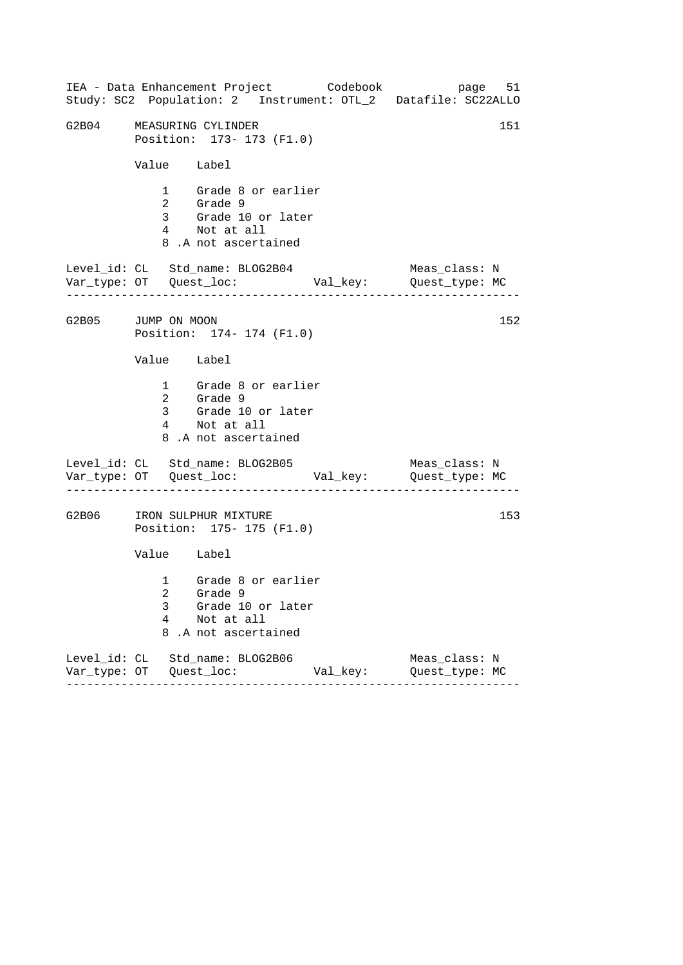|                    |             | IEA - Data Enhancement Project Codebook                                                                      |          | page 51<br>Study: SC2 Population: 2 Instrument: OTL_2 Datafile: SC22ALLO |
|--------------------|-------------|--------------------------------------------------------------------------------------------------------------|----------|--------------------------------------------------------------------------|
| G2B04              |             | MEASURING CYLINDER<br>Position: 173- 173 (F1.0)                                                              |          | 151                                                                      |
|                    | Value Label |                                                                                                              |          |                                                                          |
|                    |             | 1 Grade 8 or earlier<br>2 Grade 9<br>3 Grade 9<br>3 Grade 10 or later<br>4 Not at all<br>8.A not ascertained |          |                                                                          |
|                    |             | Level_id: CL Std_name: BLOG2B04                                                                              |          | Meas_class: N                                                            |
| G2B05 JUMP ON MOON |             | Position: 174- 174 (F1.0)                                                                                    |          | 152                                                                      |
|                    | Value Label |                                                                                                              |          |                                                                          |
|                    |             | 1 Grade 8 or earlier<br>2 Grade 9<br>3 Grade 10 or later<br>4 Not at all<br>8.A not ascertained              |          |                                                                          |
|                    |             | Level_id: CL Std_name: BLOG2B05                                                                              |          | Meas_class: N                                                            |
| G2B06              |             | IRON SULPHUR MIXTURE<br>Position: 175- 175 (F1.0)                                                            |          | 153                                                                      |
|                    | Value Label |                                                                                                              |          |                                                                          |
|                    | 3<br>4<br>8 | 1 Grade 8 or earlier<br>2 Grade 9<br>Grade 10 or later<br>Not at all<br>.A not ascertained                   |          |                                                                          |
|                    |             | Level_id: CL Std_name: BLOG2B06                                                                              | Val_key: | Meas_class: N<br>Quest_type: MC                                          |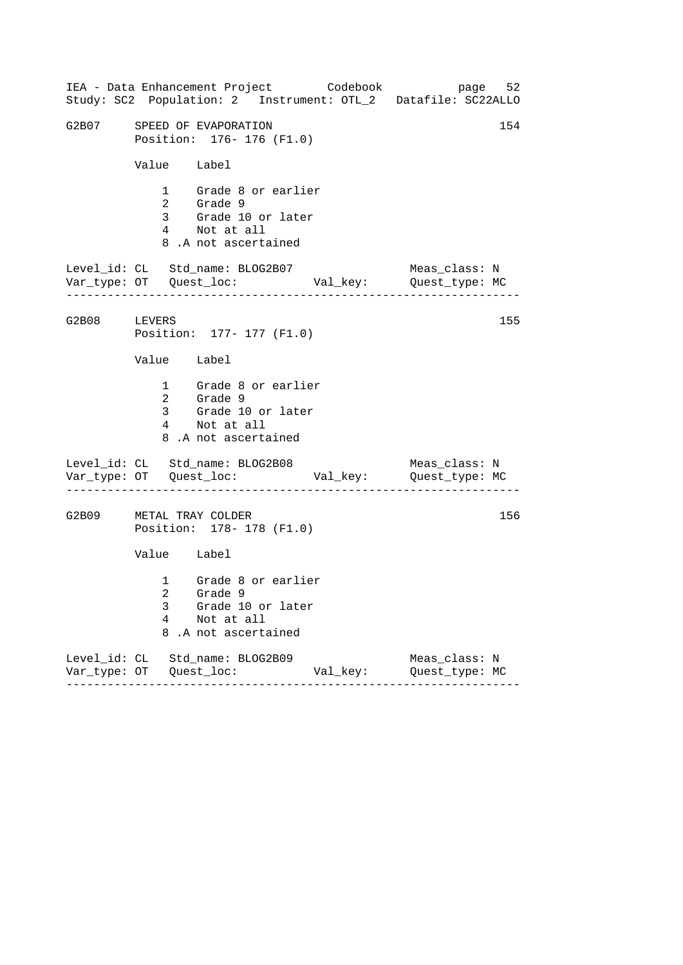|                         |             | IEA - Data Enhancement Project Codebook<br>Study: SC2 Population: 2 Instrument: OTL_2 Datafile: SC22ALLO |          | page 52                         |     |
|-------------------------|-------------|----------------------------------------------------------------------------------------------------------|----------|---------------------------------|-----|
|                         |             | G2B07 SPEED OF EVAPORATION<br>Position: 176- 176 (F1.0)                                                  |          |                                 | 154 |
|                         | Value Label |                                                                                                          |          |                                 |     |
|                         |             | 1 Grade 8 or earlier<br>2 Grade 9<br>3 Grade 10 or later<br>4 Not at all<br>8.A not ascertained          |          |                                 |     |
|                         |             | Level_id: CL Std_name: BLOG2B07                                                                          |          | Meas_class: N                   |     |
| G2B08 LEVERS            |             | Position: 177- 177 (F1.0)                                                                                |          |                                 | 155 |
|                         | Value Label |                                                                                                          |          |                                 |     |
|                         |             | 1 Grade 8 or earlier<br>2 Grade 9<br>3 Grade 10 or later<br>4 Not at all<br>8.A not ascertained          |          |                                 |     |
|                         |             | Level_id: CL Std_name: BLOG2B08                                                                          |          | Meas_class: N                   |     |
| G2B09 METAL TRAY COLDER |             | Position: 178- 178 (F1.0)                                                                                |          |                                 | 156 |
|                         | Value Label |                                                                                                          |          |                                 |     |
|                         | 3<br>4<br>8 | 1 Grade 8 or earlier<br>2 Grade 9<br>Grade 10 or later<br>Not at all<br>.A not ascertained               |          |                                 |     |
|                         |             | Level_id: CL Std_name: BLOG2B09<br>-------                                                               | Val_key: | Meas_class: N<br>Quest_type: MC |     |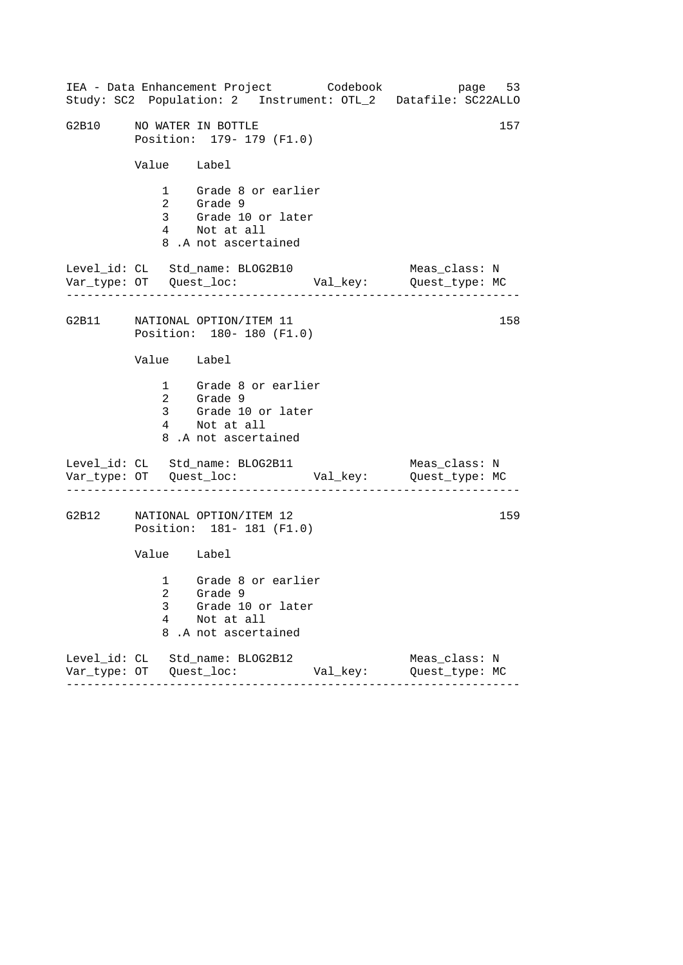|       |             | IEA - Data Enhancement Project Codebook<br>Study: SC2 Population: 2 Instrument: OTL_2 Datafile: SC22ALLO |          |                                 | page 53 |
|-------|-------------|----------------------------------------------------------------------------------------------------------|----------|---------------------------------|---------|
| G2B10 |             | NO WATER IN BOTTLE<br>Position: 179- 179 (F1.0)                                                          |          |                                 | 157     |
|       | Value Label |                                                                                                          |          |                                 |         |
|       |             | 1 Grade 8 or earlier<br>2 Grade 9<br>3 Grade 10 or later<br>4 Not at all<br>8.A not ascertained          |          |                                 |         |
|       |             | Level_id: CL Std_name: BLOG2B10                                                                          |          | Meas_class: N                   |         |
|       |             | G2B11 NATIONAL OPTION/ITEM 11<br>Position: 180- 180 (F1.0)                                               |          |                                 | 158     |
|       | Value Label |                                                                                                          |          |                                 |         |
|       |             | 1 Grade 8 or earlier<br>2 Grade 9<br>3 Grade 10 or later<br>4 Not at all<br>8.A not ascertained          |          |                                 |         |
|       |             | Level_id: CL Std_name: BLOG2B11<br>.                                                                     |          | Meas_class: N                   |         |
|       |             | G2B12 NATIONAL OPTION/ITEM 12<br>Position: 181- 181 (F1.0)                                               |          |                                 | 159     |
|       | Value Label |                                                                                                          |          |                                 |         |
|       | 3<br>4<br>8 | 1 Grade 8 or earlier<br>2 Grade 9<br>Grade 10 or later<br>Not at all<br>.A not ascertained               |          |                                 |         |
|       |             | Level_id: CL Std_name: BLOG2B12<br>-------                                                               | Val_key: | Meas_class: N<br>Quest_type: MC |         |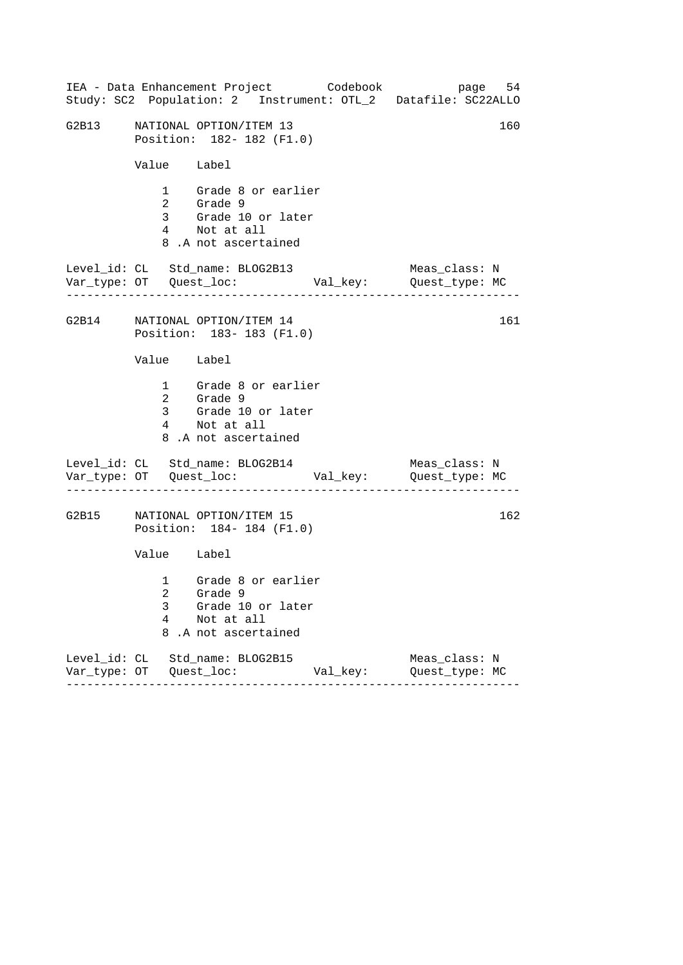|             | IEA - Data Enhancement Project Codebook<br>Study: SC2 Population: 2 Instrument: OTL_2 Datafile: SC22ALLO |          | page 54                         |     |
|-------------|----------------------------------------------------------------------------------------------------------|----------|---------------------------------|-----|
|             | G2B13 NATIONAL OPTION/ITEM 13<br>Position: 182- 182 (F1.0)                                               |          |                                 | 160 |
| Value Label |                                                                                                          |          |                                 |     |
|             | 1 Grade 8 or earlier<br>2 Grade 9<br>3 Grade 10 or later<br>4 Not at all<br>8.A not ascertained          |          |                                 |     |
|             | Level_id: CL Std_name: BLOG2B13                                                                          |          | Meas_class: N                   |     |
|             | G2B14 NATIONAL OPTION/ITEM 14<br>Position: 183-183 (F1.0)                                                |          |                                 | 161 |
| Value Label |                                                                                                          |          |                                 |     |
|             | 1 Grade 8 or earlier<br>2 Grade 9<br>3 Grade 10 or later<br>4 Not at all<br>8.A not ascertained          |          |                                 |     |
|             | Level_id: CL Std_name: BLOG2B14                                                                          |          | Meas_class: N                   |     |
|             | G2B15 NATIONAL OPTION/ITEM 15<br>Position: 184-184 (F1.0)                                                |          |                                 | 162 |
| Value Label |                                                                                                          |          |                                 |     |
| 3<br>4<br>8 | 1 Grade 8 or earlier<br>2 Grade 9<br>Grade 10 or later<br>Not at all<br>.A not ascertained               |          |                                 |     |
|             | Level_id: CL Std_name: BLOG2B15                                                                          | Val_key: | Meas_class: N<br>Quest_type: MC |     |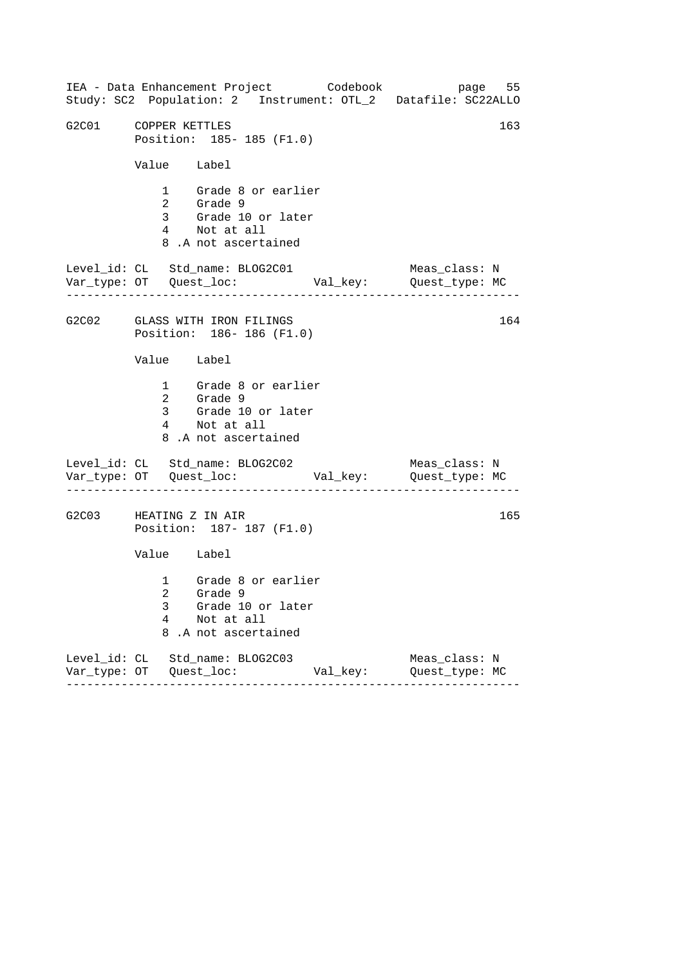| IEA - Data Enhancement Project Codebook<br>Study: SC2 Population: 2 Instrument: OTL_2 Datafile: SC22ALLO  | page 55                         |
|-----------------------------------------------------------------------------------------------------------|---------------------------------|
| G2C01 COPPER KETTLES<br>Position: 185-185 (F1.0)                                                          | 163                             |
| Value Label                                                                                               |                                 |
| 1 Grade 8 or earlier<br>2 Grade 9<br>3 Grade 10 or later<br>4 Not at all<br>8.A not ascertained           |                                 |
| Level_id: CL Std_name: BLOG2C01                                                                           | Meas_class: N                   |
| G2C02 GLASS WITH IRON FILINGS<br>Position: 186-186 (F1.0)                                                 | 164                             |
| Value Label                                                                                               |                                 |
| 1 Grade 8 or earlier<br>2 Grade 9<br>3 Grade 10 or later<br>4 Not at all<br>8.A not ascertained           |                                 |
| Level_id: CL Std_name: BLOG2C02<br>---------------------                                                  | Meas_class: N                   |
| G2C03 HEATING Z IN AIR<br>Position: 187- 187 (F1.0)                                                       | 165                             |
| Value Label                                                                                               |                                 |
| 1 Grade 8 or earlier<br>2 Grade 9<br>Grade 10 or later<br>3<br>4<br>Not at all<br>8<br>.A not ascertained |                                 |
| Level_id: CL Std_name: BLOG2C03<br>Val_key:                                                               | Meas_class: N<br>Quest_type: MC |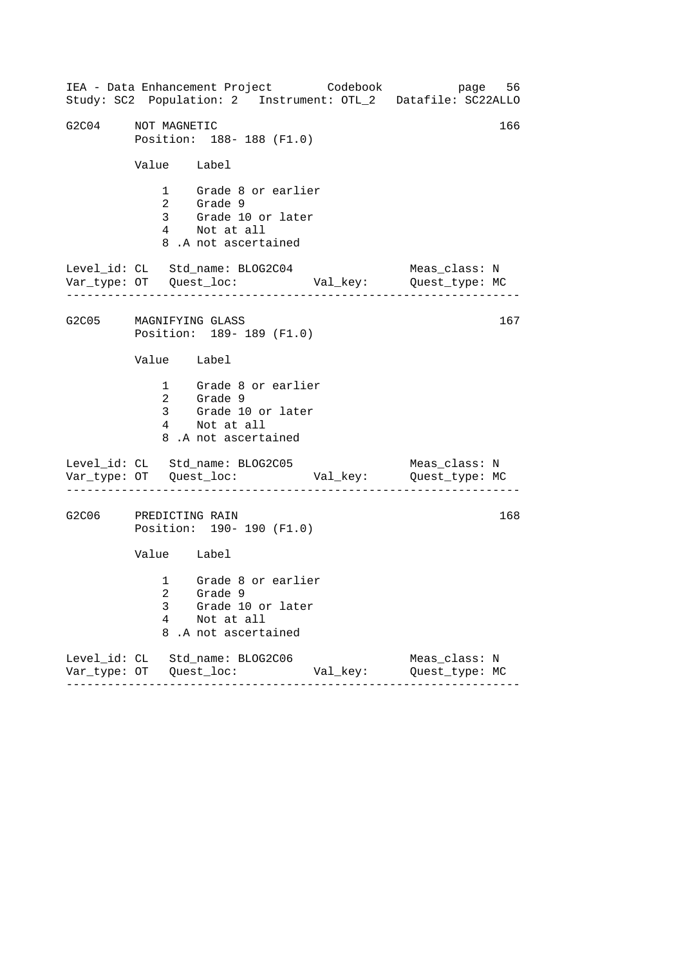------------------------------------------------------------------ ------------------------------------------------------------------ ------------------------------------------------------------------ IEA - Data Enhancement Project Codebook page 56 Study: SC2 Population: 2 Instrument: OTL\_2 Datafile: SC22ALLO G2C04 NOT MAGNETIC Position: 188- 188 (F1.0) Value Label 1 Grade 8 or earlier 2 Grade 9 3 Grade 10 or later 4 Not at all 8 .A not ascertained Level\_id: CL Std\_name: BLOG2C04 Meas\_class: N Var\_type: OT Quest\_loc: Val\_key: Quest\_type: MC G2C05 MAGNIFYING GLASS Position: 189- 189 (F1.0) Value Label 1 Grade 8 or earlier 2 Grade 9 3 Grade 10 or later 4 Not at all 8 .A not ascertained Level\_id: CL Std\_name: BLOG2C05 Var\_type: OT Quest\_loc: Val\_key: Quest\_type: MC Meas\_class: N G2C06 PREDICTING RAIN Position: 190- 190 (F1.0) Value Label 1 Grade 8 or earlier 2 Grade 9 3 Grade 10 or later 4 Not at all 8 .A not ascertained Level\_id: CL Std\_name: BLOG2C06 Meas\_class: N Var\_type: OT Quest\_loc: Val\_key: Quest\_type: MC 167 168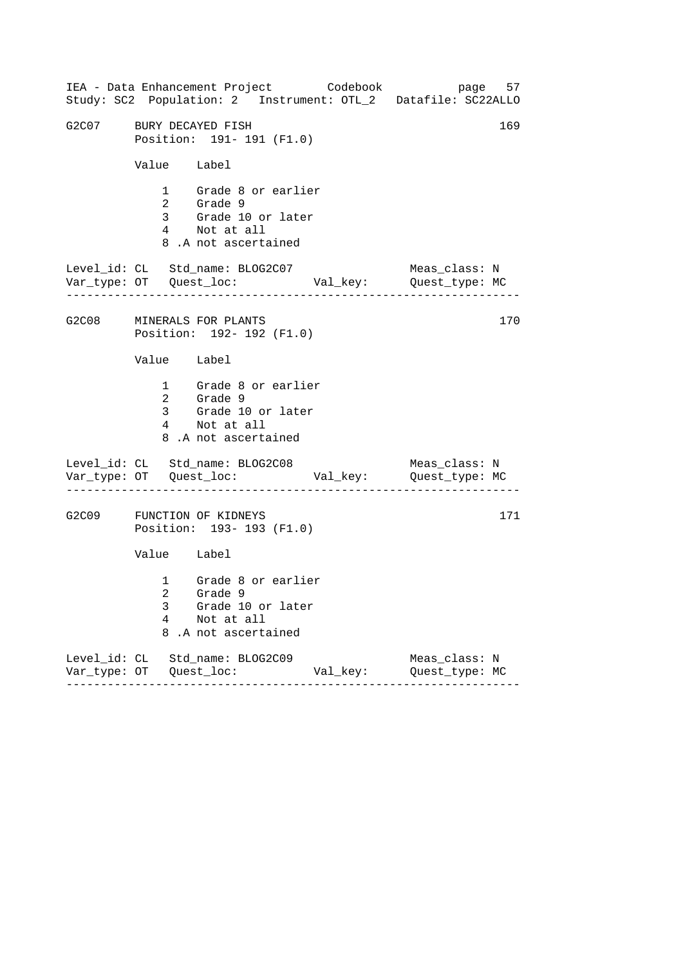|                         |             | IEA - Data Enhancement Project Codebook<br>Study: SC2 Population: 2 Instrument: OTL_2 Datafile: SC22ALLO |          | page 57                         |     |
|-------------------------|-------------|----------------------------------------------------------------------------------------------------------|----------|---------------------------------|-----|
| G2C07 BURY DECAYED FISH |             | Position: 191- 191 (F1.0)                                                                                |          |                                 | 169 |
|                         | Value Label |                                                                                                          |          |                                 |     |
|                         |             | 1 Grade 8 or earlier<br>2 Grade 9<br>3 Grade 10 or later<br>4 Not at all<br>8.A not ascertained          |          |                                 |     |
|                         |             | Level_id: CL Std_name: BLOG2C07                                                                          |          | Meas_class: N                   |     |
|                         |             | G2C08 MINERALS FOR PLANTS<br>Position: 192- 192 (F1.0)                                                   |          |                                 | 170 |
|                         | Value Label |                                                                                                          |          |                                 |     |
|                         |             | 1 Grade 8 or earlier<br>2 Grade 9<br>3 Grade 10 or later<br>4 Not at all<br>8.A not ascertained          |          |                                 |     |
|                         |             | Level_id: CL Std_name: BLOG2C08<br>_____________________                                                 |          | Meas_class: N                   |     |
|                         |             | G2C09 FUNCTION OF KIDNEYS<br>Position: 193- 193 (F1.0)                                                   |          |                                 | 171 |
|                         | Value Label |                                                                                                          |          |                                 |     |
|                         | 3<br>4<br>8 | 1 Grade 8 or earlier<br>2 Grade 9<br>Grade 10 or later<br>Not at all<br>.A not ascertained               |          |                                 |     |
|                         |             | Level_id: CL Std_name: BLOG2C09<br>-------                                                               | Val_key: | Meas_class: N<br>Quest_type: MC |     |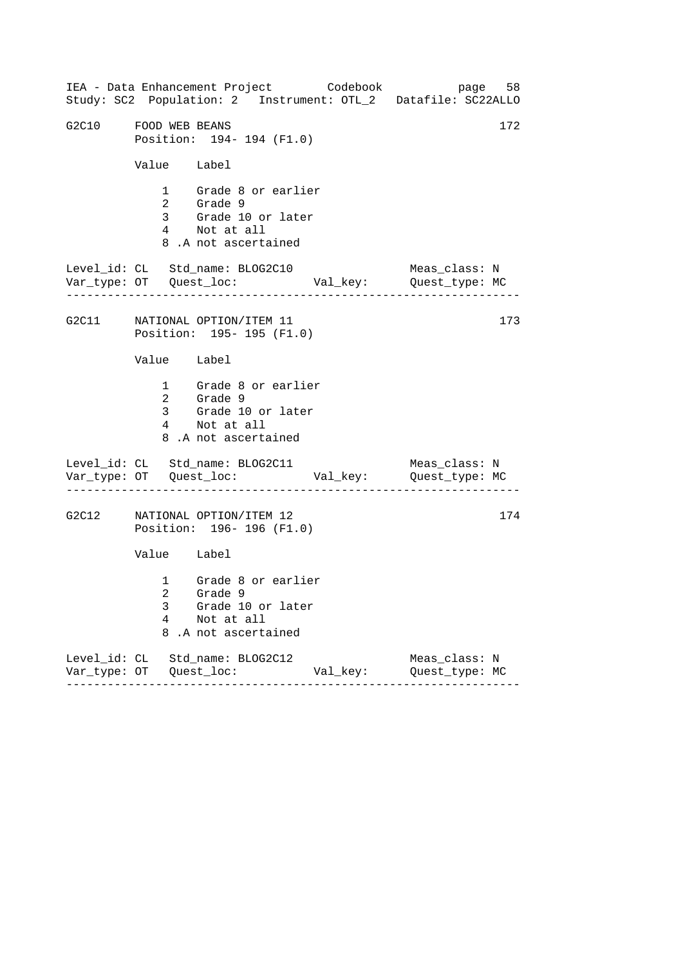|                      |             | IEA - Data Enhancement Project Codebook<br>Study: SC2 Population: 2 Instrument: OTL_2 Datafile: SC22ALLO |               |                                 | page 58 |
|----------------------|-------------|----------------------------------------------------------------------------------------------------------|---------------|---------------------------------|---------|
| G2C10 FOOD WEB BEANS |             | Position: 194- 194 (F1.0)                                                                                |               |                                 | 172     |
|                      | Value Label |                                                                                                          |               |                                 |         |
|                      |             | 1 Grade 8 or earlier<br>2 Grade 9<br>3 Grade 10 or later<br>4 Not at all<br>8.A not ascertained          |               |                                 |         |
|                      |             | Level_id: CL Std_name: BLOG2C10                                                                          |               | Meas_class: N                   |         |
|                      |             | G2C11 NATIONAL OPTION/ITEM 11<br>Position: 195- 195 (F1.0)                                               |               |                                 | 173     |
|                      | Value Label |                                                                                                          |               |                                 |         |
|                      |             | 1 Grade 8 or earlier<br>2 Grade 9<br>3 Grade 10 or later<br>4 Not at all<br>8.A not ascertained          |               |                                 |         |
|                      |             | Level_id: CL Std_name: BLOG2C11                                                                          |               | Meas_class: N                   |         |
|                      |             | G2C12 NATIONAL OPTION/ITEM 12<br>Position: 196-196 (F1.0)                                                |               |                                 | 174     |
|                      | Value Label |                                                                                                          |               |                                 |         |
|                      | 3<br>4<br>8 | 1 Grade 8 or earlier<br>2 Grade 9<br>Grade 10 or later<br>Not at all<br>.A not ascertained               |               |                                 |         |
|                      | . <u>.</u>  | Level_id: CL Std_name: BLOG2C12<br>- - - - - - - - - - -                                                 | Val_key:<br>. | Meas_class: N<br>Quest_type: MC |         |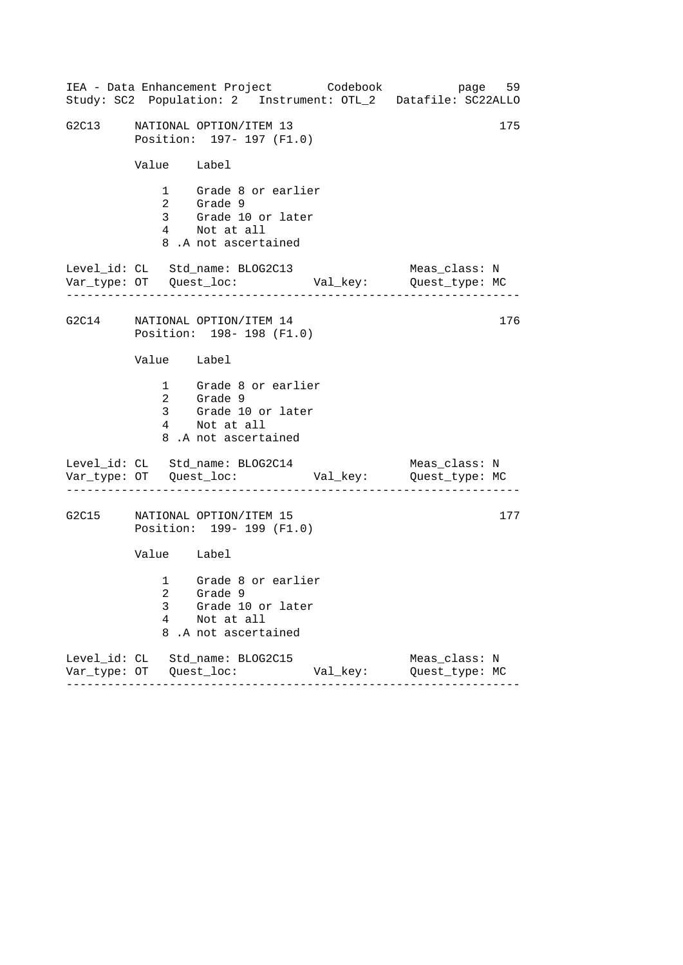|       |             | IEA - Data Enhancement Project Codebook<br>Study: SC2 Population: 2 Instrument: OTL_2 Datafile: SC22ALLO     |          | page 59                         |     |
|-------|-------------|--------------------------------------------------------------------------------------------------------------|----------|---------------------------------|-----|
|       |             | G2C13 NATIONAL OPTION/ITEM 13<br>Position: 197- 197 (F1.0)                                                   |          |                                 | 175 |
|       | Value Label |                                                                                                              |          |                                 |     |
|       |             | 1 Grade 8 or earlier<br>2 Grade 9<br>3 Grade 9<br>3 Grade 10 or later<br>4 Not at all<br>8.A not ascertained |          |                                 |     |
|       |             | Level_id: CL Std_name: BLOG2C13                                                                              |          | Meas_class: N                   |     |
|       |             | G2C14 NATIONAL OPTION/ITEM 14<br>Position: 198-198 (F1.0)                                                    |          |                                 | 176 |
|       | Value Label |                                                                                                              |          |                                 |     |
|       |             | 1 Grade 8 or earlier<br>2 Grade 9<br>3 Grade 10 or later<br>4 Not at all<br>8.A not ascertained              |          |                                 |     |
|       |             | Level_id: CL Std_name: BLOG2C14                                                                              |          | Meas_class: N                   |     |
| G2C15 |             | NATIONAL OPTION/ITEM 15<br>Position: 199- 199 (F1.0)                                                         |          |                                 | 177 |
|       | Value Label |                                                                                                              |          |                                 |     |
|       | 3<br>4<br>8 | 1 Grade 8 or earlier<br>2 Grade 9<br>Grade 10 or later<br>Not at all<br>.A not ascertained                   |          |                                 |     |
|       |             | Level_id: CL Std_name: BLOG2C15                                                                              | Val_key: | Meas_class: N<br>Quest_type: MC |     |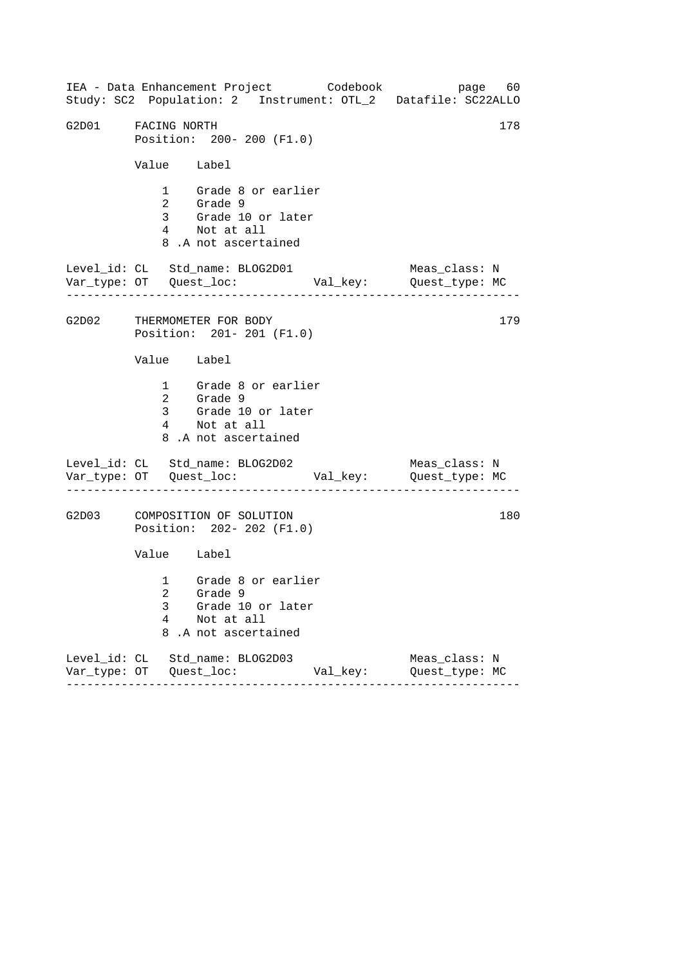------------------------------------------------------------------ ------------------------------------------------------------------ ------------------------------------------------------------------ IEA - Data Enhancement Project Codebook page 60 Study: SC2 Population: 2 Instrument: OTL\_2 Datafile: SC22ALLO G2D01 FACING NORTH 178 Position: 200- 200 (F1.0) Value Label 1 Grade 8 or earlier 2 Grade 9 3 Grade 10 or later 4 Not at all 8 .A not ascertained Level\_id: CL Std\_name: BLOG2D01 Meas\_class: N Var\_type: OT Quest\_loc: Val\_key: Quest\_type: MC G2D02 THERMOMETER FOR BODY Position: 201- 201 (F1.0) Value Label 1 Grade 8 or earlier 2 Grade 9 3 Grade 10 or later 4 Not at all 8 .A not ascertained Level\_id: CL Std\_name: BLOG2D02 Var\_type: OT Quest\_loc: Val\_key: Quest\_type: MC Meas\_class: N G2D03 COMPOSITION OF SOLUTION Position: 202- 202 (F1.0) Value Label 1 Grade 8 or earlier 2 Grade 9 3 Grade 10 or later 4 Not at all 8 .A not ascertained Level\_id: CL Std\_name: BLOG2D03 Meas\_class: N Var\_type: OT Quest\_loc: Val\_key: Quest\_type: MC 179 180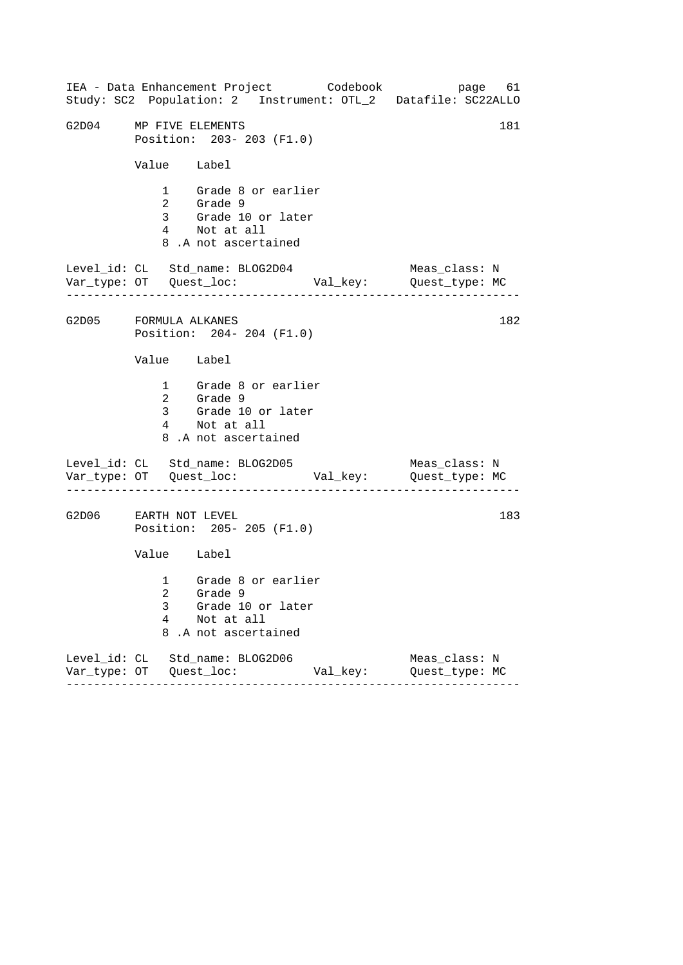| IEA - Data Enhancement Project Codebook<br>Study: SC2 Population: 2 Instrument: OTL_2 Datafile: SC22ALLO  | page 61                         |
|-----------------------------------------------------------------------------------------------------------|---------------------------------|
| G2D04 MP FIVE ELEMENTS<br>Position: 203-203 (F1.0)                                                        | 181                             |
| Value Label                                                                                               |                                 |
| 1 Grade 8 or earlier<br>2 Grade 9<br>3 Grade 10 or later<br>4 Not at all<br>8.A not ascertained           |                                 |
| Level_id: CL Std_name: BLOG2D04                                                                           | Meas_class: N                   |
| G2D05 FORMULA ALKANES<br>Position: 204-204 (F1.0)                                                         | 182                             |
| Value Label                                                                                               |                                 |
| 1 Grade 8 or earlier<br>2 Grade 9<br>3 Grade 10 or later<br>4 Not at all<br>8.A not ascertained           |                                 |
| Level_id: CL Std_name: BLOG2D05                                                                           | Meas_class: N                   |
| G2D06 EARTH NOT LEVEL<br>Position: 205-205 (F1.0)                                                         | 183                             |
| Value Label                                                                                               |                                 |
| 1 Grade 8 or earlier<br>2 Grade 9<br>Grade 10 or later<br>3<br>4<br>Not at all<br>8<br>.A not ascertained |                                 |
| Level_id: CL Std_name: BLOG2D06<br>Val_key:                                                               | Meas_class: N<br>Quest_type: MC |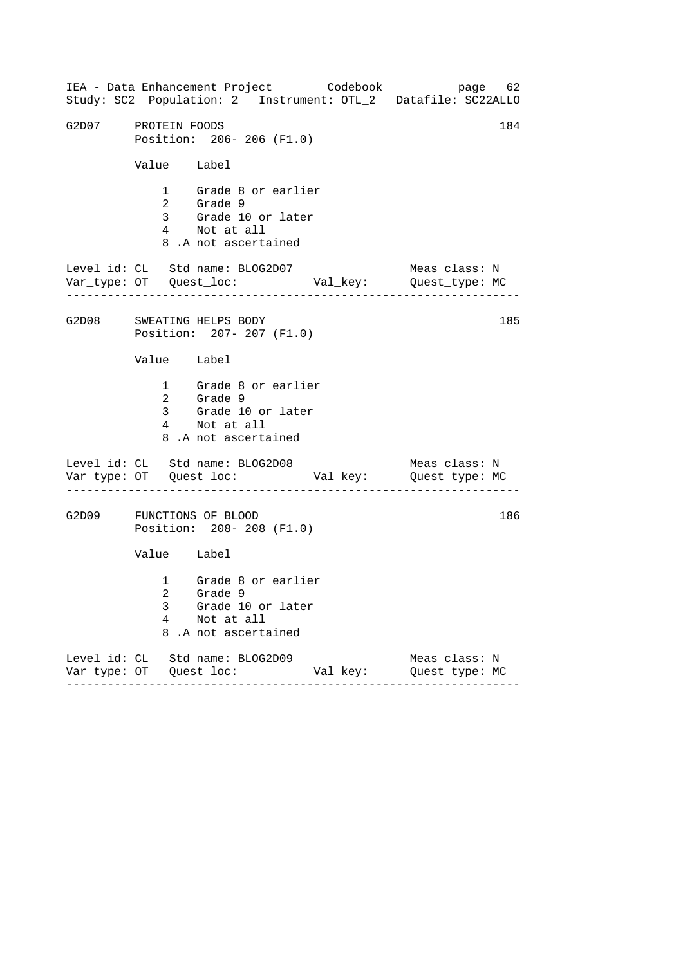|                     |             | IEA - Data Enhancement Project Codebook                                                         |          | page 62<br>Study: SC2 Population: 2 Instrument: OTL_2 Datafile: SC22ALLO |
|---------------------|-------------|-------------------------------------------------------------------------------------------------|----------|--------------------------------------------------------------------------|
| G2D07 PROTEIN FOODS |             | Position: 206-206 (F1.0)                                                                        |          | 184                                                                      |
|                     | Value Label |                                                                                                 |          |                                                                          |
|                     |             | 1 Grade 8 or earlier<br>2 Grade 9<br>3 Grade 10 or later<br>4 Not at all<br>8.A not ascertained |          |                                                                          |
|                     |             | Level_id: CL Std_name: BLOG2D07                                                                 |          | Meas_class: N                                                            |
|                     |             | G2D08 SWEATING HELPS BODY<br>Position: 207- 207 (F1.0)                                          |          | 185                                                                      |
|                     | Value Label |                                                                                                 |          |                                                                          |
|                     |             | 1 Grade 8 or earlier<br>2 Grade 9<br>3 Grade 10 or later<br>4 Not at all<br>8.A not ascertained |          |                                                                          |
|                     |             | Level_id: CL Std_name: BLOG2D08                                                                 |          | Meas_class: N                                                            |
|                     |             | G2D09 FUNCTIONS OF BLOOD<br>Position: 208-208 (F1.0)                                            |          | 186                                                                      |
|                     | Value Label |                                                                                                 |          |                                                                          |
|                     | 3<br>4      | 1 Grade 8 or earlier<br>2 Grade 9<br>Grade 10 or later<br>Not at all<br>8.A not ascertained     |          |                                                                          |
|                     |             | Level_id: CL Std_name: BLOG2D09                                                                 | Val_key: | Meas_class: N<br>Quest_type: MC                                          |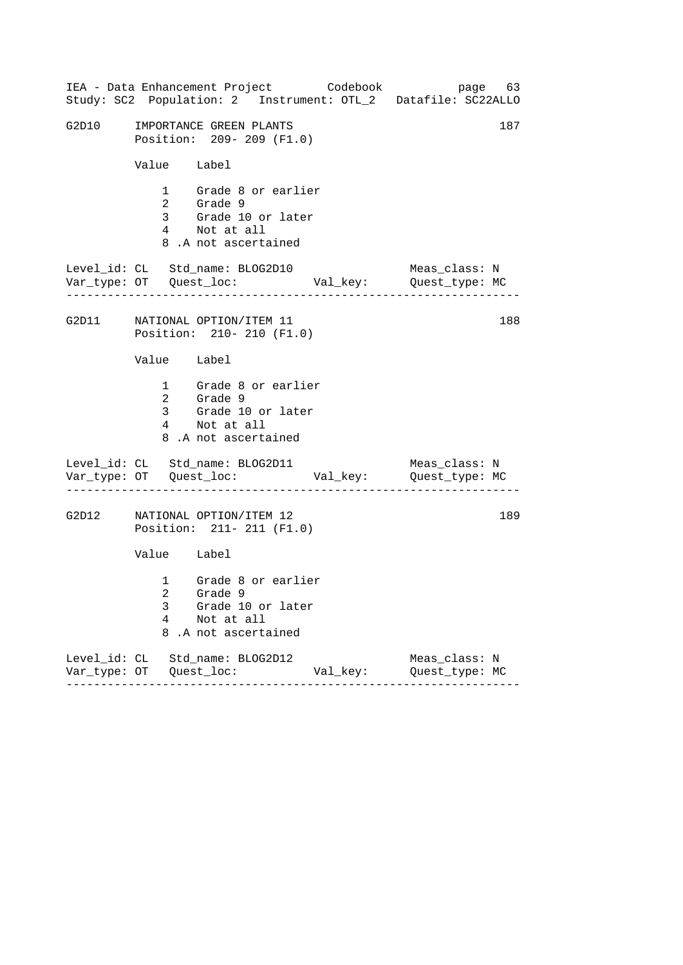|       |             | IEA - Data Enhancement Project Codebook<br>Study: SC2 Population: 2 Instrument: OTL_2 Datafile: SC22ALLO |          |                                 | page 63 |
|-------|-------------|----------------------------------------------------------------------------------------------------------|----------|---------------------------------|---------|
| G2D10 |             | IMPORTANCE GREEN PLANTS<br>Position: 209- 209 (F1.0)                                                     |          |                                 | 187     |
|       | Value Label |                                                                                                          |          |                                 |         |
|       |             | 1 Grade 8 or earlier<br>2 Grade 9<br>3 Grade 10 or later<br>4 Not at all<br>8.A not ascertained          |          |                                 |         |
|       |             | Level_id: CL Std_name: BLOG2D10                                                                          |          | Meas_class: N                   |         |
|       |             | G2D11 NATIONAL OPTION/ITEM 11<br>Position: 210- 210 (F1.0)                                               |          |                                 | 188     |
|       | Value Label |                                                                                                          |          |                                 |         |
|       |             | 1 Grade 8 or earlier<br>2 Grade 9<br>3 Grade 10 or later<br>4 Not at all<br>8.A not ascertained          |          |                                 |         |
|       |             | Level_id: CL Std_name: BLOG2D11                                                                          |          | Meas_class: N                   |         |
| G2D12 |             | NATIONAL OPTION/ITEM 12<br>Position: 211- 211 (F1.0)                                                     |          |                                 | 189     |
|       | Value Label |                                                                                                          |          |                                 |         |
|       | 3<br>4<br>8 | 1 Grade 8 or earlier<br>2 Grade 9<br>Grade 10 or later<br>Not at all<br>.A not ascertained               |          |                                 |         |
|       |             | Level_id: CL Std_name: BLOG2D12                                                                          | Val_key: | Meas_class: N<br>Quest_type: MC |         |